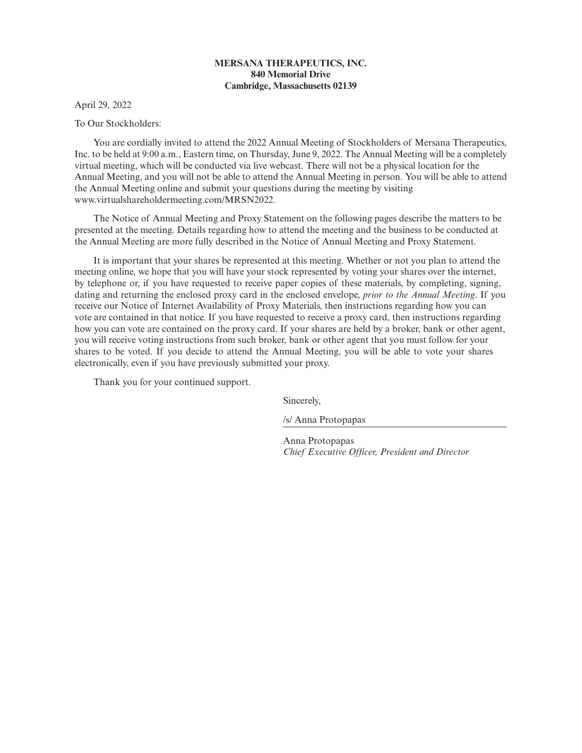# **MERSANA THERAPEUTICS, INC. 840 Memorial Drive Cambridge, Massachusetts 02139**

April 29, 2022

To Our Stockholders:

You are cordially invited to attend the 2022 Annual Meeting of Stockholders of Mersana Therapeutics, Inc. to be held at 9:00 a.m., Eastern time, on Thursday, June 9, 2022. The Annual Meeting will be a completely virtual meeting, which will be conducted via live webcast. There will not be a physical location for the Annual Meeting, and you will not be able to attend the Annual Meeting in person. You will be able to attend the Annual Meeting online and submit your questions during the meeting by visiting www.virtualshareholdermeeting.com/MRSN2022.

The Notice of Annual Meeting and Proxy Statement on the following pages describe the matters to be presented at the meeting. Details regarding how to attend the meeting and the business to be conducted at the Annual Meeting are more fully described in the Notice of Annual Meeting and Proxy Statement.

It is important that your shares be represented at this meeting. Whether or not you plan to attend the meeting online, we hope that you will have your stock represented by voting your shares over the internet, by telephone or, if you have requested to receive paper copies of these materials, by completing, signing, dating and returning the enclosed proxy card in the enclosed envelope, *prior to the Annual Meeting*. If you receive our Notice of Internet Availability of Proxy Materials, then instructions regarding how you can vote are contained in that notice. If you have requested to receive a proxy card, then instructions regarding how you can vote are contained on the proxy card. If your shares are held by a broker, bank or other agent, you will receive voting instructions from such broker, bank or other agent that you must follow for your shares to be voted. If you decide to attend the Annual Meeting, you will be able to vote your shares electronically, even if you have previously submitted your proxy.

Thank you for your continued support.

Sincerely,

/s/ Anna Protopapas

Anna Protopapas *Chief Executive Officer, President and Director*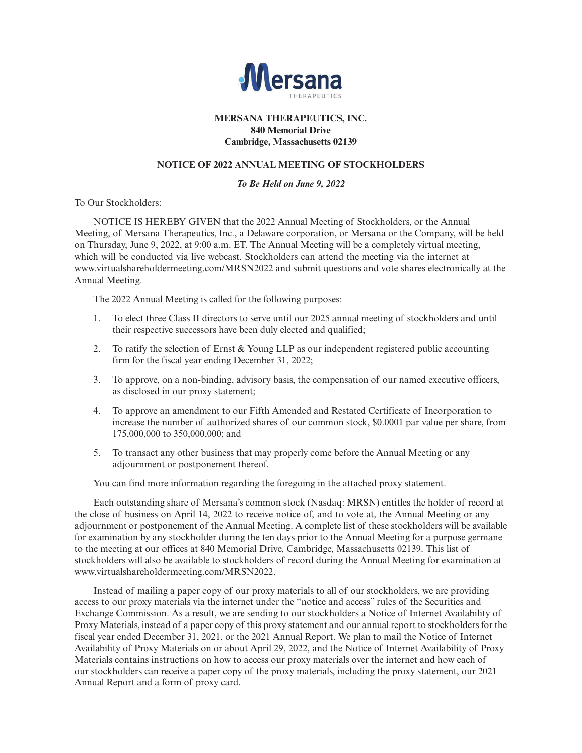

# **MERSANA THERAPEUTICS, INC. 840 Memorial Drive Cambridge, Massachusetts 02139**

# **NOTICE OF 2022 ANNUAL MEETING OF STOCKHOLDERS**

# *To Be Held on June 9, 2022*

To Our Stockholders:

NOTICE IS HEREBY GIVEN that the 2022 Annual Meeting of Stockholders, or the Annual Meeting, of Mersana Therapeutics, Inc., a Delaware corporation, or Mersana or the Company, will be held on Thursday, June 9, 2022, at 9:00 a.m. ET. The Annual Meeting will be a completely virtual meeting, which will be conducted via live webcast. Stockholders can attend the meeting via the internet at www.virtualshareholdermeeting.com/MRSN2022 and submit questions and vote shares electronically at the Annual Meeting.

The 2022 Annual Meeting is called for the following purposes:

- 1. To elect three Class II directors to serve until our 2025 annual meeting of stockholders and until their respective successors have been duly elected and qualified;
- 2. To ratify the selection of Ernst & Young LLP as our independent registered public accounting firm for the fiscal year ending December 31, 2022;
- 3. To approve, on a non-binding, advisory basis, the compensation of our named executive officers, as disclosed in our proxy statement;
- 4. To approve an amendment to our Fifth Amended and Restated Certificate of Incorporation to increase the number of authorized shares of our common stock, \$0.0001 par value per share, from 175,000,000 to 350,000,000; and
- 5. To transact any other business that may properly come before the Annual Meeting or any adjournment or postponement thereof.

You can find more information regarding the foregoing in the attached proxy statement.

Each outstanding share of Mersana's common stock (Nasdaq: MRSN) entitles the holder of record at the close of business on April 14, 2022 to receive notice of, and to vote at, the Annual Meeting or any adjournment or postponement of the Annual Meeting. A complete list of these stockholders will be available for examination by any stockholder during the ten days prior to the Annual Meeting for a purpose germane to the meeting at our offices at 840 Memorial Drive, Cambridge, Massachusetts 02139. This list of stockholders will also be available to stockholders of record during the Annual Meeting for examination at www.virtualshareholdermeeting.com/MRSN2022.

Instead of mailing a paper copy of our proxy materials to all of our stockholders, we are providing access to our proxy materials via the internet under the "notice and access" rules of the Securities and Exchange Commission. As a result, we are sending to our stockholders a Notice of Internet Availability of Proxy Materials, instead of a paper copy of this proxy statement and our annual report to stockholders for the fiscal year ended December 31, 2021, or the 2021 Annual Report. We plan to mail the Notice of Internet Availability of Proxy Materials on or about April 29, 2022, and the Notice of Internet Availability of Proxy Materials contains instructions on how to access our proxy materials over the internet and how each of our stockholders can receive a paper copy of the proxy materials, including the proxy statement, our 2021 Annual Report and a form of proxy card.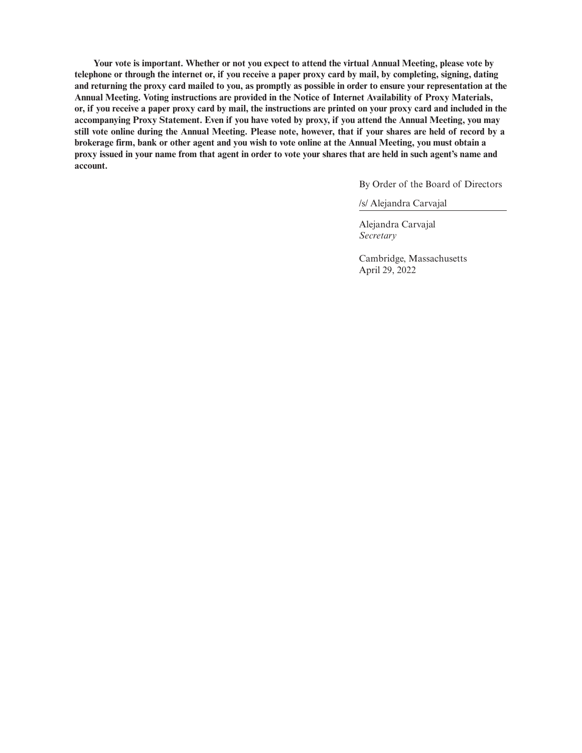**Your vote is important. Whether or not you expect to attend the virtual Annual Meeting, please vote by telephone or through the internet or, if you receive a paper proxy card by mail, by completing, signing, dating and returning the proxy card mailed to you, as promptly as possible in order to ensure your representation at the Annual Meeting. Voting instructions are provided in the Notice of Internet Availability of Proxy Materials, or, if you receive a paper proxy card by mail, the instructions are printed on your proxy card and included in the accompanying Proxy Statement. Even if you have voted by proxy, if you attend the Annual Meeting, you may still vote online during the Annual Meeting. Please note, however, that if your shares are held of record by a brokerage firm, bank or other agent and you wish to vote online at the Annual Meeting, you must obtain a proxy issued in your name from that agent in order to vote your shares that are held in such agent's name and account.**

By Order of the Board of Directors

/s/ Alejandra Carvajal

Alejandra Carvajal *Secretary*

Cambridge, Massachusetts April 29, 2022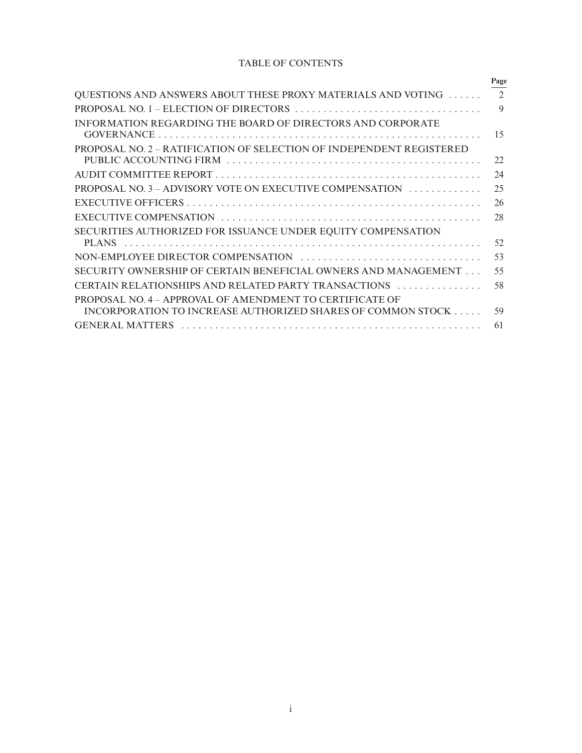# TABLE OF CONTENTS

| $\mathfrak{D}$<br>QUESTIONS AND ANSWERS ABOUT THESE PROXY MATERIALS AND VOTING<br>$\mathbf Q$<br>INFORMATION REGARDING THE BOARD OF DIRECTORS AND CORPORATE<br>15<br>PROPOSAL NO. 2 – RATIFICATION OF SELECTION OF INDEPENDENT REGISTERED<br>22<br>24<br>25<br>PROPOSAL NO. 3 – ADVISORY VOTE ON EXECUTIVE COMPENSATION<br>26<br>28<br>SECURITIES AUTHORIZED FOR ISSUANCE UNDER EQUITY COMPENSATION |
|-----------------------------------------------------------------------------------------------------------------------------------------------------------------------------------------------------------------------------------------------------------------------------------------------------------------------------------------------------------------------------------------------------|
|                                                                                                                                                                                                                                                                                                                                                                                                     |
|                                                                                                                                                                                                                                                                                                                                                                                                     |
|                                                                                                                                                                                                                                                                                                                                                                                                     |
|                                                                                                                                                                                                                                                                                                                                                                                                     |
|                                                                                                                                                                                                                                                                                                                                                                                                     |
|                                                                                                                                                                                                                                                                                                                                                                                                     |
|                                                                                                                                                                                                                                                                                                                                                                                                     |
|                                                                                                                                                                                                                                                                                                                                                                                                     |
|                                                                                                                                                                                                                                                                                                                                                                                                     |
|                                                                                                                                                                                                                                                                                                                                                                                                     |
|                                                                                                                                                                                                                                                                                                                                                                                                     |
| 52<br>PLANS                                                                                                                                                                                                                                                                                                                                                                                         |
| 53<br>NON-EMPLOYEE DIRECTOR COMPENSATION                                                                                                                                                                                                                                                                                                                                                            |
| 55<br>SECURITY OWNERSHIP OF CERTAIN BENEFICIAL OWNERS AND MANAGEMENT                                                                                                                                                                                                                                                                                                                                |
| 58<br>CERTAIN RELATIONSHIPS AND RELATED PARTY TRANSACTIONS<br><u> San San San San San San Sa</u>                                                                                                                                                                                                                                                                                                    |
| PROPOSAL NO. 4 – APPROVAL OF AMENDMENT TO CERTIFICATE OF                                                                                                                                                                                                                                                                                                                                            |
| 59<br>INCORPORATION TO INCREASE AUTHORIZED SHARES OF COMMON STOCK                                                                                                                                                                                                                                                                                                                                   |
| 61<br><b>GENERAL MATTERS</b>                                                                                                                                                                                                                                                                                                                                                                        |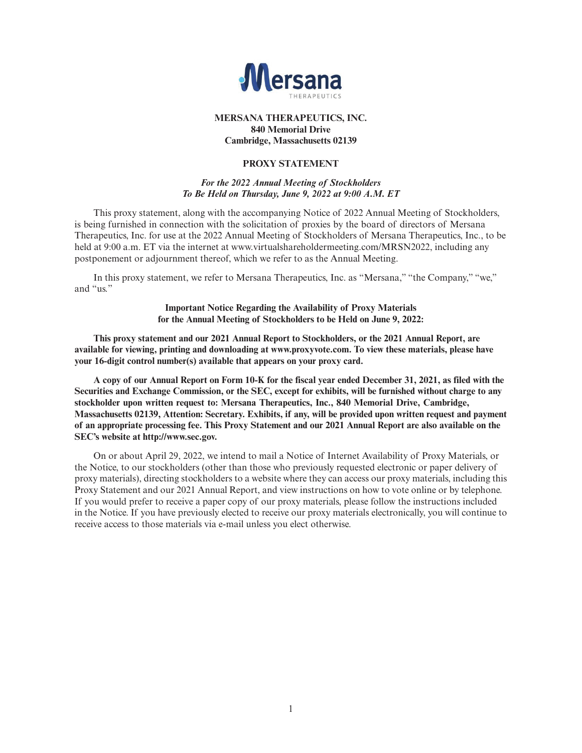

# **MERSANA THERAPEUTICS, INC. 840 Memorial Drive Cambridge, Massachusetts 02139**

# **PROXY STATEMENT**

# *For the 2022 Annual Meeting of Stockholders To Be Held on Thursday, June 9, 2022 at 9:00 A.M. ET*

This proxy statement, along with the accompanying Notice of 2022 Annual Meeting of Stockholders, is being furnished in connection with the solicitation of proxies by the board of directors of Mersana Therapeutics, Inc. for use at the 2022 Annual Meeting of Stockholders of Mersana Therapeutics, Inc., to be held at 9:00 a.m. ET via the internet at www.virtualshareholdermeeting.com/MRSN2022, including any postponement or adjournment thereof, which we refer to as the Annual Meeting.

In this proxy statement, we refer to Mersana Therapeutics, Inc. as "Mersana," "the Company," "we," and "us."

> **Important Notice Regarding the Availability of Proxy Materials for the Annual Meeting of Stockholders to be Held on June 9, 2022:**

**This proxy statement and our 2021 Annual Report to Stockholders, or the 2021 Annual Report, are available for viewing, printing and downloading at www.proxyvote.com. To view these materials, please have your 16-digit control number(s) available that appears on your proxy card.**

**A copy of our Annual Report on Form 10-K for the fiscal year ended December 31, 2021, as filed with the Securities and Exchange Commission, or the SEC, except for exhibits, will be furnished without charge to any stockholder upon written request to: Mersana Therapeutics, Inc., 840 Memorial Drive, Cambridge, Massachusetts 02139, Attention: Secretary. Exhibits, if any, will be provided upon written request and payment of an appropriate processing fee. This Proxy Statement and our 2021 Annual Report are also available on the SEC's website at http://www.sec.gov.**

On or about April 29, 2022, we intend to mail a Notice of Internet Availability of Proxy Materials, or the Notice, to our stockholders (other than those who previously requested electronic or paper delivery of proxy materials), directing stockholders to a website where they can access our proxy materials, including this Proxy Statement and our 2021 Annual Report, and view instructions on how to vote online or by telephone. If you would prefer to receive a paper copy of our proxy materials, please follow the instructions included in the Notice. If you have previously elected to receive our proxy materials electronically, you will continue to receive access to those materials via e-mail unless you elect otherwise.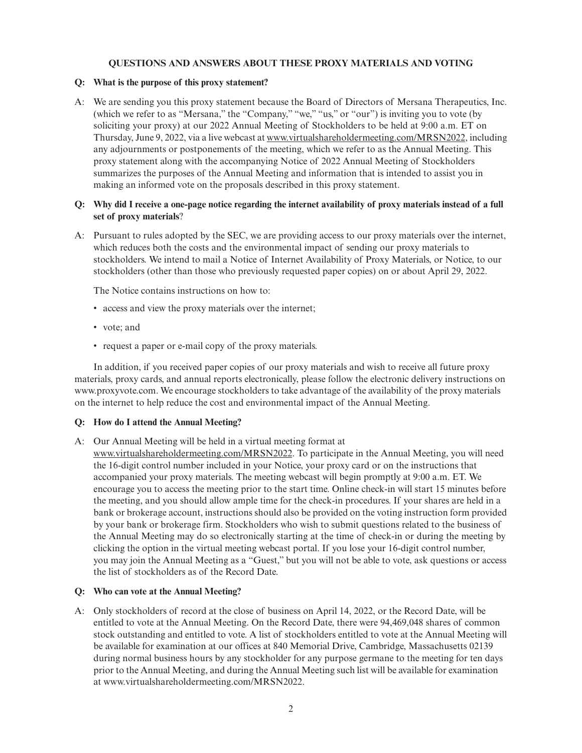# **QUESTIONS AND ANSWERS ABOUT THESE PROXY MATERIALS AND VOTING**

# **Q: What is the purpose of this proxy statement?**

A: We are sending you this proxy statement because the Board of Directors of Mersana Therapeutics, Inc. (which we refer to as "Mersana," the "Company," "we," "us," or "our") is inviting you to vote (by soliciting your proxy) at our 2022 Annual Meeting of Stockholders to be held at 9:00 a.m. ET on Thursday, June 9, 2022, via a live webcast at www.virtualshareholdermeeting.com/MRSN2022, including any adjournments or postponements of the meeting, which we refer to as the Annual Meeting. This proxy statement along with the accompanying Notice of 2022 Annual Meeting of Stockholders summarizes the purposes of the Annual Meeting and information that is intended to assist you in making an informed vote on the proposals described in this proxy statement.

# **Q: Why did I receive a one-page notice regarding the internet availability of proxy materials instead of a full set of proxy materials**?

A: Pursuant to rules adopted by the SEC, we are providing access to our proxy materials over the internet, which reduces both the costs and the environmental impact of sending our proxy materials to stockholders. We intend to mail a Notice of Internet Availability of Proxy Materials, or Notice, to our stockholders (other than those who previously requested paper copies) on or about April 29, 2022.

The Notice contains instructions on how to:

- access and view the proxy materials over the internet;
- vote; and
- request a paper or e-mail copy of the proxy materials.

In addition, if you received paper copies of our proxy materials and wish to receive all future proxy materials, proxy cards, and annual reports electronically, please follow the electronic delivery instructions on www.proxyvote.com. We encourage stockholders to take advantage of the availability of the proxy materials on the internet to help reduce the cost and environmental impact of the Annual Meeting.

# **Q: How do I attend the Annual Meeting?**

A: Our Annual Meeting will be held in a virtual meeting format at

www.virtualshareholdermeeting.com/MRSN2022. To participate in the Annual Meeting, you will need the 16-digit control number included in your Notice, your proxy card or on the instructions that accompanied your proxy materials. The meeting webcast will begin promptly at 9:00 a.m. ET. We encourage you to access the meeting prior to the start time. Online check-in will start 15 minutes before the meeting, and you should allow ample time for the check-in procedures. If your shares are held in a bank or brokerage account, instructions should also be provided on the voting instruction form provided by your bank or brokerage firm. Stockholders who wish to submit questions related to the business of the Annual Meeting may do so electronically starting at the time of check-in or during the meeting by clicking the option in the virtual meeting webcast portal. If you lose your 16-digit control number, you may join the Annual Meeting as a "Guest," but you will not be able to vote, ask questions or access the list of stockholders as of the Record Date.

# **Q: Who can vote at the Annual Meeting?**

A: Only stockholders of record at the close of business on April 14, 2022, or the Record Date, will be entitled to vote at the Annual Meeting. On the Record Date, there were 94,469,048 shares of common stock outstanding and entitled to vote. A list of stockholders entitled to vote at the Annual Meeting will be available for examination at our offices at 840 Memorial Drive, Cambridge, Massachusetts 02139 during normal business hours by any stockholder for any purpose germane to the meeting for ten days prior to the Annual Meeting, and during the Annual Meeting such list will be available for examination at www.virtualshareholdermeeting.com/MRSN2022.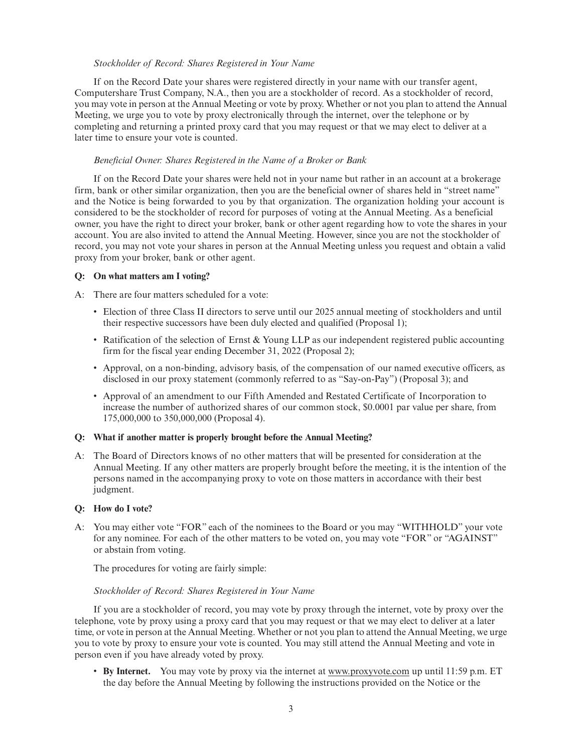# *Stockholder of Record: Shares Registered in Your Name*

If on the Record Date your shares were registered directly in your name with our transfer agent, Computershare Trust Company, N.A., then you are a stockholder of record. As a stockholder of record, you may vote in person at the Annual Meeting or vote by proxy. Whether or not you plan to attend the Annual Meeting, we urge you to vote by proxy electronically through the internet, over the telephone or by completing and returning a printed proxy card that you may request or that we may elect to deliver at a later time to ensure your vote is counted.

# *Beneficial Owner: Shares Registered in the Name of a Broker or Bank*

If on the Record Date your shares were held not in your name but rather in an account at a brokerage firm, bank or other similar organization, then you are the beneficial owner of shares held in "street name" and the Notice is being forwarded to you by that organization. The organization holding your account is considered to be the stockholder of record for purposes of voting at the Annual Meeting. As a beneficial owner, you have the right to direct your broker, bank or other agent regarding how to vote the shares in your account. You are also invited to attend the Annual Meeting. However, since you are not the stockholder of record, you may not vote your shares in person at the Annual Meeting unless you request and obtain a valid proxy from your broker, bank or other agent.

# **Q: On what matters am I voting?**

A: There are four matters scheduled for a vote:

- Election of three Class II directors to serve until our 2025 annual meeting of stockholders and until their respective successors have been duly elected and qualified (Proposal 1);
- Ratification of the selection of Ernst & Young LLP as our independent registered public accounting firm for the fiscal year ending December 31, 2022 (Proposal 2);
- Approval, on a non-binding, advisory basis, of the compensation of our named executive officers, as disclosed in our proxy statement (commonly referred to as "Say-on-Pay") (Proposal 3); and
- Approval of an amendment to our Fifth Amended and Restated Certificate of Incorporation to increase the number of authorized shares of our common stock, \$0.0001 par value per share, from 175,000,000 to 350,000,000 (Proposal 4).

# **Q: What if another matter is properly brought before the Annual Meeting?**

A: The Board of Directors knows of no other matters that will be presented for consideration at the Annual Meeting. If any other matters are properly brought before the meeting, it is the intention of the persons named in the accompanying proxy to vote on those matters in accordance with their best judgment.

# **Q: How do I vote?**

A: You may either vote "FOR" each of the nominees to the Board or you may "WITHHOLD" your vote for any nominee. For each of the other matters to be voted on, you may vote "FOR" or "AGAINST" or abstain from voting.

The procedures for voting are fairly simple:

# *Stockholder of Record: Shares Registered in Your Name*

If you are a stockholder of record, you may vote by proxy through the internet, vote by proxy over the telephone, vote by proxy using a proxy card that you may request or that we may elect to deliver at a later time, or vote in person at the Annual Meeting. Whether or not you plan to attend the Annual Meeting, we urge you to vote by proxy to ensure your vote is counted. You may still attend the Annual Meeting and vote in person even if you have already voted by proxy.

• **By Internet.** You may vote by proxy via the internet at www.proxyvote.com up until 11:59 p.m. ET the day before the Annual Meeting by following the instructions provided on the Notice or the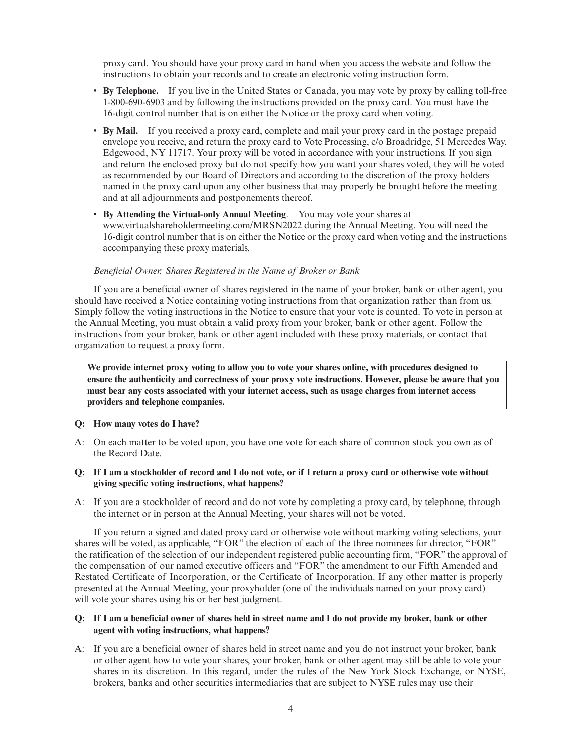proxy card. You should have your proxy card in hand when you access the website and follow the instructions to obtain your records and to create an electronic voting instruction form.

- **By Telephone.** If you live in the United States or Canada, you may vote by proxy by calling toll-free 1-800-690-6903 and by following the instructions provided on the proxy card. You must have the 16-digit control number that is on either the Notice or the proxy card when voting.
- **By Mail.** If you received a proxy card, complete and mail your proxy card in the postage prepaid envelope you receive, and return the proxy card to Vote Processing, c/o Broadridge, 51 Mercedes Way, Edgewood, NY 11717. Your proxy will be voted in accordance with your instructions. If you sign and return the enclosed proxy but do not specify how you want your shares voted, they will be voted as recommended by our Board of Directors and according to the discretion of the proxy holders named in the proxy card upon any other business that may properly be brought before the meeting and at all adjournments and postponements thereof.
- **By Attending the Virtual-only Annual Meeting**. You may vote your shares at www.virtualshareholdermeeting.com/MRSN2022 during the Annual Meeting. You will need the 16-digit control number that is on either the Notice or the proxy card when voting and the instructions accompanying these proxy materials.

# *Beneficial Owner: Shares Registered in the Name of Broker or Bank*

If you are a beneficial owner of shares registered in the name of your broker, bank or other agent, you should have received a Notice containing voting instructions from that organization rather than from us. Simply follow the voting instructions in the Notice to ensure that your vote is counted. To vote in person at the Annual Meeting, you must obtain a valid proxy from your broker, bank or other agent. Follow the instructions from your broker, bank or other agent included with these proxy materials, or contact that organization to request a proxy form.

**We provide internet proxy voting to allow you to vote your shares online, with procedures designed to ensure the authenticity and correctness of your proxy vote instructions. However, please be aware that you must bear any costs associated with your internet access, such as usage charges from internet access providers and telephone companies.**

#### **Q: How many votes do I have?**

- A: On each matter to be voted upon, you have one vote for each share of common stock you own as of the Record Date.
- **Q: If I am a stockholder of record and I do not vote, or if I return a proxy card or otherwise vote without giving specific voting instructions, what happens?**
- A: If you are a stockholder of record and do not vote by completing a proxy card, by telephone, through the internet or in person at the Annual Meeting, your shares will not be voted.

If you return a signed and dated proxy card or otherwise vote without marking voting selections, your shares will be voted, as applicable, "FOR" the election of each of the three nominees for director, "FOR" the ratification of the selection of our independent registered public accounting firm, "FOR" the approval of the compensation of our named executive officers and "FOR" the amendment to our Fifth Amended and Restated Certificate of Incorporation, or the Certificate of Incorporation. If any other matter is properly presented at the Annual Meeting, your proxyholder (one of the individuals named on your proxy card) will vote your shares using his or her best judgment.

# **Q: If I am a beneficial owner of shares held in street name and I do not provide my broker, bank or other agent with voting instructions, what happens?**

A: If you are a beneficial owner of shares held in street name and you do not instruct your broker, bank or other agent how to vote your shares, your broker, bank or other agent may still be able to vote your shares in its discretion. In this regard, under the rules of the New York Stock Exchange, or NYSE, brokers, banks and other securities intermediaries that are subject to NYSE rules may use their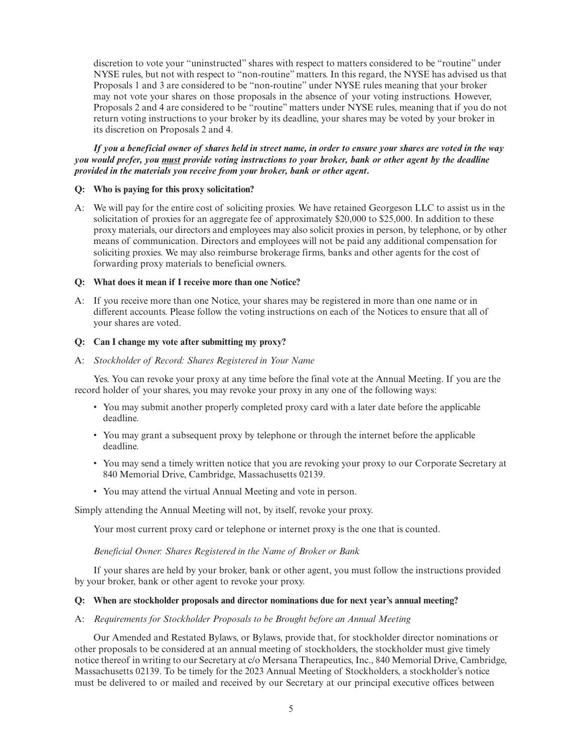discretion to vote your "uninstructed" shares with respect to matters considered to be "routine" under NYSE rules, but not with respect to "non-routine" matters. In this regard, the NYSE has advised us that Proposals 1 and 3 are considered to be "non-routine" under NYSE rules meaning that your broker may not vote your shares on those proposals in the absence of your voting instructions. However, Proposals 2 and 4 are considered to be "routine" matters under NYSE rules, meaning that if you do not return voting instructions to your broker by its deadline, your shares may be voted by your broker in its discretion on Proposals 2 and 4.

*If you a beneficial owner of shares held in street name, in order to ensure your shares are voted in the way you would prefer, you must provide voting instructions to your broker, bank or other agent by the deadline provided in the materials you receive from your broker, bank or other agent***.**

#### **Q: Who is paying for this proxy solicitation?**

A: We will pay for the entire cost of soliciting proxies. We have retained Georgeson LLC to assist us in the solicitation of proxies for an aggregate fee of approximately \$20,000 to \$25,000. In addition to these proxy materials, our directors and employees may also solicit proxies in person, by telephone, or by other means of communication. Directors and employees will not be paid any additional compensation for soliciting proxies. We may also reimburse brokerage firms, banks and other agents for the cost of forwarding proxy materials to beneficial owners.

# **Q: What does it mean if I receive more than one Notice?**

A: If you receive more than one Notice, your shares may be registered in more than one name or in different accounts. Please follow the voting instructions on each of the Notices to ensure that all of your shares are voted.

# **Q: Can I change my vote after submitting my proxy?**

A: *Stockholder of Record: Shares Registered in Your Name*

Yes. You can revoke your proxy at any time before the final vote at the Annual Meeting. If you are the record holder of your shares, you may revoke your proxy in any one of the following ways:

- You may submit another properly completed proxy card with a later date before the applicable deadline.
- You may grant a subsequent proxy by telephone or through the internet before the applicable deadline.
- You may send a timely written notice that you are revoking your proxy to our Corporate Secretary at 840 Memorial Drive, Cambridge, Massachusetts 02139.
- You may attend the virtual Annual Meeting and vote in person.

Simply attending the Annual Meeting will not, by itself, revoke your proxy.

Your most current proxy card or telephone or internet proxy is the one that is counted.

## *Beneficial Owner: Shares Registered in the Name of Broker or Bank*

If your shares are held by your broker, bank or other agent, you must follow the instructions provided by your broker, bank or other agent to revoke your proxy.

## **Q: When are stockholder proposals and director nominations due for next year's annual meeting?**

#### A: *Requirements for Stockholder Proposals to be Brought before an Annual Meeting*

Our Amended and Restated Bylaws, or Bylaws, provide that, for stockholder director nominations or other proposals to be considered at an annual meeting of stockholders, the stockholder must give timely notice thereof in writing to our Secretary at c/o Mersana Therapeutics, Inc., 840 Memorial Drive, Cambridge, Massachusetts 02139. To be timely for the 2023 Annual Meeting of Stockholders, a stockholder's notice must be delivered to or mailed and received by our Secretary at our principal executive offices between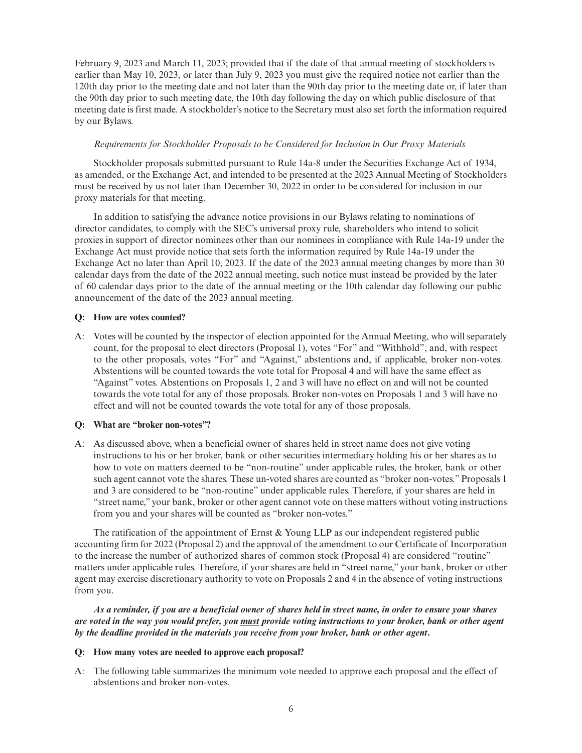February 9, 2023 and March 11, 2023; provided that if the date of that annual meeting of stockholders is earlier than May 10, 2023, or later than July 9, 2023 you must give the required notice not earlier than the 120th day prior to the meeting date and not later than the 90th day prior to the meeting date or, if later than the 90th day prior to such meeting date, the 10th day following the day on which public disclosure of that meeting date is first made. A stockholder's notice to the Secretary must also set forth the information required by our Bylaws.

# *Requirements for Stockholder Proposals to be Considered for Inclusion in Our Proxy Materials*

Stockholder proposals submitted pursuant to Rule 14a-8 under the Securities Exchange Act of 1934, as amended, or the Exchange Act, and intended to be presented at the 2023 Annual Meeting of Stockholders must be received by us not later than December 30, 2022 in order to be considered for inclusion in our proxy materials for that meeting.

In addition to satisfying the advance notice provisions in our Bylaws relating to nominations of director candidates, to comply with the SEC's universal proxy rule, shareholders who intend to solicit proxies in support of director nominees other than our nominees in compliance with Rule 14a-19 under the Exchange Act must provide notice that sets forth the information required by Rule 14a-19 under the Exchange Act no later than April 10, 2023. If the date of the 2023 annual meeting changes by more than 30 calendar days from the date of the 2022 annual meeting, such notice must instead be provided by the later of 60 calendar days prior to the date of the annual meeting or the 10th calendar day following our public announcement of the date of the 2023 annual meeting.

# **Q: How are votes counted?**

A: Votes will be counted by the inspector of election appointed for the Annual Meeting, who will separately count, for the proposal to elect directors (Proposal 1), votes "For" and "Withhold", and, with respect to the other proposals, votes "For" and "Against," abstentions and, if applicable, broker non-votes. Abstentions will be counted towards the vote total for Proposal 4 and will have the same effect as "Against" votes. Abstentions on Proposals 1, 2 and 3 will have no effect on and will not be counted towards the vote total for any of those proposals. Broker non-votes on Proposals 1 and 3 will have no effect and will not be counted towards the vote total for any of those proposals.

# **Q: What are "broker non-votes"?**

A: As discussed above, when a beneficial owner of shares held in street name does not give voting instructions to his or her broker, bank or other securities intermediary holding his or her shares as to how to vote on matters deemed to be "non-routine" under applicable rules, the broker, bank or other such agent cannot vote the shares. These un-voted shares are counted as "broker non-votes." Proposals 1 and 3 are considered to be "non-routine" under applicable rules. Therefore, if your shares are held in "street name," your bank, broker or other agent cannot vote on these matters without voting instructions from you and your shares will be counted as "broker non-votes."

The ratification of the appointment of Ernst  $&$  Young LLP as our independent registered public accounting firm for 2022 (Proposal 2) and the approval of the amendment to our Certificate of Incorporation to the increase the number of authorized shares of common stock (Proposal 4) are considered "routine" matters under applicable rules. Therefore, if your shares are held in "street name," your bank, broker or other agent may exercise discretionary authority to vote on Proposals 2 and 4 in the absence of voting instructions from you.

*As a reminder, if you are a beneficial owner of shares held in street name, in order to ensure your shares are voted in the way you would prefer, you must provide voting instructions to your broker, bank or other agent by the deadline provided in the materials you receive from your broker, bank or other agent***.**

# **Q: How many votes are needed to approve each proposal?**

A: The following table summarizes the minimum vote needed to approve each proposal and the effect of abstentions and broker non-votes.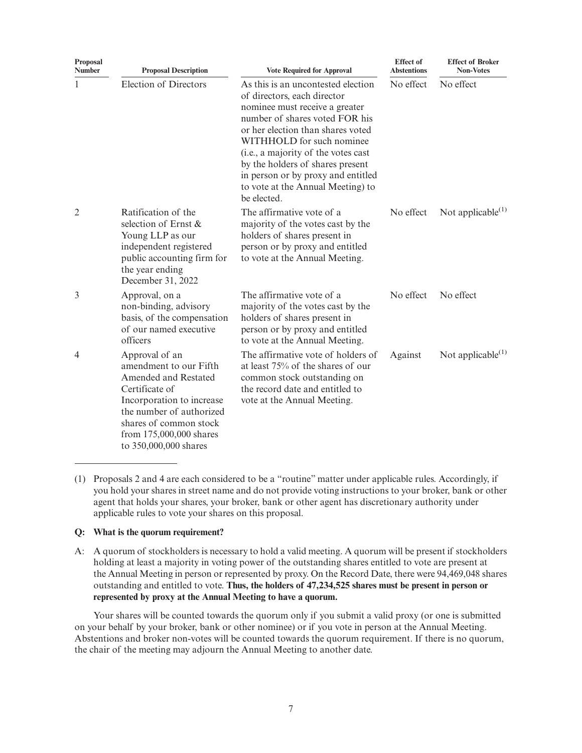| Proposal<br><b>Number</b> | <b>Proposal Description</b>                                                                                                                                                                                               | <b>Vote Required for Approval</b>                                                                                                                                                                                                                                                                                                                                            | <b>Effect</b> of<br><b>Abstentions</b> | <b>Effect of Broker</b><br><b>Non-Votes</b> |
|---------------------------|---------------------------------------------------------------------------------------------------------------------------------------------------------------------------------------------------------------------------|------------------------------------------------------------------------------------------------------------------------------------------------------------------------------------------------------------------------------------------------------------------------------------------------------------------------------------------------------------------------------|----------------------------------------|---------------------------------------------|
| 1                         | <b>Election of Directors</b>                                                                                                                                                                                              | As this is an uncontested election<br>of directors, each director<br>nominee must receive a greater<br>number of shares voted FOR his<br>or her election than shares voted<br>WITHHOLD for such nominee<br>(i.e., a majority of the votes cast<br>by the holders of shares present<br>in person or by proxy and entitled<br>to vote at the Annual Meeting) to<br>be elected. | No effect                              | No effect                                   |
| $\overline{2}$            | Ratification of the<br>selection of Ernst &<br>Young LLP as our<br>independent registered<br>public accounting firm for<br>the year ending<br>December 31, 2022                                                           | The affirmative vote of a<br>majority of the votes cast by the<br>holders of shares present in<br>person or by proxy and entitled<br>to vote at the Annual Meeting.                                                                                                                                                                                                          | No effect                              | Not applicable $(1)$                        |
| 3                         | Approval, on a<br>non-binding, advisory<br>basis, of the compensation<br>of our named executive<br>officers                                                                                                               | The affirmative vote of a<br>majority of the votes cast by the<br>holders of shares present in<br>person or by proxy and entitled<br>to vote at the Annual Meeting.                                                                                                                                                                                                          | No effect                              | No effect                                   |
| 4                         | Approval of an<br>amendment to our Fifth<br>Amended and Restated<br>Certificate of<br>Incorporation to increase<br>the number of authorized<br>shares of common stock<br>from 175,000,000 shares<br>to 350,000,000 shares | The affirmative vote of holders of<br>at least 75% of the shares of our<br>common stock outstanding on<br>the record date and entitled to<br>vote at the Annual Meeting.                                                                                                                                                                                                     | Against                                | Not applicable $(1)$                        |

(1) Proposals 2 and 4 are each considered to be a "routine" matter under applicable rules. Accordingly, if you hold your shares in street name and do not provide voting instructions to your broker, bank or other agent that holds your shares, your broker, bank or other agent has discretionary authority under applicable rules to vote your shares on this proposal.

# **Q: What is the quorum requirement?**

A: A quorum of stockholders is necessary to hold a valid meeting. A quorum will be present if stockholders holding at least a majority in voting power of the outstanding shares entitled to vote are present at the Annual Meeting in person or represented by proxy. On the Record Date, there were 94,469,048 shares outstanding and entitled to vote. **Thus, the holders of 47,234,525 shares must be present in person or represented by proxy at the Annual Meeting to have a quorum.**

Your shares will be counted towards the quorum only if you submit a valid proxy (or one is submitted on your behalf by your broker, bank or other nominee) or if you vote in person at the Annual Meeting. Abstentions and broker non-votes will be counted towards the quorum requirement. If there is no quorum, the chair of the meeting may adjourn the Annual Meeting to another date.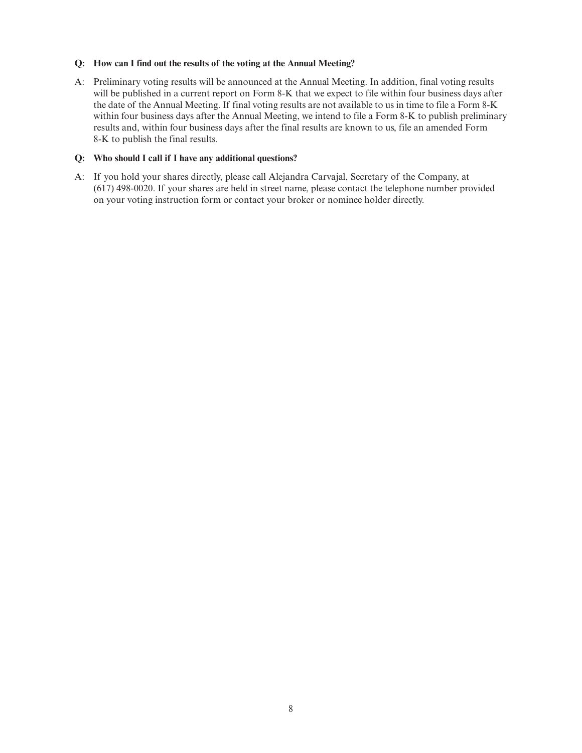# **Q: How can I find out the results of the voting at the Annual Meeting?**

A: Preliminary voting results will be announced at the Annual Meeting. In addition, final voting results will be published in a current report on Form 8-K that we expect to file within four business days after the date of the Annual Meeting. If final voting results are not available to us in time to file a Form 8-K within four business days after the Annual Meeting, we intend to file a Form 8-K to publish preliminary results and, within four business days after the final results are known to us, file an amended Form 8-K to publish the final results.

# **Q: Who should I call if I have any additional questions?**

A: If you hold your shares directly, please call Alejandra Carvajal, Secretary of the Company, at (617) 498-0020. If your shares are held in street name, please contact the telephone number provided on your voting instruction form or contact your broker or nominee holder directly.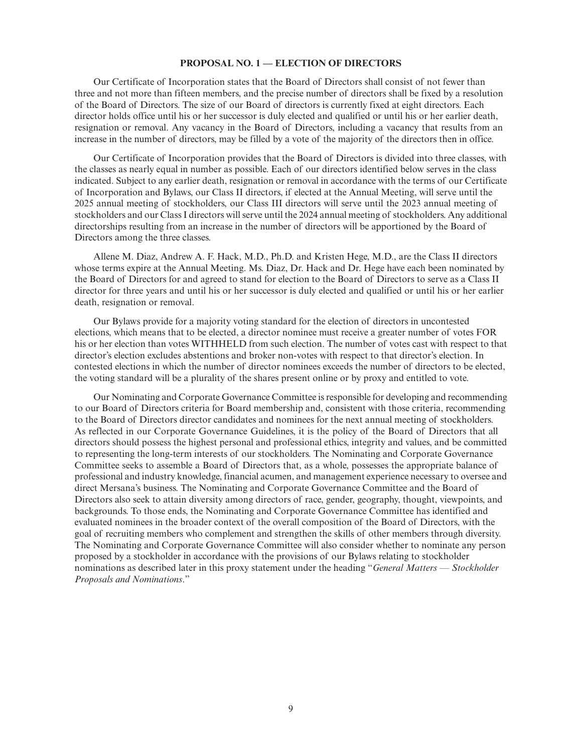# **PROPOSAL NO. 1 — ELECTION OF DIRECTORS**

Our Certificate of Incorporation states that the Board of Directors shall consist of not fewer than three and not more than fifteen members, and the precise number of directors shall be fixed by a resolution of the Board of Directors. The size of our Board of directors is currently fixed at eight directors. Each director holds office until his or her successor is duly elected and qualified or until his or her earlier death, resignation or removal. Any vacancy in the Board of Directors, including a vacancy that results from an increase in the number of directors, may be filled by a vote of the majority of the directors then in office.

Our Certificate of Incorporation provides that the Board of Directors is divided into three classes, with the classes as nearly equal in number as possible. Each of our directors identified below serves in the class indicated. Subject to any earlier death, resignation or removal in accordance with the terms of our Certificate of Incorporation and Bylaws, our Class II directors, if elected at the Annual Meeting, will serve until the 2025 annual meeting of stockholders, our Class III directors will serve until the 2023 annual meeting of stockholders and our Class I directors will serve until the 2024 annual meeting of stockholders. Any additional directorships resulting from an increase in the number of directors will be apportioned by the Board of Directors among the three classes.

Allene M. Diaz, Andrew A. F. Hack, M.D., Ph.D. and Kristen Hege, M.D., are the Class II directors whose terms expire at the Annual Meeting. Ms. Diaz, Dr. Hack and Dr. Hege have each been nominated by the Board of Directors for and agreed to stand for election to the Board of Directors to serve as a Class II director for three years and until his or her successor is duly elected and qualified or until his or her earlier death, resignation or removal.

Our Bylaws provide for a majority voting standard for the election of directors in uncontested elections, which means that to be elected, a director nominee must receive a greater number of votes FOR his or her election than votes WITHHELD from such election. The number of votes cast with respect to that director's election excludes abstentions and broker non-votes with respect to that director's election. In contested elections in which the number of director nominees exceeds the number of directors to be elected, the voting standard will be a plurality of the shares present online or by proxy and entitled to vote.

Our Nominating and Corporate Governance Committee is responsible for developing and recommending to our Board of Directors criteria for Board membership and, consistent with those criteria, recommending to the Board of Directors director candidates and nominees for the next annual meeting of stockholders. As reflected in our Corporate Governance Guidelines, it is the policy of the Board of Directors that all directors should possess the highest personal and professional ethics, integrity and values, and be committed to representing the long-term interests of our stockholders. The Nominating and Corporate Governance Committee seeks to assemble a Board of Directors that, as a whole, possesses the appropriate balance of professional and industry knowledge, financial acumen, and management experience necessary to oversee and direct Mersana's business. The Nominating and Corporate Governance Committee and the Board of Directors also seek to attain diversity among directors of race, gender, geography, thought, viewpoints, and backgrounds. To those ends, the Nominating and Corporate Governance Committee has identified and evaluated nominees in the broader context of the overall composition of the Board of Directors, with the goal of recruiting members who complement and strengthen the skills of other members through diversity. The Nominating and Corporate Governance Committee will also consider whether to nominate any person proposed by a stockholder in accordance with the provisions of our Bylaws relating to stockholder nominations as described later in this proxy statement under the heading "*General Matters — Stockholder Proposals and Nominations*."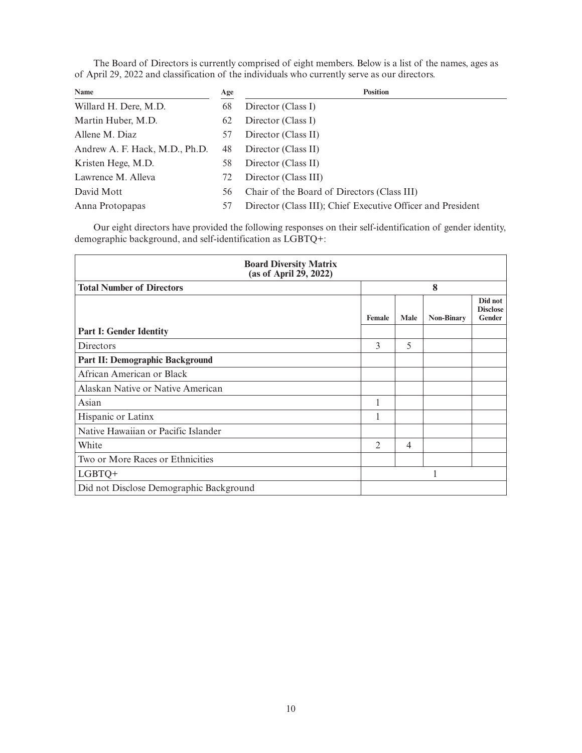The Board of Directors is currently comprised of eight members. Below is a list of the names, ages as of April 29, 2022 and classification of the individuals who currently serve as our directors.

| Name                           | Age | <b>Position</b>                                             |
|--------------------------------|-----|-------------------------------------------------------------|
| Willard H. Dere, M.D.          | 68  | Director (Class I)                                          |
| Martin Huber, M.D.             | 62  | Director (Class I)                                          |
| Allene M. Diaz                 | 57  | Director (Class II)                                         |
| Andrew A. F. Hack, M.D., Ph.D. | 48  | Director (Class II)                                         |
| Kristen Hege, M.D.             | 58  | Director (Class II)                                         |
| Lawrence M. Alleva             | 72  | Director (Class III)                                        |
| David Mott                     | 56  | Chair of the Board of Directors (Class III)                 |
| Anna Protopapas                | 57  | Director (Class III); Chief Executive Officer and President |

Our eight directors have provided the following responses on their self-identification of gender identity, demographic background, and self-identification as LGBTQ+:

| <b>Board Diversity Matrix</b><br>(as of April 29, 2022) |                |                |                   |                                             |  |
|---------------------------------------------------------|----------------|----------------|-------------------|---------------------------------------------|--|
| <b>Total Number of Directors</b>                        |                | 8              |                   |                                             |  |
|                                                         | Female         | <b>Male</b>    | <b>Non-Binary</b> | Did not<br><b>Disclose</b><br><b>Gender</b> |  |
| <b>Part I: Gender Identity</b>                          |                |                |                   |                                             |  |
| Directors                                               | 3              | 5              |                   |                                             |  |
| Part II: Demographic Background                         |                |                |                   |                                             |  |
| African American or Black                               |                |                |                   |                                             |  |
| Alaskan Native or Native American                       |                |                |                   |                                             |  |
| Asian                                                   |                |                |                   |                                             |  |
| Hispanic or Latinx                                      | 1              |                |                   |                                             |  |
| Native Hawaiian or Pacific Islander                     |                |                |                   |                                             |  |
| White                                                   | $\mathfrak{D}$ | $\overline{4}$ |                   |                                             |  |
| Two or More Races or Ethnicities                        |                |                |                   |                                             |  |
| LGBTQ+                                                  |                |                |                   |                                             |  |
| Did not Disclose Demographic Background                 |                |                |                   |                                             |  |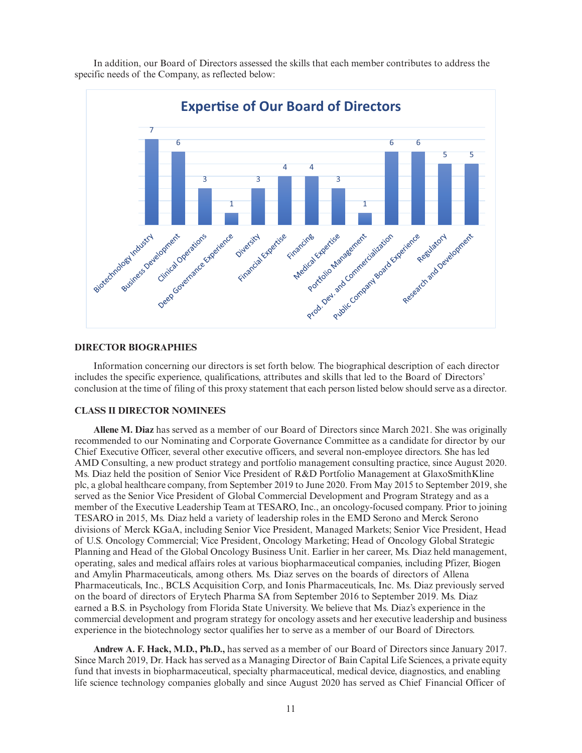

In addition, our Board of Directors assessed the skills that each member contributes to address the specific needs of the Company, as reflected below:

# **DIRECTOR BIOGRAPHIES**

Information concerning our directors is set forth below. The biographical description of each director includes the specific experience, qualifications, attributes and skills that led to the Board of Directors' conclusion at the time of filing of this proxy statement that each person listed below should serve as a director.

#### **CLASS II DIRECTOR NOMINEES**

**Allene M. Diaz** has served as a member of our Board of Directors since March 2021. She was originally recommended to our Nominating and Corporate Governance Committee as a candidate for director by our Chief Executive Officer, several other executive officers, and several non-employee directors. She has led AMD Consulting, a new product strategy and portfolio management consulting practice, since August 2020. Ms. Diaz held the position of Senior Vice President of R&D Portfolio Management at GlaxoSmithKline plc, a global healthcare company, from September 2019 to June 2020. From May 2015 to September 2019, she served as the Senior Vice President of Global Commercial Development and Program Strategy and as a member of the Executive Leadership Team at TESARO, Inc., an oncology-focused company. Prior to joining TESARO in 2015, Ms. Diaz held a variety of leadership roles in the EMD Serono and Merck Serono divisions of Merck KGaA, including Senior Vice President, Managed Markets; Senior Vice President, Head of U.S. Oncology Commercial; Vice President, Oncology Marketing; Head of Oncology Global Strategic Planning and Head of the Global Oncology Business Unit. Earlier in her career, Ms. Diaz held management, operating, sales and medical affairs roles at various biopharmaceutical companies, including Pfizer, Biogen and Amylin Pharmaceuticals, among others. Ms. Diaz serves on the boards of directors of Allena Pharmaceuticals, Inc., BCLS Acquisition Corp, and Ionis Pharmaceuticals, Inc. Ms. Diaz previously served on the board of directors of Erytech Pharma SA from September 2016 to September 2019. Ms. Diaz earned a B.S. in Psychology from Florida State University. We believe that Ms. Diaz's experience in the commercial development and program strategy for oncology assets and her executive leadership and business experience in the biotechnology sector qualifies her to serve as a member of our Board of Directors.

**Andrew A. F. Hack, M.D., Ph.D.,** has served as a member of our Board of Directors since January 2017. Since March 2019, Dr. Hack has served as a Managing Director of Bain Capital Life Sciences, a private equity fund that invests in biopharmaceutical, specialty pharmaceutical, medical device, diagnostics, and enabling life science technology companies globally and since August 2020 has served as Chief Financial Officer of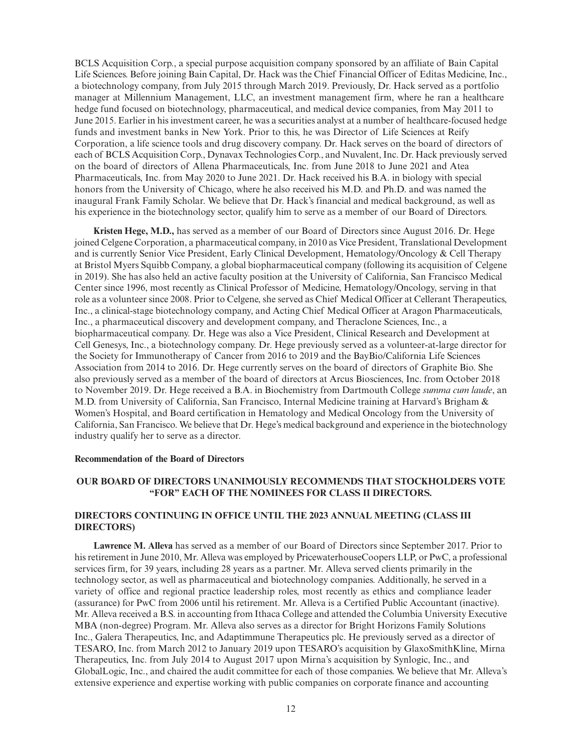BCLS Acquisition Corp., a special purpose acquisition company sponsored by an affiliate of Bain Capital Life Sciences. Before joining Bain Capital, Dr. Hack was the Chief Financial Officer of Editas Medicine, Inc., a biotechnology company, from July 2015 through March 2019. Previously, Dr. Hack served as a portfolio manager at Millennium Management, LLC, an investment management firm, where he ran a healthcare hedge fund focused on biotechnology, pharmaceutical, and medical device companies, from May 2011 to June 2015. Earlier in his investment career, he was a securities analyst at a number of healthcare-focused hedge funds and investment banks in New York. Prior to this, he was Director of Life Sciences at Reify Corporation, a life science tools and drug discovery company. Dr. Hack serves on the board of directors of each of BCLS Acquisition Corp., Dynavax Technologies Corp., and Nuvalent, Inc. Dr. Hack previously served on the board of directors of Allena Pharmaceuticals, Inc. from June 2018 to June 2021 and Atea Pharmaceuticals, Inc. from May 2020 to June 2021. Dr. Hack received his B.A. in biology with special honors from the University of Chicago, where he also received his M.D. and Ph.D. and was named the inaugural Frank Family Scholar. We believe that Dr. Hack's financial and medical background, as well as his experience in the biotechnology sector, qualify him to serve as a member of our Board of Directors.

**Kristen Hege, M.D.,** has served as a member of our Board of Directors since August 2016. Dr. Hege joined Celgene Corporation, a pharmaceutical company, in 2010 as Vice President, Translational Development and is currently Senior Vice President, Early Clinical Development, Hematology/Oncology & Cell Therapy at Bristol Myers Squibb Company, a global biopharmaceutical company (following its acquisition of Celgene in 2019). She has also held an active faculty position at the University of California, San Francisco Medical Center since 1996, most recently as Clinical Professor of Medicine, Hematology/Oncology, serving in that role as a volunteer since 2008. Prior to Celgene, she served as Chief Medical Officer at Cellerant Therapeutics, Inc., a clinical-stage biotechnology company, and Acting Chief Medical Officer at Aragon Pharmaceuticals, Inc., a pharmaceutical discovery and development company, and Theraclone Sciences, Inc., a biopharmaceutical company. Dr. Hege was also a Vice President, Clinical Research and Development at Cell Genesys, Inc., a biotechnology company. Dr. Hege previously served as a volunteer-at-large director for the Society for Immunotherapy of Cancer from 2016 to 2019 and the BayBio/California Life Sciences Association from 2014 to 2016. Dr. Hege currently serves on the board of directors of Graphite Bio. She also previously served as a member of the board of directors at Arcus Biosciences, Inc. from October 2018 to November 2019. Dr. Hege received a B.A. in Biochemistry from Dartmouth College *summa cum laude*, an M.D. from University of California, San Francisco, Internal Medicine training at Harvard's Brigham & Women's Hospital, and Board certification in Hematology and Medical Oncology from the University of California, San Francisco. We believe that Dr. Hege's medical background and experience in the biotechnology industry qualify her to serve as a director.

#### **Recommendation of the Board of Directors**

# **OUR BOARD OF DIRECTORS UNANIMOUSLY RECOMMENDS THAT STOCKHOLDERS VOTE "FOR" EACH OF THE NOMINEES FOR CLASS II DIRECTORS.**

# **DIRECTORS CONTINUING IN OFFICE UNTIL THE 2023 ANNUAL MEETING (CLASS III DIRECTORS)**

**Lawrence M. Alleva** has served as a member of our Board of Directors since September 2017. Prior to his retirement in June 2010, Mr. Alleva was employed by PricewaterhouseCoopers LLP, or PwC, a professional services firm, for 39 years, including 28 years as a partner. Mr. Alleva served clients primarily in the technology sector, as well as pharmaceutical and biotechnology companies. Additionally, he served in a variety of office and regional practice leadership roles, most recently as ethics and compliance leader (assurance) for PwC from 2006 until his retirement. Mr. Alleva is a Certified Public Accountant (inactive). Mr. Alleva received a B.S. in accounting from Ithaca College and attended the Columbia University Executive MBA (non-degree) Program. Mr. Alleva also serves as a director for Bright Horizons Family Solutions Inc., Galera Therapeutics, Inc, and Adaptimmune Therapeutics plc. He previously served as a director of TESARO, Inc. from March 2012 to January 2019 upon TESARO's acquisition by GlaxoSmithKline, Mirna Therapeutics, Inc. from July 2014 to August 2017 upon Mirna's acquisition by Synlogic, Inc., and GlobalLogic, Inc., and chaired the audit committee for each of those companies. We believe that Mr. Alleva's extensive experience and expertise working with public companies on corporate finance and accounting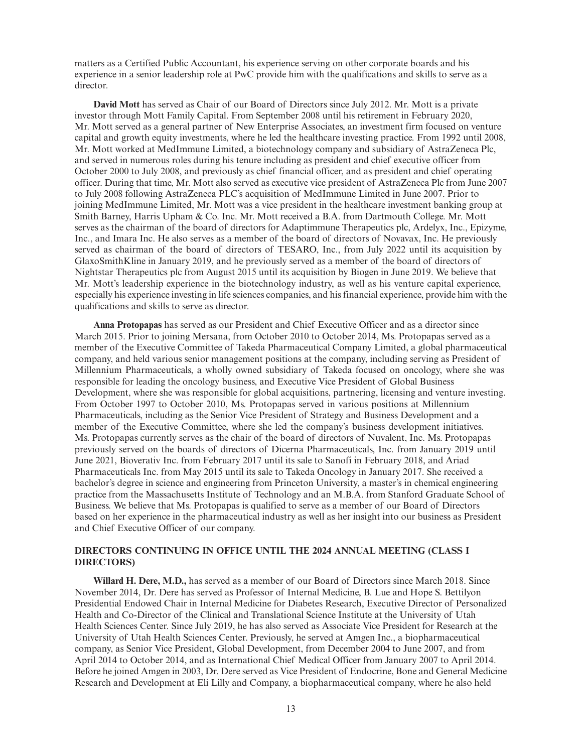matters as a Certified Public Accountant, his experience serving on other corporate boards and his experience in a senior leadership role at PwC provide him with the qualifications and skills to serve as a director.

**David Mott** has served as Chair of our Board of Directors since July 2012. Mr. Mott is a private investor through Mott Family Capital. From September 2008 until his retirement in February 2020, Mr. Mott served as a general partner of New Enterprise Associates, an investment firm focused on venture capital and growth equity investments, where he led the healthcare investing practice. From 1992 until 2008, Mr. Mott worked at MedImmune Limited, a biotechnology company and subsidiary of AstraZeneca Plc, and served in numerous roles during his tenure including as president and chief executive officer from October 2000 to July 2008, and previously as chief financial officer, and as president and chief operating officer. During that time, Mr. Mott also served as executive vice president of AstraZeneca Plc from June 2007 to July 2008 following AstraZeneca PLC's acquisition of MedImmune Limited in June 2007. Prior to joining MedImmune Limited, Mr. Mott was a vice president in the healthcare investment banking group at Smith Barney, Harris Upham & Co. Inc. Mr. Mott received a B.A. from Dartmouth College. Mr. Mott serves as the chairman of the board of directors for Adaptimmune Therapeutics plc, Ardelyx, Inc., Epizyme, Inc., and Imara Inc. He also serves as a member of the board of directors of Novavax, Inc. He previously served as chairman of the board of directors of TESARO, Inc., from July 2022 until its acquisition by GlaxoSmithKline in January 2019, and he previously served as a member of the board of directors of Nightstar Therapeutics plc from August 2015 until its acquisition by Biogen in June 2019. We believe that Mr. Mott's leadership experience in the biotechnology industry, as well as his venture capital experience, especially his experience investing in life sciences companies, and his financial experience, provide him with the qualifications and skills to serve as director.

**Anna Protopapas** has served as our President and Chief Executive Officer and as a director since March 2015. Prior to joining Mersana, from October 2010 to October 2014, Ms. Protopapas served as a member of the Executive Committee of Takeda Pharmaceutical Company Limited, a global pharmaceutical company, and held various senior management positions at the company, including serving as President of Millennium Pharmaceuticals, a wholly owned subsidiary of Takeda focused on oncology, where she was responsible for leading the oncology business, and Executive Vice President of Global Business Development, where she was responsible for global acquisitions, partnering, licensing and venture investing. From October 1997 to October 2010, Ms. Protopapas served in various positions at Millennium Pharmaceuticals, including as the Senior Vice President of Strategy and Business Development and a member of the Executive Committee, where she led the company's business development initiatives. Ms. Protopapas currently serves as the chair of the board of directors of Nuvalent, Inc. Ms. Protopapas previously served on the boards of directors of Dicerna Pharmaceuticals, Inc. from January 2019 until June 2021, Bioverativ Inc. from February 2017 until its sale to Sanofi in February 2018, and Ariad Pharmaceuticals Inc. from May 2015 until its sale to Takeda Oncology in January 2017. She received a bachelor's degree in science and engineering from Princeton University, a master's in chemical engineering practice from the Massachusetts Institute of Technology and an M.B.A. from Stanford Graduate School of Business. We believe that Ms. Protopapas is qualified to serve as a member of our Board of Directors based on her experience in the pharmaceutical industry as well as her insight into our business as President and Chief Executive Officer of our company.

# **DIRECTORS CONTINUING IN OFFICE UNTIL THE 2024 ANNUAL MEETING (CLASS I DIRECTORS)**

**Willard H. Dere, M.D.,** has served as a member of our Board of Directors since March 2018. Since November 2014, Dr. Dere has served as Professor of Internal Medicine, B. Lue and Hope S. Bettilyon Presidential Endowed Chair in Internal Medicine for Diabetes Research, Executive Director of Personalized Health and Co-Director of the Clinical and Translational Science Institute at the University of Utah Health Sciences Center. Since July 2019, he has also served as Associate Vice President for Research at the University of Utah Health Sciences Center. Previously, he served at Amgen Inc., a biopharmaceutical company, as Senior Vice President, Global Development, from December 2004 to June 2007, and from April 2014 to October 2014, and as International Chief Medical Officer from January 2007 to April 2014. Before he joined Amgen in 2003, Dr. Dere served as Vice President of Endocrine, Bone and General Medicine Research and Development at Eli Lilly and Company, a biopharmaceutical company, where he also held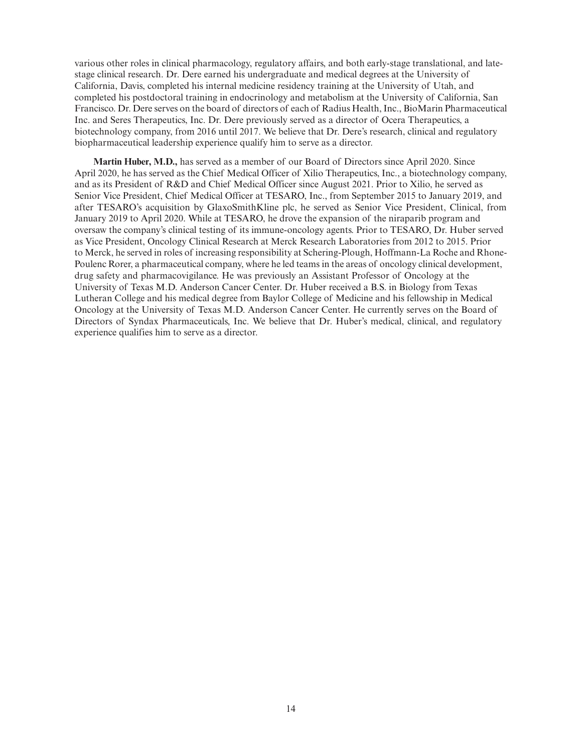various other roles in clinical pharmacology, regulatory affairs, and both early-stage translational, and latestage clinical research. Dr. Dere earned his undergraduate and medical degrees at the University of California, Davis, completed his internal medicine residency training at the University of Utah, and completed his postdoctoral training in endocrinology and metabolism at the University of California, San Francisco. Dr. Dere serves on the board of directors of each of Radius Health, Inc., BioMarin Pharmaceutical Inc. and Seres Therapeutics, Inc. Dr. Dere previously served as a director of Ocera Therapeutics, a biotechnology company, from 2016 until 2017. We believe that Dr. Dere's research, clinical and regulatory biopharmaceutical leadership experience qualify him to serve as a director.

**Martin Huber, M.D.,** has served as a member of our Board of Directors since April 2020. Since April 2020, he has served as the Chief Medical Officer of Xilio Therapeutics, Inc., a biotechnology company, and as its President of R&D and Chief Medical Officer since August 2021. Prior to Xilio, he served as Senior Vice President, Chief Medical Officer at TESARO, Inc., from September 2015 to January 2019, and after TESARO's acquisition by GlaxoSmithKline plc, he served as Senior Vice President, Clinical, from January 2019 to April 2020. While at TESARO, he drove the expansion of the niraparib program and oversaw the company's clinical testing of its immune-oncology agents. Prior to TESARO, Dr. Huber served as Vice President, Oncology Clinical Research at Merck Research Laboratories from 2012 to 2015. Prior to Merck, he served in roles of increasing responsibility at Schering-Plough, Hoffmann-La Roche and Rhone-Poulenc Rorer, a pharmaceutical company, where he led teams in the areas of oncology clinical development, drug safety and pharmacovigilance. He was previously an Assistant Professor of Oncology at the University of Texas M.D. Anderson Cancer Center. Dr. Huber received a B.S. in Biology from Texas Lutheran College and his medical degree from Baylor College of Medicine and his fellowship in Medical Oncology at the University of Texas M.D. Anderson Cancer Center. He currently serves on the Board of Directors of Syndax Pharmaceuticals, Inc. We believe that Dr. Huber's medical, clinical, and regulatory experience qualifies him to serve as a director.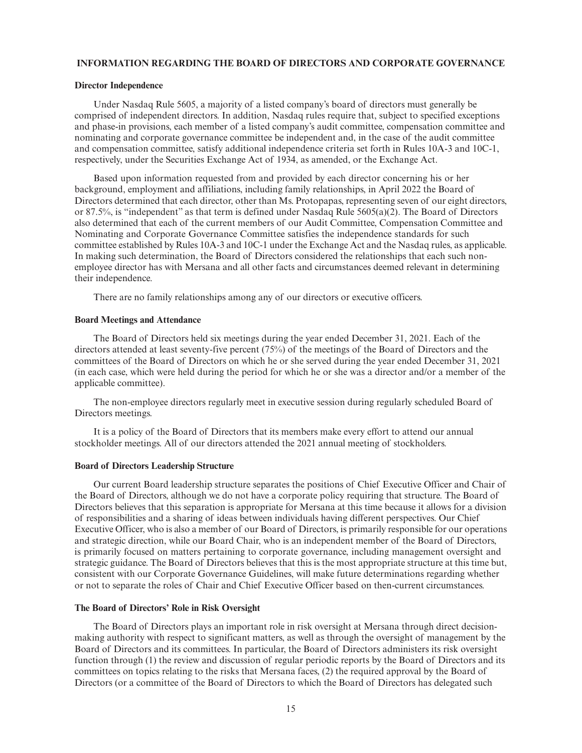# **INFORMATION REGARDING THE BOARD OF DIRECTORS AND CORPORATE GOVERNANCE**

#### **Director Independence**

Under Nasdaq Rule 5605, a majority of a listed company's board of directors must generally be comprised of independent directors. In addition, Nasdaq rules require that, subject to specified exceptions and phase-in provisions, each member of a listed company's audit committee, compensation committee and nominating and corporate governance committee be independent and, in the case of the audit committee and compensation committee, satisfy additional independence criteria set forth in Rules 10A-3 and 10C-1, respectively, under the Securities Exchange Act of 1934, as amended, or the Exchange Act.

Based upon information requested from and provided by each director concerning his or her background, employment and affiliations, including family relationships, in April 2022 the Board of Directors determined that each director, other than Ms. Protopapas, representing seven of our eight directors, or 87.5%, is "independent" as that term is defined under Nasdaq Rule 5605(a)(2). The Board of Directors also determined that each of the current members of our Audit Committee, Compensation Committee and Nominating and Corporate Governance Committee satisfies the independence standards for such committee established by Rules 10A-3 and 10C-1 under the Exchange Act and the Nasdaq rules, as applicable. In making such determination, the Board of Directors considered the relationships that each such nonemployee director has with Mersana and all other facts and circumstances deemed relevant in determining their independence.

There are no family relationships among any of our directors or executive officers.

#### **Board Meetings and Attendance**

The Board of Directors held six meetings during the year ended December 31, 2021. Each of the directors attended at least seventy-five percent (75%) of the meetings of the Board of Directors and the committees of the Board of Directors on which he or she served during the year ended December 31, 2021 (in each case, which were held during the period for which he or she was a director and/or a member of the applicable committee).

The non-employee directors regularly meet in executive session during regularly scheduled Board of Directors meetings.

It is a policy of the Board of Directors that its members make every effort to attend our annual stockholder meetings. All of our directors attended the 2021 annual meeting of stockholders.

# **Board of Directors Leadership Structure**

Our current Board leadership structure separates the positions of Chief Executive Officer and Chair of the Board of Directors, although we do not have a corporate policy requiring that structure. The Board of Directors believes that this separation is appropriate for Mersana at this time because it allows for a division of responsibilities and a sharing of ideas between individuals having different perspectives. Our Chief Executive Officer, who is also a member of our Board of Directors, is primarily responsible for our operations and strategic direction, while our Board Chair, who is an independent member of the Board of Directors, is primarily focused on matters pertaining to corporate governance, including management oversight and strategic guidance. The Board of Directors believes that this is the most appropriate structure at this time but, consistent with our Corporate Governance Guidelines, will make future determinations regarding whether or not to separate the roles of Chair and Chief Executive Officer based on then-current circumstances.

# **The Board of Directors' Role in Risk Oversight**

The Board of Directors plays an important role in risk oversight at Mersana through direct decisionmaking authority with respect to significant matters, as well as through the oversight of management by the Board of Directors and its committees. In particular, the Board of Directors administers its risk oversight function through (1) the review and discussion of regular periodic reports by the Board of Directors and its committees on topics relating to the risks that Mersana faces, (2) the required approval by the Board of Directors (or a committee of the Board of Directors to which the Board of Directors has delegated such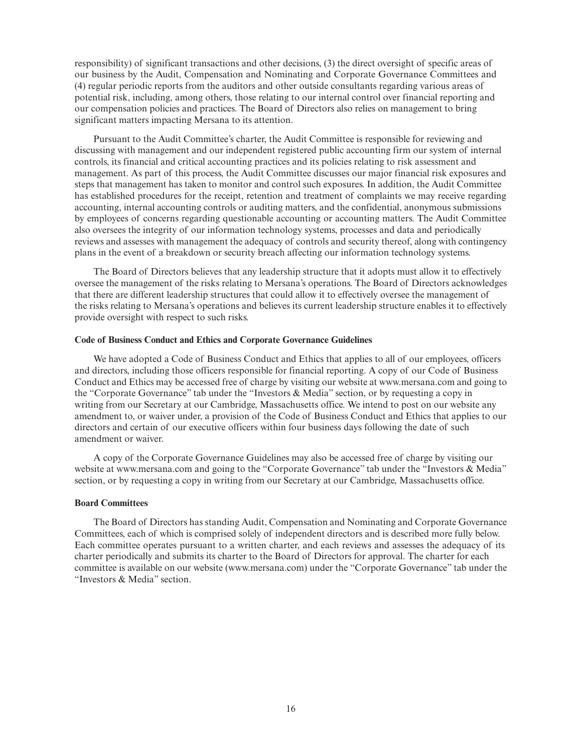responsibility) of significant transactions and other decisions, (3) the direct oversight of specific areas of our business by the Audit, Compensation and Nominating and Corporate Governance Committees and (4) regular periodic reports from the auditors and other outside consultants regarding various areas of potential risk, including, among others, those relating to our internal control over financial reporting and our compensation policies and practices. The Board of Directors also relies on management to bring significant matters impacting Mersana to its attention.

Pursuant to the Audit Committee's charter, the Audit Committee is responsible for reviewing and discussing with management and our independent registered public accounting firm our system of internal controls, its financial and critical accounting practices and its policies relating to risk assessment and management. As part of this process, the Audit Committee discusses our major financial risk exposures and steps that management has taken to monitor and control such exposures. In addition, the Audit Committee has established procedures for the receipt, retention and treatment of complaints we may receive regarding accounting, internal accounting controls or auditing matters, and the confidential, anonymous submissions by employees of concerns regarding questionable accounting or accounting matters. The Audit Committee also oversees the integrity of our information technology systems, processes and data and periodically reviews and assesses with management the adequacy of controls and security thereof, along with contingency plans in the event of a breakdown or security breach affecting our information technology systems.

The Board of Directors believes that any leadership structure that it adopts must allow it to effectively oversee the management of the risks relating to Mersana's operations. The Board of Directors acknowledges that there are different leadership structures that could allow it to effectively oversee the management of the risks relating to Mersana's operations and believes its current leadership structure enables it to effectively provide oversight with respect to such risks.

#### **Code of Business Conduct and Ethics and Corporate Governance Guidelines**

We have adopted a Code of Business Conduct and Ethics that applies to all of our employees, officers and directors, including those officers responsible for financial reporting. A copy of our Code of Business Conduct and Ethics may be accessed free of charge by visiting our website at www.mersana.com and going to the "Corporate Governance" tab under the "Investors & Media" section, or by requesting a copy in writing from our Secretary at our Cambridge, Massachusetts office. We intend to post on our website any amendment to, or waiver under, a provision of the Code of Business Conduct and Ethics that applies to our directors and certain of our executive officers within four business days following the date of such amendment or waiver.

A copy of the Corporate Governance Guidelines may also be accessed free of charge by visiting our website at www.mersana.com and going to the "Corporate Governance" tab under the "Investors & Media" section, or by requesting a copy in writing from our Secretary at our Cambridge, Massachusetts office.

## **Board Committees**

The Board of Directors has standing Audit, Compensation and Nominating and Corporate Governance Committees, each of which is comprised solely of independent directors and is described more fully below. Each committee operates pursuant to a written charter, and each reviews and assesses the adequacy of its charter periodically and submits its charter to the Board of Directors for approval. The charter for each committee is available on our website (www.mersana.com) under the "Corporate Governance" tab under the "Investors & Media" section.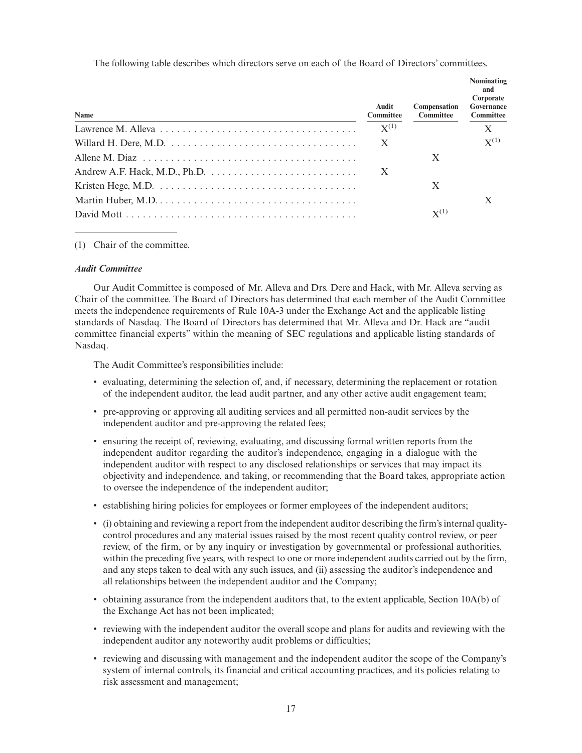The following table describes which directors serve on each of the Board of Directors' committees.

| Name                                                                                               | Audit<br><b>Committee</b> | Compensation<br><b>Committee</b> | Nominating<br>and<br>Corporate<br>Governance<br><b>Committee</b> |
|----------------------------------------------------------------------------------------------------|---------------------------|----------------------------------|------------------------------------------------------------------|
|                                                                                                    | $X^{(1)}$                 |                                  | X                                                                |
|                                                                                                    | $\mathbf{X}$              |                                  | $X^{(1)}$                                                        |
|                                                                                                    |                           | X                                |                                                                  |
| Andrew A.F. Hack, M.D., Ph.D. $\dots \dots \dots \dots \dots \dots \dots \dots \dots \dots$        | $\mathbf{X}$              |                                  |                                                                  |
| Kristen Hege, M.D. $\dots \dots \dots \dots \dots \dots \dots \dots \dots \dots \dots \dots \dots$ |                           | X                                |                                                                  |
|                                                                                                    |                           |                                  | X                                                                |
|                                                                                                    |                           | $X^{(1)}$                        |                                                                  |

# (1) Chair of the committee.

# *Audit Committee*

Our Audit Committee is composed of Mr. Alleva and Drs. Dere and Hack, with Mr. Alleva serving as Chair of the committee. The Board of Directors has determined that each member of the Audit Committee meets the independence requirements of Rule 10A-3 under the Exchange Act and the applicable listing standards of Nasdaq. The Board of Directors has determined that Mr. Alleva and Dr. Hack are "audit committee financial experts" within the meaning of SEC regulations and applicable listing standards of Nasdaq.

The Audit Committee's responsibilities include:

- evaluating, determining the selection of, and, if necessary, determining the replacement or rotation of the independent auditor, the lead audit partner, and any other active audit engagement team;
- pre-approving or approving all auditing services and all permitted non-audit services by the independent auditor and pre-approving the related fees;
- ensuring the receipt of, reviewing, evaluating, and discussing formal written reports from the independent auditor regarding the auditor's independence, engaging in a dialogue with the independent auditor with respect to any disclosed relationships or services that may impact its objectivity and independence, and taking, or recommending that the Board takes, appropriate action to oversee the independence of the independent auditor;
- establishing hiring policies for employees or former employees of the independent auditors;
- (i) obtaining and reviewing a report from the independent auditor describing the firm's internal qualitycontrol procedures and any material issues raised by the most recent quality control review, or peer review, of the firm, or by any inquiry or investigation by governmental or professional authorities, within the preceding five years, with respect to one or more independent audits carried out by the firm, and any steps taken to deal with any such issues, and (ii) assessing the auditor's independence and all relationships between the independent auditor and the Company;
- obtaining assurance from the independent auditors that, to the extent applicable, Section 10A(b) of the Exchange Act has not been implicated;
- reviewing with the independent auditor the overall scope and plans for audits and reviewing with the independent auditor any noteworthy audit problems or difficulties;
- reviewing and discussing with management and the independent auditor the scope of the Company's system of internal controls, its financial and critical accounting practices, and its policies relating to risk assessment and management;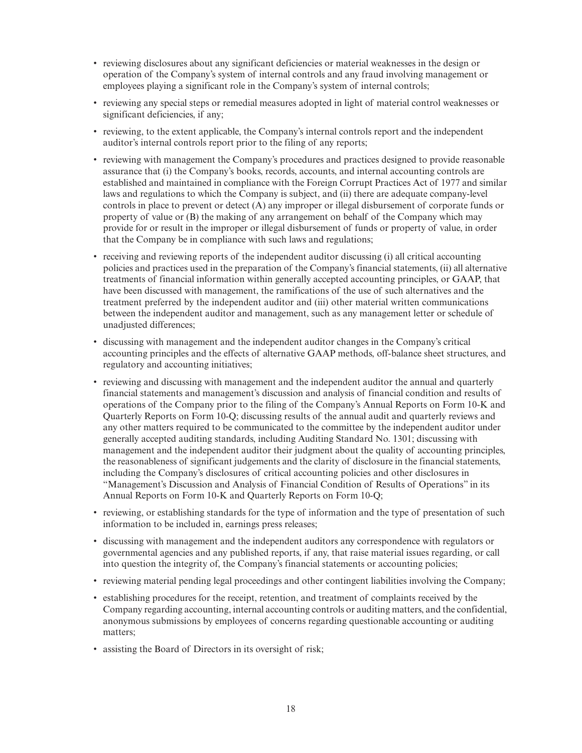- reviewing disclosures about any significant deficiencies or material weaknesses in the design or operation of the Company's system of internal controls and any fraud involving management or employees playing a significant role in the Company's system of internal controls;
- reviewing any special steps or remedial measures adopted in light of material control weaknesses or significant deficiencies, if any;
- reviewing, to the extent applicable, the Company's internal controls report and the independent auditor's internal controls report prior to the filing of any reports;
- reviewing with management the Company's procedures and practices designed to provide reasonable assurance that (i) the Company's books, records, accounts, and internal accounting controls are established and maintained in compliance with the Foreign Corrupt Practices Act of 1977 and similar laws and regulations to which the Company is subject, and (ii) there are adequate company-level controls in place to prevent or detect (A) any improper or illegal disbursement of corporate funds or property of value or (B) the making of any arrangement on behalf of the Company which may provide for or result in the improper or illegal disbursement of funds or property of value, in order that the Company be in compliance with such laws and regulations;
- receiving and reviewing reports of the independent auditor discussing (i) all critical accounting policies and practices used in the preparation of the Company's financial statements, (ii) all alternative treatments of financial information within generally accepted accounting principles, or GAAP, that have been discussed with management, the ramifications of the use of such alternatives and the treatment preferred by the independent auditor and (iii) other material written communications between the independent auditor and management, such as any management letter or schedule of unadjusted differences;
- discussing with management and the independent auditor changes in the Company's critical accounting principles and the effects of alternative GAAP methods, off-balance sheet structures, and regulatory and accounting initiatives;
- reviewing and discussing with management and the independent auditor the annual and quarterly financial statements and management's discussion and analysis of financial condition and results of operations of the Company prior to the filing of the Company's Annual Reports on Form 10-K and Quarterly Reports on Form 10-Q; discussing results of the annual audit and quarterly reviews and any other matters required to be communicated to the committee by the independent auditor under generally accepted auditing standards, including Auditing Standard No. 1301; discussing with management and the independent auditor their judgment about the quality of accounting principles, the reasonableness of significant judgements and the clarity of disclosure in the financial statements, including the Company's disclosures of critical accounting policies and other disclosures in "Management's Discussion and Analysis of Financial Condition of Results of Operations" in its Annual Reports on Form 10-K and Quarterly Reports on Form 10-Q;
- reviewing, or establishing standards for the type of information and the type of presentation of such information to be included in, earnings press releases;
- discussing with management and the independent auditors any correspondence with regulators or governmental agencies and any published reports, if any, that raise material issues regarding, or call into question the integrity of, the Company's financial statements or accounting policies;
- reviewing material pending legal proceedings and other contingent liabilities involving the Company;
- establishing procedures for the receipt, retention, and treatment of complaints received by the Company regarding accounting, internal accounting controls or auditing matters, and the confidential, anonymous submissions by employees of concerns regarding questionable accounting or auditing matters;
- assisting the Board of Directors in its oversight of risk;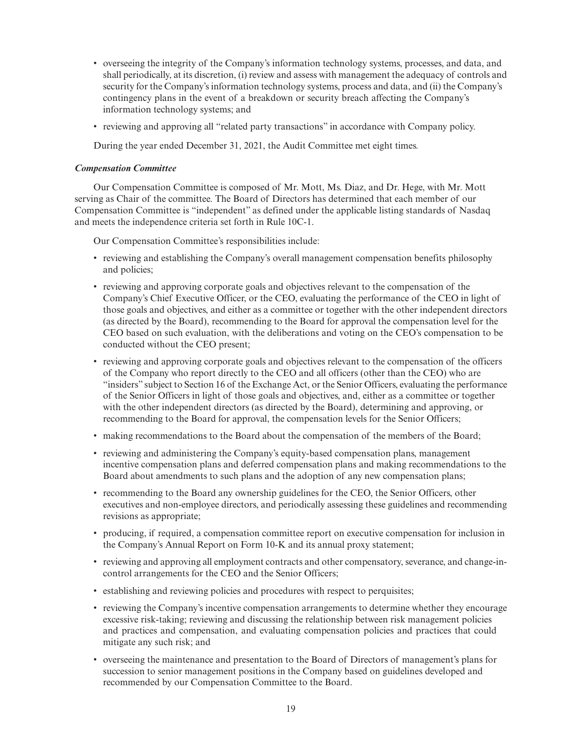- overseeing the integrity of the Company's information technology systems, processes, and data, and shall periodically, at its discretion, (i) review and assess with management the adequacy of controls and security for the Company's information technology systems, process and data, and (ii) the Company's contingency plans in the event of a breakdown or security breach affecting the Company's information technology systems; and
- reviewing and approving all "related party transactions" in accordance with Company policy.

During the year ended December 31, 2021, the Audit Committee met eight times.

# *Compensation Committee*

Our Compensation Committee is composed of Mr. Mott, Ms. Diaz, and Dr. Hege, with Mr. Mott serving as Chair of the committee. The Board of Directors has determined that each member of our Compensation Committee is "independent" as defined under the applicable listing standards of Nasdaq and meets the independence criteria set forth in Rule 10C-1.

Our Compensation Committee's responsibilities include:

- reviewing and establishing the Company's overall management compensation benefits philosophy and policies;
- reviewing and approving corporate goals and objectives relevant to the compensation of the Company's Chief Executive Officer, or the CEO, evaluating the performance of the CEO in light of those goals and objectives, and either as a committee or together with the other independent directors (as directed by the Board), recommending to the Board for approval the compensation level for the CEO based on such evaluation, with the deliberations and voting on the CEO's compensation to be conducted without the CEO present;
- reviewing and approving corporate goals and objectives relevant to the compensation of the officers of the Company who report directly to the CEO and all officers (other than the CEO) who are "insiders" subject to Section 16 of the Exchange Act, or the Senior Officers, evaluating the performance of the Senior Officers in light of those goals and objectives, and, either as a committee or together with the other independent directors (as directed by the Board), determining and approving, or recommending to the Board for approval, the compensation levels for the Senior Officers;
- making recommendations to the Board about the compensation of the members of the Board;
- reviewing and administering the Company's equity-based compensation plans, management incentive compensation plans and deferred compensation plans and making recommendations to the Board about amendments to such plans and the adoption of any new compensation plans;
- recommending to the Board any ownership guidelines for the CEO, the Senior Officers, other executives and non-employee directors, and periodically assessing these guidelines and recommending revisions as appropriate;
- producing, if required, a compensation committee report on executive compensation for inclusion in the Company's Annual Report on Form 10-K and its annual proxy statement;
- reviewing and approving all employment contracts and other compensatory, severance, and change-incontrol arrangements for the CEO and the Senior Officers;
- establishing and reviewing policies and procedures with respect to perquisites;
- reviewing the Company's incentive compensation arrangements to determine whether they encourage excessive risk-taking; reviewing and discussing the relationship between risk management policies and practices and compensation, and evaluating compensation policies and practices that could mitigate any such risk; and
- overseeing the maintenance and presentation to the Board of Directors of management's plans for succession to senior management positions in the Company based on guidelines developed and recommended by our Compensation Committee to the Board.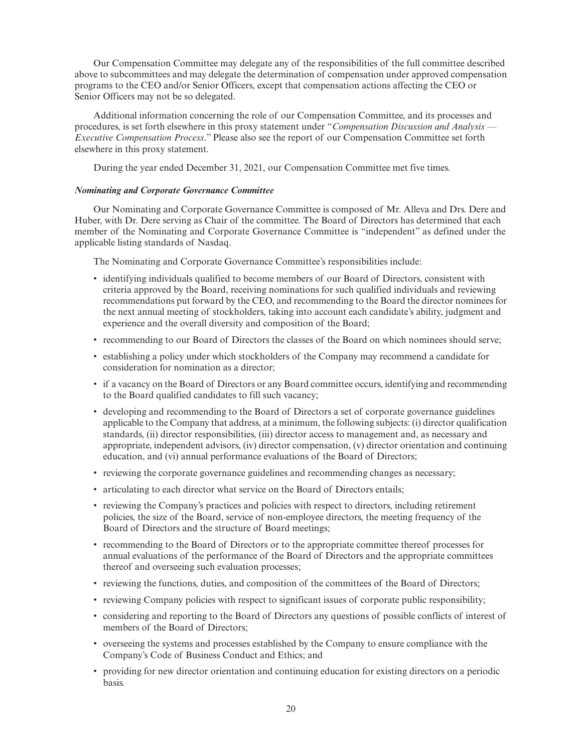Our Compensation Committee may delegate any of the responsibilities of the full committee described above to subcommittees and may delegate the determination of compensation under approved compensation programs to the CEO and/or Senior Officers, except that compensation actions affecting the CEO or Senior Officers may not be so delegated.

Additional information concerning the role of our Compensation Committee, and its processes and procedures, is set forth elsewhere in this proxy statement under "*Compensation Discussion and Analysis — Executive Compensation Process*." Please also see the report of our Compensation Committee set forth elsewhere in this proxy statement.

During the year ended December 31, 2021, our Compensation Committee met five times.

# *Nominating and Corporate Governance Committee*

Our Nominating and Corporate Governance Committee is composed of Mr. Alleva and Drs. Dere and Huber, with Dr. Dere serving as Chair of the committee. The Board of Directors has determined that each member of the Nominating and Corporate Governance Committee is "independent" as defined under the applicable listing standards of Nasdaq.

The Nominating and Corporate Governance Committee's responsibilities include:

- identifying individuals qualified to become members of our Board of Directors, consistent with criteria approved by the Board, receiving nominations for such qualified individuals and reviewing recommendations put forward by the CEO, and recommending to the Board the director nominees for the next annual meeting of stockholders, taking into account each candidate's ability, judgment and experience and the overall diversity and composition of the Board;
- recommending to our Board of Directors the classes of the Board on which nominees should serve;
- establishing a policy under which stockholders of the Company may recommend a candidate for consideration for nomination as a director;
- if a vacancy on the Board of Directors or any Board committee occurs, identifying and recommending to the Board qualified candidates to fill such vacancy;
- developing and recommending to the Board of Directors a set of corporate governance guidelines applicable to the Company that address, at a minimum, the following subjects: (i) director qualification standards, (ii) director responsibilities, (iii) director access to management and, as necessary and appropriate, independent advisors, (iv) director compensation, (v) director orientation and continuing education, and (vi) annual performance evaluations of the Board of Directors;
- reviewing the corporate governance guidelines and recommending changes as necessary;
- articulating to each director what service on the Board of Directors entails;
- reviewing the Company's practices and policies with respect to directors, including retirement policies, the size of the Board, service of non-employee directors, the meeting frequency of the Board of Directors and the structure of Board meetings;
- recommending to the Board of Directors or to the appropriate committee thereof processes for annual evaluations of the performance of the Board of Directors and the appropriate committees thereof and overseeing such evaluation processes;
- reviewing the functions, duties, and composition of the committees of the Board of Directors;
- reviewing Company policies with respect to significant issues of corporate public responsibility;
- considering and reporting to the Board of Directors any questions of possible conflicts of interest of members of the Board of Directors;
- overseeing the systems and processes established by the Company to ensure compliance with the Company's Code of Business Conduct and Ethics; and
- providing for new director orientation and continuing education for existing directors on a periodic basis.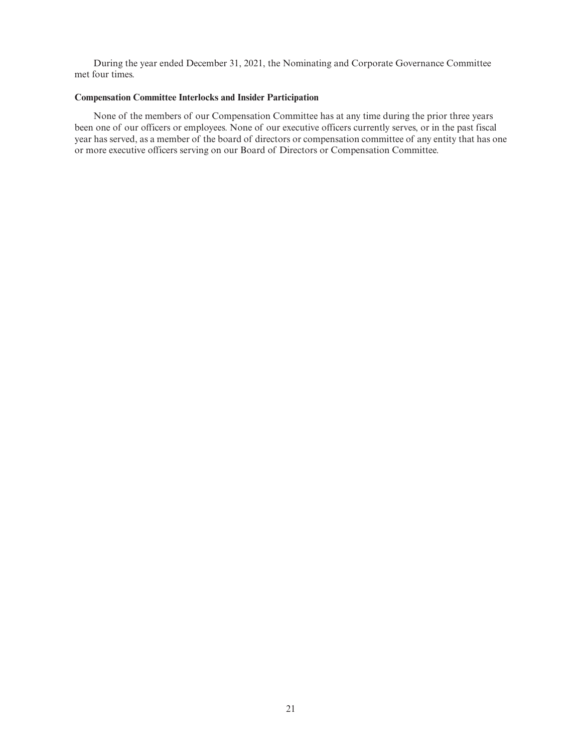During the year ended December 31, 2021, the Nominating and Corporate Governance Committee met four times.

# **Compensation Committee Interlocks and Insider Participation**

None of the members of our Compensation Committee has at any time during the prior three years been one of our officers or employees. None of our executive officers currently serves, or in the past fiscal year has served, as a member of the board of directors or compensation committee of any entity that has one or more executive officers serving on our Board of Directors or Compensation Committee.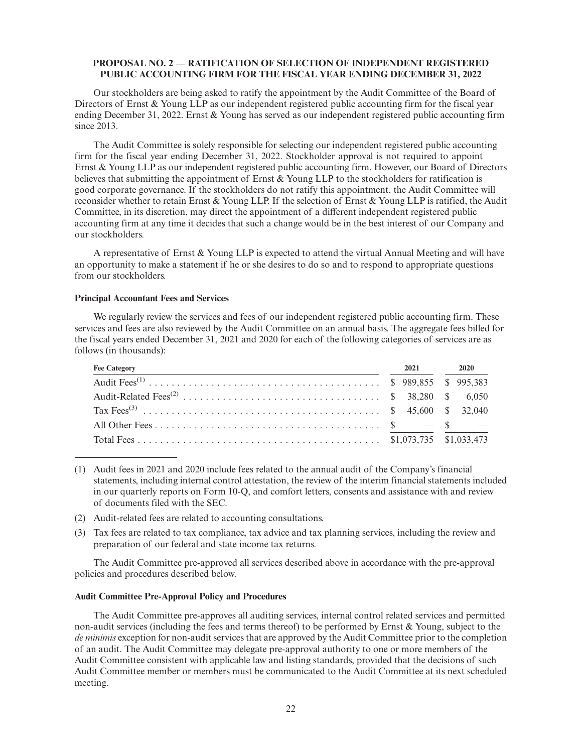# **PROPOSAL NO. 2 — RATIFICATION OF SELECTION OF INDEPENDENT REGISTERED PUBLIC ACCOUNTING FIRM FOR THE FISCAL YEAR ENDING DECEMBER 31, 2022**

Our stockholders are being asked to ratify the appointment by the Audit Committee of the Board of Directors of Ernst & Young LLP as our independent registered public accounting firm for the fiscal year ending December 31, 2022. Ernst & Young has served as our independent registered public accounting firm since 2013.

The Audit Committee is solely responsible for selecting our independent registered public accounting firm for the fiscal year ending December 31, 2022. Stockholder approval is not required to appoint Ernst & Young LLP as our independent registered public accounting firm. However, our Board of Directors believes that submitting the appointment of Ernst & Young LLP to the stockholders for ratification is good corporate governance. If the stockholders do not ratify this appointment, the Audit Committee will reconsider whether to retain Ernst & Young LLP. If the selection of Ernst & Young LLP is ratified, the Audit Committee, in its discretion, may direct the appointment of a different independent registered public accounting firm at any time it decides that such a change would be in the best interest of our Company and our stockholders.

A representative of Ernst & Young LLP is expected to attend the virtual Annual Meeting and will have an opportunity to make a statement if he or she desires to do so and to respond to appropriate questions from our stockholders.

# **Principal Accountant Fees and Services**

We regularly review the services and fees of our independent registered public accounting firm. These services and fees are also reviewed by the Audit Committee on an annual basis. The aggregate fees billed for the fiscal years ended December 31, 2021 and 2020 for each of the following categories of services are as follows (in thousands):

| <b>Fee Category</b> | 2021 2020 |  |
|---------------------|-----------|--|
|                     |           |  |
|                     |           |  |
|                     |           |  |
|                     |           |  |
|                     |           |  |

<sup>(1)</sup> Audit fees in 2021 and 2020 include fees related to the annual audit of the Company's financial statements, including internal control attestation, the review of the interim financial statements included in our quarterly reports on Form 10-Q, and comfort letters, consents and assistance with and review of documents filed with the SEC.

- (2) Audit-related fees are related to accounting consultations.
- (3) Tax fees are related to tax compliance, tax advice and tax planning services, including the review and preparation of our federal and state income tax returns.

The Audit Committee pre-approved all services described above in accordance with the pre-approval policies and procedures described below.

## **Audit Committee Pre-Approval Policy and Procedures**

The Audit Committee pre-approves all auditing services, internal control related services and permitted non-audit services (including the fees and terms thereof) to be performed by Ernst & Young, subject to the *de minimis* exception for non-audit services that are approved by the Audit Committee prior to the completion of an audit. The Audit Committee may delegate pre-approval authority to one or more members of the Audit Committee consistent with applicable law and listing standards, provided that the decisions of such Audit Committee member or members must be communicated to the Audit Committee at its next scheduled meeting.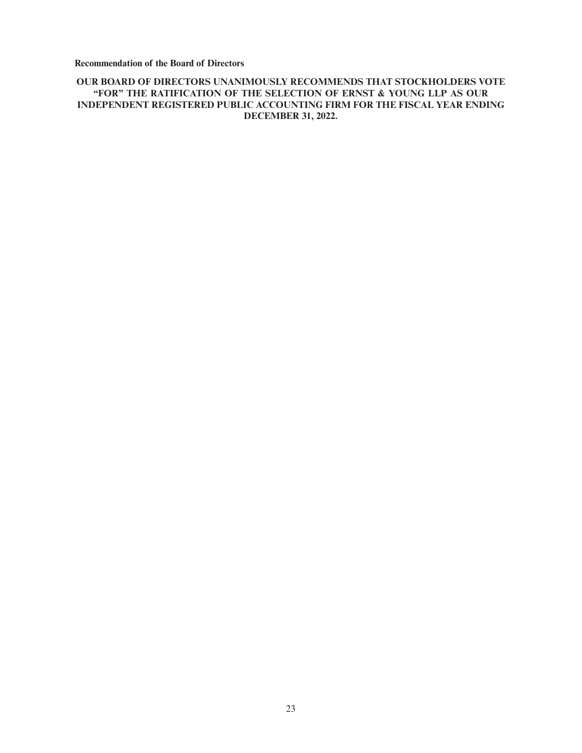**Recommendation of the Board of Directors**

# **OUR BOARD OF DIRECTORS UNANIMOUSLY RECOMMENDS THAT STOCKHOLDERS VOTE "FOR" THE RATIFICATION OF THE SELECTION OF ERNST & YOUNG LLP AS OUR INDEPENDENT REGISTERED PUBLIC ACCOUNTING FIRM FOR THE FISCAL YEAR ENDING DECEMBER 31, 2022.**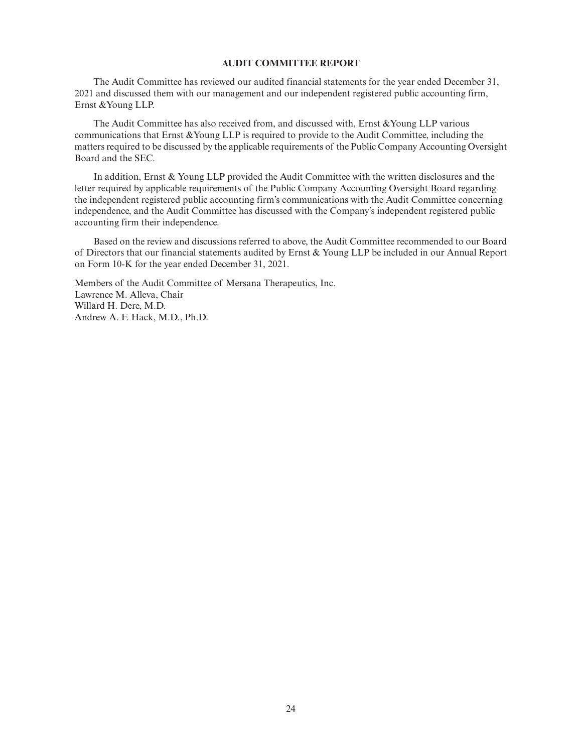# **AUDIT COMMITTEE REPORT**

The Audit Committee has reviewed our audited financial statements for the year ended December 31, 2021 and discussed them with our management and our independent registered public accounting firm, Ernst &Young LLP.

The Audit Committee has also received from, and discussed with, Ernst &Young LLP various communications that Ernst &Young LLP is required to provide to the Audit Committee, including the matters required to be discussed by the applicable requirements of the Public Company Accounting Oversight Board and the SEC.

In addition, Ernst & Young LLP provided the Audit Committee with the written disclosures and the letter required by applicable requirements of the Public Company Accounting Oversight Board regarding the independent registered public accounting firm's communications with the Audit Committee concerning independence, and the Audit Committee has discussed with the Company's independent registered public accounting firm their independence.

Based on the review and discussions referred to above, the Audit Committee recommended to our Board of Directors that our financial statements audited by Ernst & Young LLP be included in our Annual Report on Form 10-K for the year ended December 31, 2021.

Members of the Audit Committee of Mersana Therapeutics, Inc. Lawrence M. Alleva, Chair Willard H. Dere, M.D. Andrew A. F. Hack, M.D., Ph.D.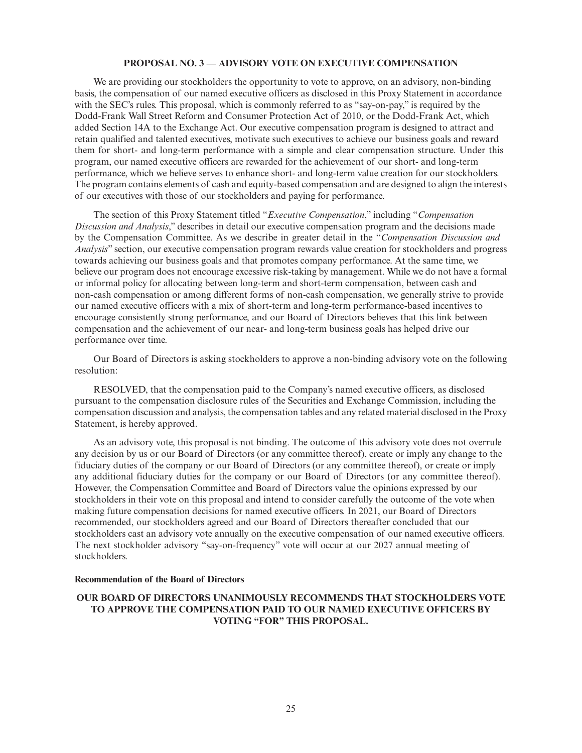# **PROPOSAL NO. 3 — ADVISORY VOTE ON EXECUTIVE COMPENSATION**

We are providing our stockholders the opportunity to vote to approve, on an advisory, non-binding basis, the compensation of our named executive officers as disclosed in this Proxy Statement in accordance with the SEC's rules. This proposal, which is commonly referred to as "say-on-pay," is required by the Dodd-Frank Wall Street Reform and Consumer Protection Act of 2010, or the Dodd-Frank Act, which added Section 14A to the Exchange Act. Our executive compensation program is designed to attract and retain qualified and talented executives, motivate such executives to achieve our business goals and reward them for short- and long-term performance with a simple and clear compensation structure. Under this program, our named executive officers are rewarded for the achievement of our short- and long-term performance, which we believe serves to enhance short- and long-term value creation for our stockholders. The program contains elements of cash and equity-based compensation and are designed to align the interests of our executives with those of our stockholders and paying for performance.

The section of this Proxy Statement titled "*Executive Compensation*," including "*Compensation Discussion and Analysis*," describes in detail our executive compensation program and the decisions made by the Compensation Committee. As we describe in greater detail in the "*Compensation Discussion and Analysis*" section, our executive compensation program rewards value creation for stockholders and progress towards achieving our business goals and that promotes company performance. At the same time, we believe our program does not encourage excessive risk-taking by management. While we do not have a formal or informal policy for allocating between long-term and short-term compensation, between cash and non-cash compensation or among different forms of non-cash compensation, we generally strive to provide our named executive officers with a mix of short-term and long-term performance-based incentives to encourage consistently strong performance, and our Board of Directors believes that this link between compensation and the achievement of our near- and long-term business goals has helped drive our performance over time.

Our Board of Directors is asking stockholders to approve a non-binding advisory vote on the following resolution:

RESOLVED, that the compensation paid to the Company's named executive officers, as disclosed pursuant to the compensation disclosure rules of the Securities and Exchange Commission, including the compensation discussion and analysis, the compensation tables and any related material disclosed in the Proxy Statement, is hereby approved.

As an advisory vote, this proposal is not binding. The outcome of this advisory vote does not overrule any decision by us or our Board of Directors (or any committee thereof), create or imply any change to the fiduciary duties of the company or our Board of Directors (or any committee thereof), or create or imply any additional fiduciary duties for the company or our Board of Directors (or any committee thereof). However, the Compensation Committee and Board of Directors value the opinions expressed by our stockholders in their vote on this proposal and intend to consider carefully the outcome of the vote when making future compensation decisions for named executive officers. In 2021, our Board of Directors recommended, our stockholders agreed and our Board of Directors thereafter concluded that our stockholders cast an advisory vote annually on the executive compensation of our named executive officers. The next stockholder advisory "say-on-frequency" vote will occur at our 2027 annual meeting of stockholders.

# **Recommendation of the Board of Directors**

# **OUR BOARD OF DIRECTORS UNANIMOUSLY RECOMMENDS THAT STOCKHOLDERS VOTE TO APPROVE THE COMPENSATION PAID TO OUR NAMED EXECUTIVE OFFICERS BY VOTING "FOR" THIS PROPOSAL.**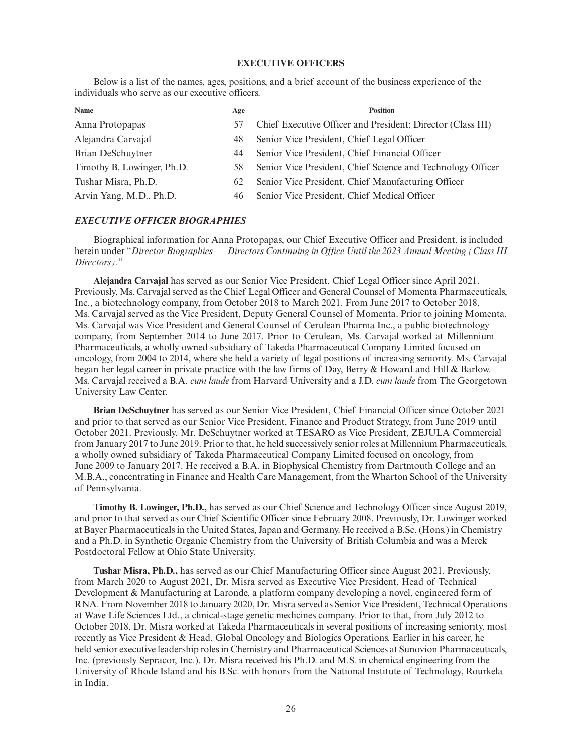# **EXECUTIVE OFFICERS**

Below is a list of the names, ages, positions, and a brief account of the business experience of the individuals who serve as our executive officers.

| Name                       | Age | <b>Position</b>                                             |
|----------------------------|-----|-------------------------------------------------------------|
| Anna Protopapas            | 57  | Chief Executive Officer and President; Director (Class III) |
| Alejandra Carvajal         | 48  | Senior Vice President, Chief Legal Officer                  |
| Brian DeSchuytner          | 44  | Senior Vice President, Chief Financial Officer              |
| Timothy B. Lowinger, Ph.D. | 58  | Senior Vice President, Chief Science and Technology Officer |
| Tushar Misra, Ph.D.        | 62  | Senior Vice President, Chief Manufacturing Officer          |
| Arvin Yang, M.D., Ph.D.    | 46  | Senior Vice President, Chief Medical Officer                |

# *EXECUTIVE OFFICER BIOGRAPHIES*

Biographical information for Anna Protopapas, our Chief Executive Officer and President, is included herein under "*Director Biographies — Directors Continuing in Office Until the 2023 Annual Meeting (Class III Directors)*."

**Alejandra Carvajal** has served as our Senior Vice President, Chief Legal Officer since April 2021. Previously, Ms. Carvajal served as the Chief Legal Officer and General Counsel of Momenta Pharmaceuticals, Inc., a biotechnology company, from October 2018 to March 2021. From June 2017 to October 2018, Ms. Carvajal served as the Vice President, Deputy General Counsel of Momenta. Prior to joining Momenta, Ms. Carvajal was Vice President and General Counsel of Cerulean Pharma Inc., a public biotechnology company, from September 2014 to June 2017. Prior to Cerulean, Ms. Carvajal worked at Millennium Pharmaceuticals, a wholly owned subsidiary of Takeda Pharmaceutical Company Limited focused on oncology, from 2004 to 2014, where she held a variety of legal positions of increasing seniority. Ms. Carvajal began her legal career in private practice with the law firms of Day, Berry & Howard and Hill & Barlow. Ms. Carvajal received a B.A. *cum laude* from Harvard University and a J.D. *cum laude* from The Georgetown University Law Center.

**Brian DeSchuytner** has served as our Senior Vice President, Chief Financial Officer since October 2021 and prior to that served as our Senior Vice President, Finance and Product Strategy, from June 2019 until October 2021. Previously, Mr. DeSchuytner worked at TESARO as Vice President, ZEJULA Commercial from January 2017 to June 2019. Prior to that, he held successively senior roles at Millennium Pharmaceuticals, a wholly owned subsidiary of Takeda Pharmaceutical Company Limited focused on oncology, from June 2009 to January 2017. He received a B.A. in Biophysical Chemistry from Dartmouth College and an M.B.A., concentrating in Finance and Health Care Management, from the Wharton School of the University of Pennsylvania.

**Timothy B. Lowinger, Ph.D.,** has served as our Chief Science and Technology Officer since August 2019, and prior to that served as our Chief Scientific Officer since February 2008. Previously, Dr. Lowinger worked at Bayer Pharmaceuticals in the United States, Japan and Germany. He received a B.Sc. (Hons.) in Chemistry and a Ph.D. in Synthetic Organic Chemistry from the University of British Columbia and was a Merck Postdoctoral Fellow at Ohio State University.

**Tushar Misra, Ph.D.,** has served as our Chief Manufacturing Officer since August 2021. Previously, from March 2020 to August 2021, Dr. Misra served as Executive Vice President, Head of Technical Development & Manufacturing at Laronde, a platform company developing a novel, engineered form of RNA. From November 2018 to January 2020, Dr. Misra served as Senior Vice President, Technical Operations at Wave Life Sciences Ltd., a clinical-stage genetic medicines company. Prior to that, from July 2012 to October 2018, Dr. Misra worked at Takeda Pharmaceuticals in several positions of increasing seniority, most recently as Vice President & Head, Global Oncology and Biologics Operations. Earlier in his career, he held senior executive leadership roles in Chemistry and Pharmaceutical Sciences at Sunovion Pharmaceuticals, Inc. (previously Sepracor, Inc.). Dr. Misra received his Ph.D. and M.S. in chemical engineering from the University of Rhode Island and his B.Sc. with honors from the National Institute of Technology, Rourkela in India.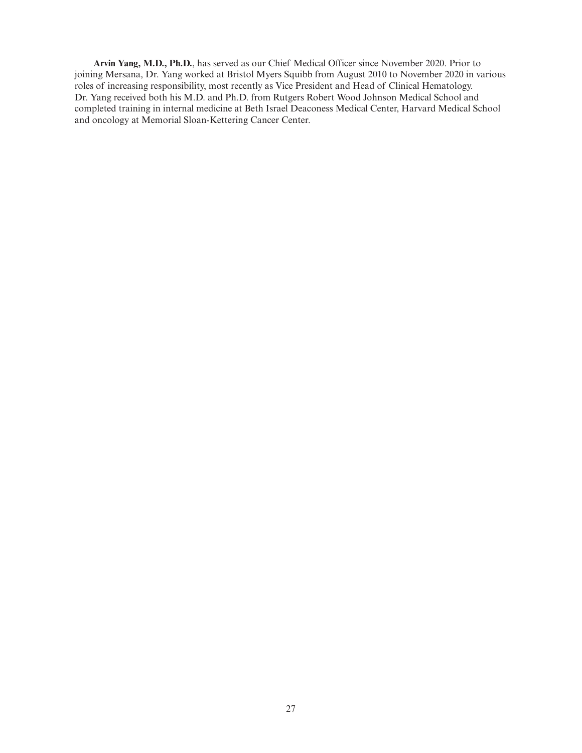**Arvin Yang, M.D., Ph.D.**, has served as our Chief Medical Officer since November 2020. Prior to joining Mersana, Dr. Yang worked at Bristol Myers Squibb from August 2010 to November 2020 in various roles of increasing responsibility, most recently as Vice President and Head of Clinical Hematology. Dr. Yang received both his M.D. and Ph.D. from Rutgers Robert Wood Johnson Medical School and completed training in internal medicine at Beth Israel Deaconess Medical Center, Harvard Medical School and oncology at Memorial Sloan-Kettering Cancer Center.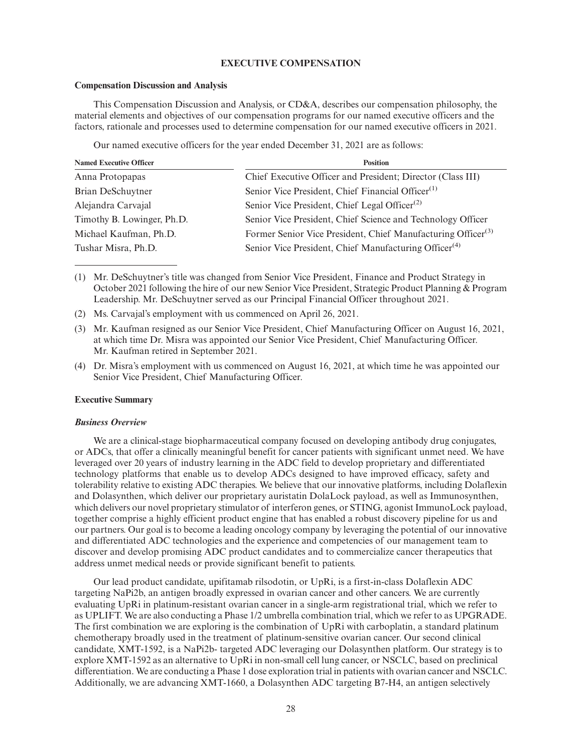## **EXECUTIVE COMPENSATION**

#### **Compensation Discussion and Analysis**

This Compensation Discussion and Analysis, or CD&A, describes our compensation philosophy, the material elements and objectives of our compensation programs for our named executive officers and the factors, rationale and processes used to determine compensation for our named executive officers in 2021.

Our named executive officers for the year ended December 31, 2021 are as follows:

| <b>Named Executive Officer</b> | <b>Position</b>                                                          |
|--------------------------------|--------------------------------------------------------------------------|
| Anna Protopapas                | Chief Executive Officer and President; Director (Class III)              |
| Brian DeSchuytner              | Senior Vice President, Chief Financial Officer <sup>(1)</sup>            |
| Alejandra Carvajal             | Senior Vice President, Chief Legal Officer <sup>(2)</sup>                |
| Timothy B. Lowinger, Ph.D.     | Senior Vice President, Chief Science and Technology Officer              |
| Michael Kaufman, Ph.D.         | Former Senior Vice President, Chief Manufacturing Officer <sup>(3)</sup> |
| Tushar Misra, Ph.D.            | Senior Vice President, Chief Manufacturing Officer <sup>(4)</sup>        |

(1) Mr. DeSchuytner's title was changed from Senior Vice President, Finance and Product Strategy in October 2021 following the hire of our new Senior Vice President, Strategic Product Planning & Program Leadership. Mr. DeSchuytner served as our Principal Financial Officer throughout 2021.

(2) Ms. Carvajal's employment with us commenced on April 26, 2021.

(3) Mr. Kaufman resigned as our Senior Vice President, Chief Manufacturing Officer on August 16, 2021, at which time Dr. Misra was appointed our Senior Vice President, Chief Manufacturing Officer. Mr. Kaufman retired in September 2021.

(4) Dr. Misra's employment with us commenced on August 16, 2021, at which time he was appointed our Senior Vice President, Chief Manufacturing Officer.

## **Executive Summary**

# *Business Overview*

We are a clinical-stage biopharmaceutical company focused on developing antibody drug conjugates, or ADCs, that offer a clinically meaningful benefit for cancer patients with significant unmet need. We have leveraged over 20 years of industry learning in the ADC field to develop proprietary and differentiated technology platforms that enable us to develop ADCs designed to have improved efficacy, safety and tolerability relative to existing ADC therapies. We believe that our innovative platforms, including Dolaflexin and Dolasynthen, which deliver our proprietary auristatin DolaLock payload, as well as Immunosynthen, which delivers our novel proprietary stimulator of interferon genes, or STING, agonist ImmunoLock payload, together comprise a highly efficient product engine that has enabled a robust discovery pipeline for us and our partners. Our goal is to become a leading oncology company by leveraging the potential of our innovative and differentiated ADC technologies and the experience and competencies of our management team to discover and develop promising ADC product candidates and to commercialize cancer therapeutics that address unmet medical needs or provide significant benefit to patients.

Our lead product candidate, upifitamab rilsodotin, or UpRi, is a first-in-class Dolaflexin ADC targeting NaPi2b, an antigen broadly expressed in ovarian cancer and other cancers. We are currently evaluating UpRi in platinum-resistant ovarian cancer in a single-arm registrational trial, which we refer to as UPLIFT. We are also conducting a Phase 1/2 umbrella combination trial, which we refer to as UPGRADE. The first combination we are exploring is the combination of UpRi with carboplatin, a standard platinum chemotherapy broadly used in the treatment of platinum-sensitive ovarian cancer. Our second clinical candidate, XMT-1592, is a NaPi2b- targeted ADC leveraging our Dolasynthen platform. Our strategy is to explore XMT-1592 as an alternative to UpRi in non-small cell lung cancer, or NSCLC, based on preclinical differentiation. We are conducting a Phase 1 dose exploration trial in patients with ovarian cancer and NSCLC. Additionally, we are advancing XMT-1660, a Dolasynthen ADC targeting B7-H4, an antigen selectively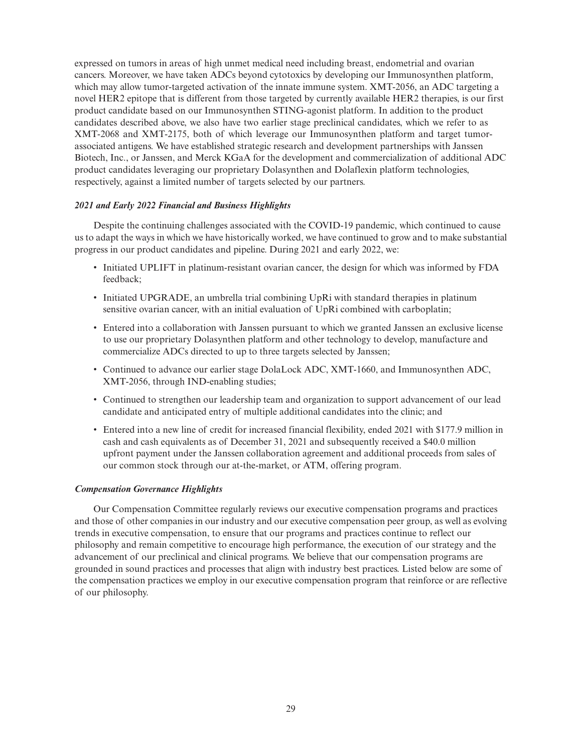expressed on tumors in areas of high unmet medical need including breast, endometrial and ovarian cancers. Moreover, we have taken ADCs beyond cytotoxics by developing our Immunosynthen platform, which may allow tumor-targeted activation of the innate immune system. XMT-2056, an ADC targeting a novel HER2 epitope that is different from those targeted by currently available HER2 therapies, is our first product candidate based on our Immunosynthen STING-agonist platform. In addition to the product candidates described above, we also have two earlier stage preclinical candidates, which we refer to as XMT-2068 and XMT-2175, both of which leverage our Immunosynthen platform and target tumorassociated antigens. We have established strategic research and development partnerships with Janssen Biotech, Inc., or Janssen, and Merck KGaA for the development and commercialization of additional ADC product candidates leveraging our proprietary Dolasynthen and Dolaflexin platform technologies, respectively, against a limited number of targets selected by our partners.

# *2021 and Early 2022 Financial and Business Highlights*

Despite the continuing challenges associated with the COVID-19 pandemic, which continued to cause us to adapt the ways in which we have historically worked, we have continued to grow and to make substantial progress in our product candidates and pipeline. During 2021 and early 2022, we:

- Initiated UPLIFT in platinum-resistant ovarian cancer, the design for which was informed by FDA feedback;
- Initiated UPGRADE, an umbrella trial combining UpRi with standard therapies in platinum sensitive ovarian cancer, with an initial evaluation of UpRi combined with carboplatin;
- Entered into a collaboration with Janssen pursuant to which we granted Janssen an exclusive license to use our proprietary Dolasynthen platform and other technology to develop, manufacture and commercialize ADCs directed to up to three targets selected by Janssen;
- Continued to advance our earlier stage DolaLock ADC, XMT-1660, and Immunosynthen ADC, XMT-2056, through IND-enabling studies;
- Continued to strengthen our leadership team and organization to support advancement of our lead candidate and anticipated entry of multiple additional candidates into the clinic; and
- Entered into a new line of credit for increased financial flexibility, ended 2021 with \$177.9 million in cash and cash equivalents as of December 31, 2021 and subsequently received a \$40.0 million upfront payment under the Janssen collaboration agreement and additional proceeds from sales of our common stock through our at-the-market, or ATM, offering program.

#### *Compensation Governance Highlights*

Our Compensation Committee regularly reviews our executive compensation programs and practices and those of other companies in our industry and our executive compensation peer group, as well as evolving trends in executive compensation, to ensure that our programs and practices continue to reflect our philosophy and remain competitive to encourage high performance, the execution of our strategy and the advancement of our preclinical and clinical programs. We believe that our compensation programs are grounded in sound practices and processes that align with industry best practices. Listed below are some of the compensation practices we employ in our executive compensation program that reinforce or are reflective of our philosophy.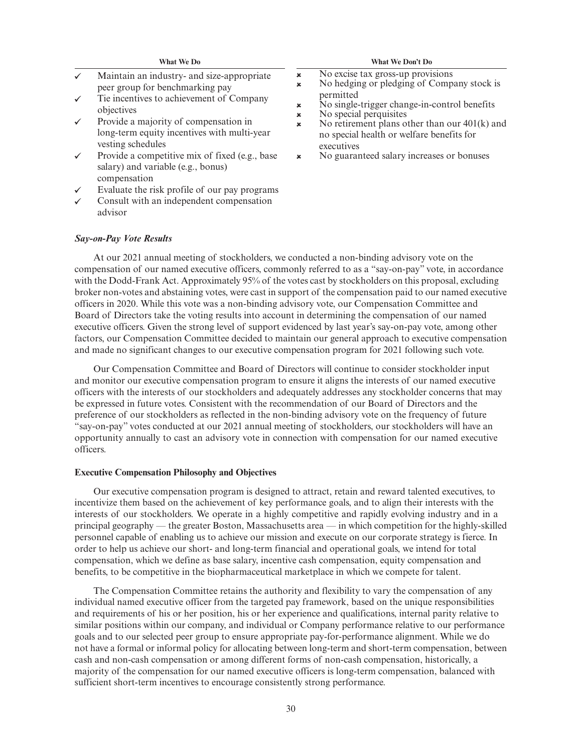- $\checkmark$ Maintain an industry- and size-appropriate peer group for benchmarking pay
- Tie incentives to achievement of Company ✓ objectives
- Provide a majority of compensation in long-term equity incentives with multi-year vesting schedules
- Provide a competitive mix of fixed (e.g., base salary) and variable (e.g., bonus) compensation
- Evaluate the risk profile of our pay programs
- Consult with an independent compensation advisor

#### **What We Do What We Don't Do**

- No excise tax gross-up provisions
- No hedging or pledging of Company stock is  $\overline{\mathbf{x}}$ permitted
- $\mathbf{x}$ No single-trigger change-in-control benefits
- $\mathbf{x}$ No special perquisites
- No retirement plans other than our 401(k) and  $\mathbf{x}$ no special health or welfare benefits for executives
- No guaranteed salary increases or bonuses  $\pmb{\times}$

#### *Say-on-Pay Vote Results*

At our 2021 annual meeting of stockholders, we conducted a non-binding advisory vote on the compensation of our named executive officers, commonly referred to as a "say-on-pay" vote, in accordance with the Dodd-Frank Act. Approximately 95% of the votes cast by stockholders on this proposal, excluding broker non-votes and abstaining votes, were cast in support of the compensation paid to our named executive officers in 2020. While this vote was a non-binding advisory vote, our Compensation Committee and Board of Directors take the voting results into account in determining the compensation of our named executive officers. Given the strong level of support evidenced by last year's say-on-pay vote, among other factors, our Compensation Committee decided to maintain our general approach to executive compensation and made no significant changes to our executive compensation program for 2021 following such vote.

 $\bar{\mathbf{x}}$ 

Our Compensation Committee and Board of Directors will continue to consider stockholder input and monitor our executive compensation program to ensure it aligns the interests of our named executive officers with the interests of our stockholders and adequately addresses any stockholder concerns that may be expressed in future votes. Consistent with the recommendation of our Board of Directors and the preference of our stockholders as reflected in the non-binding advisory vote on the frequency of future "say-on-pay" votes conducted at our 2021 annual meeting of stockholders, our stockholders will have an opportunity annually to cast an advisory vote in connection with compensation for our named executive officers.

#### **Executive Compensation Philosophy and Objectives**

Our executive compensation program is designed to attract, retain and reward talented executives, to incentivize them based on the achievement of key performance goals, and to align their interests with the interests of our stockholders. We operate in a highly competitive and rapidly evolving industry and in a principal geography — the greater Boston, Massachusetts area — in which competition for the highly-skilled personnel capable of enabling us to achieve our mission and execute on our corporate strategy is fierce. In order to help us achieve our short- and long-term financial and operational goals, we intend for total compensation, which we define as base salary, incentive cash compensation, equity compensation and benefits, to be competitive in the biopharmaceutical marketplace in which we compete for talent.

The Compensation Committee retains the authority and flexibility to vary the compensation of any individual named executive officer from the targeted pay framework, based on the unique responsibilities and requirements of his or her position, his or her experience and qualifications, internal parity relative to similar positions within our company, and individual or Company performance relative to our performance goals and to our selected peer group to ensure appropriate pay-for-performance alignment. While we do not have a formal or informal policy for allocating between long-term and short-term compensation, between cash and non-cash compensation or among different forms of non-cash compensation, historically, a majority of the compensation for our named executive officers is long-term compensation, balanced with sufficient short-term incentives to encourage consistently strong performance.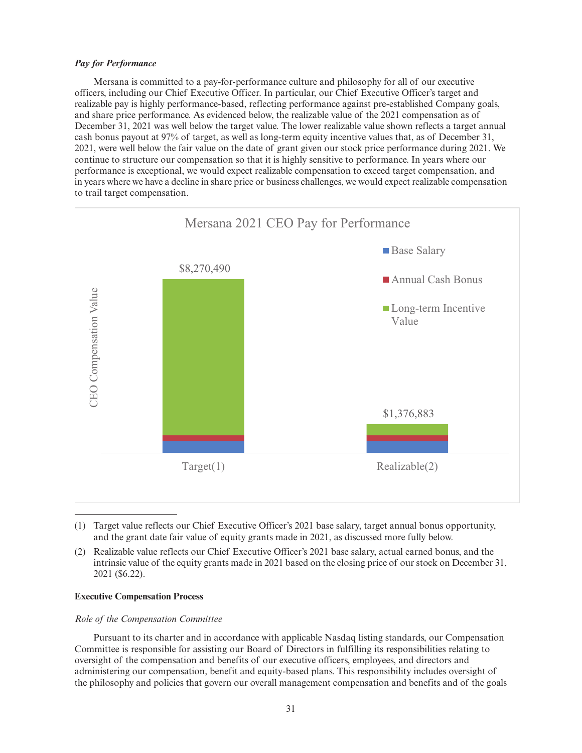# *Pay for Performance*

Mersana is committed to a pay-for-performance culture and philosophy for all of our executive officers, including our Chief Executive Officer. In particular, our Chief Executive Officer's target and realizable pay is highly performance-based, reflecting performance against pre-established Company goals, and share price performance. As evidenced below, the realizable value of the 2021 compensation as of December 31, 2021 was well below the target value. The lower realizable value shown reflects a target annual cash bonus payout at 97% of target, as well as long-term equity incentive values that, as of December 31, 2021, were well below the fair value on the date of grant given our stock price performance during 2021. We continue to structure our compensation so that it is highly sensitive to performance. In years where our performance is exceptional, we would expect realizable compensation to exceed target compensation, and in years where we have a decline in share price or business challenges, we would expect realizable compensation to trail target compensation.



<sup>(1)</sup> Target value reflects our Chief Executive Officer's 2021 base salary, target annual bonus opportunity, and the grant date fair value of equity grants made in 2021, as discussed more fully below.

#### **Executive Compensation Process**

#### *Role of the Compensation Committee*

Pursuant to its charter and in accordance with applicable Nasdaq listing standards, our Compensation Committee is responsible for assisting our Board of Directors in fulfilling its responsibilities relating to oversight of the compensation and benefits of our executive officers, employees, and directors and administering our compensation, benefit and equity-based plans. This responsibility includes oversight of the philosophy and policies that govern our overall management compensation and benefits and of the goals

<sup>(2)</sup> Realizable value reflects our Chief Executive Officer's 2021 base salary, actual earned bonus, and the intrinsic value of the equity grants made in 2021 based on the closing price of our stock on December 31, 2021 (\$6.22).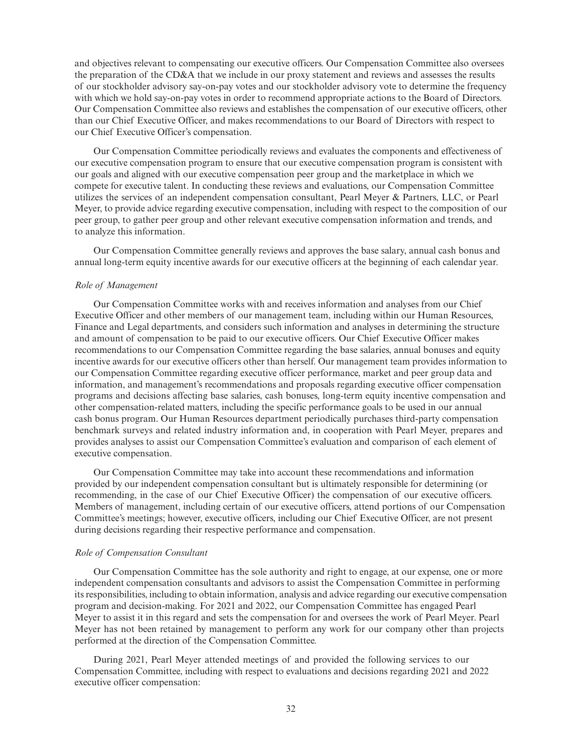and objectives relevant to compensating our executive officers. Our Compensation Committee also oversees the preparation of the CD&A that we include in our proxy statement and reviews and assesses the results of our stockholder advisory say-on-pay votes and our stockholder advisory vote to determine the frequency with which we hold say-on-pay votes in order to recommend appropriate actions to the Board of Directors. Our Compensation Committee also reviews and establishes the compensation of our executive officers, other than our Chief Executive Officer, and makes recommendations to our Board of Directors with respect to our Chief Executive Officer's compensation.

Our Compensation Committee periodically reviews and evaluates the components and effectiveness of our executive compensation program to ensure that our executive compensation program is consistent with our goals and aligned with our executive compensation peer group and the marketplace in which we compete for executive talent. In conducting these reviews and evaluations, our Compensation Committee utilizes the services of an independent compensation consultant, Pearl Meyer & Partners, LLC, or Pearl Meyer, to provide advice regarding executive compensation, including with respect to the composition of our peer group, to gather peer group and other relevant executive compensation information and trends, and to analyze this information.

Our Compensation Committee generally reviews and approves the base salary, annual cash bonus and annual long-term equity incentive awards for our executive officers at the beginning of each calendar year.

#### *Role of Management*

Our Compensation Committee works with and receives information and analyses from our Chief Executive Officer and other members of our management team, including within our Human Resources, Finance and Legal departments, and considers such information and analyses in determining the structure and amount of compensation to be paid to our executive officers. Our Chief Executive Officer makes recommendations to our Compensation Committee regarding the base salaries, annual bonuses and equity incentive awards for our executive officers other than herself. Our management team provides information to our Compensation Committee regarding executive officer performance, market and peer group data and information, and management's recommendations and proposals regarding executive officer compensation programs and decisions affecting base salaries, cash bonuses, long-term equity incentive compensation and other compensation-related matters, including the specific performance goals to be used in our annual cash bonus program. Our Human Resources department periodically purchases third-party compensation benchmark surveys and related industry information and, in cooperation with Pearl Meyer, prepares and provides analyses to assist our Compensation Committee's evaluation and comparison of each element of executive compensation.

Our Compensation Committee may take into account these recommendations and information provided by our independent compensation consultant but is ultimately responsible for determining (or recommending, in the case of our Chief Executive Officer) the compensation of our executive officers. Members of management, including certain of our executive officers, attend portions of our Compensation Committee's meetings; however, executive officers, including our Chief Executive Officer, are not present during decisions regarding their respective performance and compensation.

## *Role of Compensation Consultant*

Our Compensation Committee has the sole authority and right to engage, at our expense, one or more independent compensation consultants and advisors to assist the Compensation Committee in performing its responsibilities, including to obtain information, analysis and advice regarding our executive compensation program and decision-making. For 2021 and 2022, our Compensation Committee has engaged Pearl Meyer to assist it in this regard and sets the compensation for and oversees the work of Pearl Meyer. Pearl Meyer has not been retained by management to perform any work for our company other than projects performed at the direction of the Compensation Committee.

During 2021, Pearl Meyer attended meetings of and provided the following services to our Compensation Committee, including with respect to evaluations and decisions regarding 2021 and 2022 executive officer compensation: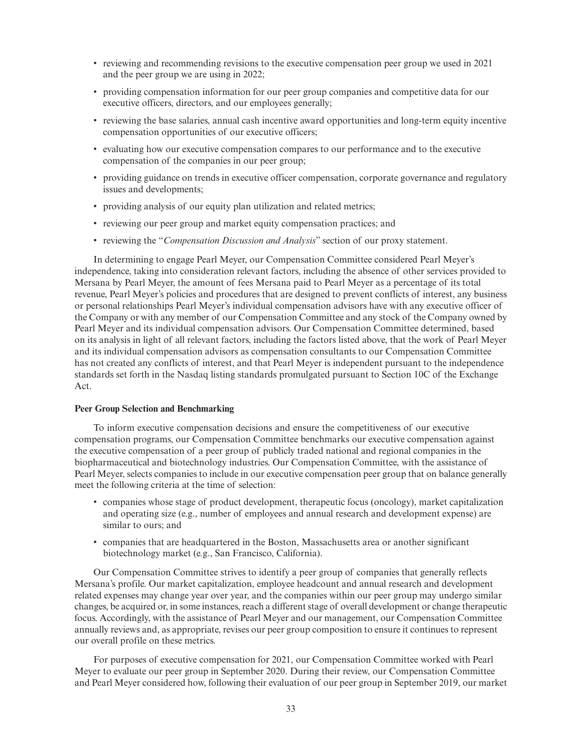- reviewing and recommending revisions to the executive compensation peer group we used in 2021 and the peer group we are using in 2022;
- providing compensation information for our peer group companies and competitive data for our executive officers, directors, and our employees generally;
- reviewing the base salaries, annual cash incentive award opportunities and long-term equity incentive compensation opportunities of our executive officers;
- evaluating how our executive compensation compares to our performance and to the executive compensation of the companies in our peer group;
- providing guidance on trends in executive officer compensation, corporate governance and regulatory issues and developments;
- providing analysis of our equity plan utilization and related metrics;
- reviewing our peer group and market equity compensation practices; and
- reviewing the "*Compensation Discussion and Analysis*" section of our proxy statement.

In determining to engage Pearl Meyer, our Compensation Committee considered Pearl Meyer's independence, taking into consideration relevant factors, including the absence of other services provided to Mersana by Pearl Meyer, the amount of fees Mersana paid to Pearl Meyer as a percentage of its total revenue, Pearl Meyer's policies and procedures that are designed to prevent conflicts of interest, any business or personal relationships Pearl Meyer's individual compensation advisors have with any executive officer of the Company or with any member of our Compensation Committee and any stock of the Company owned by Pearl Meyer and its individual compensation advisors. Our Compensation Committee determined, based on its analysis in light of all relevant factors, including the factors listed above, that the work of Pearl Meyer and its individual compensation advisors as compensation consultants to our Compensation Committee has not created any conflicts of interest, and that Pearl Meyer is independent pursuant to the independence standards set forth in the Nasdaq listing standards promulgated pursuant to Section 10C of the Exchange Act.

#### **Peer Group Selection and Benchmarking**

To inform executive compensation decisions and ensure the competitiveness of our executive compensation programs, our Compensation Committee benchmarks our executive compensation against the executive compensation of a peer group of publicly traded national and regional companies in the biopharmaceutical and biotechnology industries. Our Compensation Committee, with the assistance of Pearl Meyer, selects companies to include in our executive compensation peer group that on balance generally meet the following criteria at the time of selection:

- companies whose stage of product development, therapeutic focus (oncology), market capitalization and operating size (e.g., number of employees and annual research and development expense) are similar to ours; and
- companies that are headquartered in the Boston, Massachusetts area or another significant biotechnology market (e.g., San Francisco, California).

Our Compensation Committee strives to identify a peer group of companies that generally reflects Mersana's profile. Our market capitalization, employee headcount and annual research and development related expenses may change year over year, and the companies within our peer group may undergo similar changes, be acquired or, in some instances, reach a different stage of overall development or change therapeutic focus. Accordingly, with the assistance of Pearl Meyer and our management, our Compensation Committee annually reviews and, as appropriate, revises our peer group composition to ensure it continues to represent our overall profile on these metrics.

For purposes of executive compensation for 2021, our Compensation Committee worked with Pearl Meyer to evaluate our peer group in September 2020. During their review, our Compensation Committee and Pearl Meyer considered how, following their evaluation of our peer group in September 2019, our market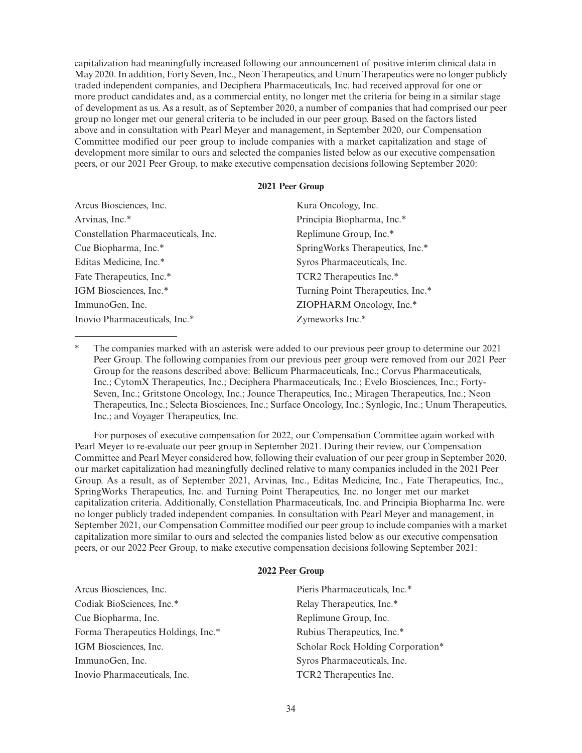capitalization had meaningfully increased following our announcement of positive interim clinical data in May 2020. In addition, Forty Seven, Inc., Neon Therapeutics, and Unum Therapeutics were no longer publicly traded independent companies, and Deciphera Pharmaceuticals, Inc. had received approval for one or more product candidates and, as a commercial entity, no longer met the criteria for being in a similar stage of development as us. As a result, as of September 2020, a number of companies that had comprised our peer group no longer met our general criteria to be included in our peer group. Based on the factors listed above and in consultation with Pearl Meyer and management, in September 2020, our Compensation Committee modified our peer group to include companies with a market capitalization and stage of development more similar to ours and selected the companies listed below as our executive compensation peers, or our 2021 Peer Group, to make executive compensation decisions following September 2020:

# **2021 Peer Group**

| Arcus Biosciences, Inc.             | Kura Oncology, Inc.               |
|-------------------------------------|-----------------------------------|
| Arvinas, Inc.*                      | Principia Biopharma, Inc.*        |
| Constellation Pharmaceuticals, Inc. | Replimune Group, Inc.*            |
| Cue Biopharma, Inc.*                | SpringWorks Therapeutics, Inc.*   |
| Editas Medicine, Inc.*              | Syros Pharmaceuticals, Inc.       |
| Fate Therapeutics, Inc.*            | TCR2 Therapeutics Inc.*           |
| IGM Biosciences, Inc.*              | Turning Point Therapeutics, Inc.* |
| ImmunoGen, Inc.                     | ZIOPHARM Oncology, Inc.*          |
| Inovio Pharmaceuticals, Inc.*       | Zymeworks Inc.*                   |

The companies marked with an asterisk were added to our previous peer group to determine our 2021 Peer Group. The following companies from our previous peer group were removed from our 2021 Peer Group for the reasons described above: Bellicum Pharmaceuticals, Inc.; Corvus Pharmaceuticals, Inc.; CytomX Therapeutics, Inc.; Deciphera Pharmaceuticals, Inc.; Evelo Biosciences, Inc.; Forty-Seven, Inc.; Gritstone Oncology, Inc.; Jounce Therapeutics, Inc.; Miragen Therapeutics, Inc.; Neon Therapeutics, Inc.; Selecta Biosciences, Inc.; Surface Oncology, Inc.; Synlogic, Inc.; Unum Therapeutics, Inc.; and Voyager Therapeutics, Inc.

For purposes of executive compensation for 2022, our Compensation Committee again worked with Pearl Meyer to re-evaluate our peer group in September 2021. During their review, our Compensation Committee and Pearl Meyer considered how, following their evaluation of our peer group in September 2020, our market capitalization had meaningfully declined relative to many companies included in the 2021 Peer Group. As a result, as of September 2021, Arvinas, Inc., Editas Medicine, Inc., Fate Therapeutics, Inc., SpringWorks Therapeutics, Inc. and Turning Point Therapeutics, Inc. no longer met our market capitalization criteria. Additionally, Constellation Pharmaceuticals, Inc. and Principia Biopharma Inc. were no longer publicly traded independent companies. In consultation with Pearl Meyer and management, in September 2021, our Compensation Committee modified our peer group to include companies with a market capitalization more similar to ours and selected the companies listed below as our executive compensation peers, or our 2022 Peer Group, to make executive compensation decisions following September 2021:

# **2022 Peer Group**

| Arcus Biosciences, Inc.            | Pieris Pharmaceuticals, Inc.*     |
|------------------------------------|-----------------------------------|
| Codiak BioSciences, Inc.*          | Relay Therapeutics, Inc.*         |
| Cue Biopharma, Inc.                | Replimune Group, Inc.             |
| Forma Therapeutics Holdings, Inc.* | Rubius Therapeutics, Inc.*        |
| IGM Biosciences, Inc.              | Scholar Rock Holding Corporation* |
| ImmunoGen, Inc.                    | Syros Pharmaceuticals, Inc.       |
| Inovio Pharmaceuticals, Inc.       | TCR2 Therapeutics Inc.            |
|                                    |                                   |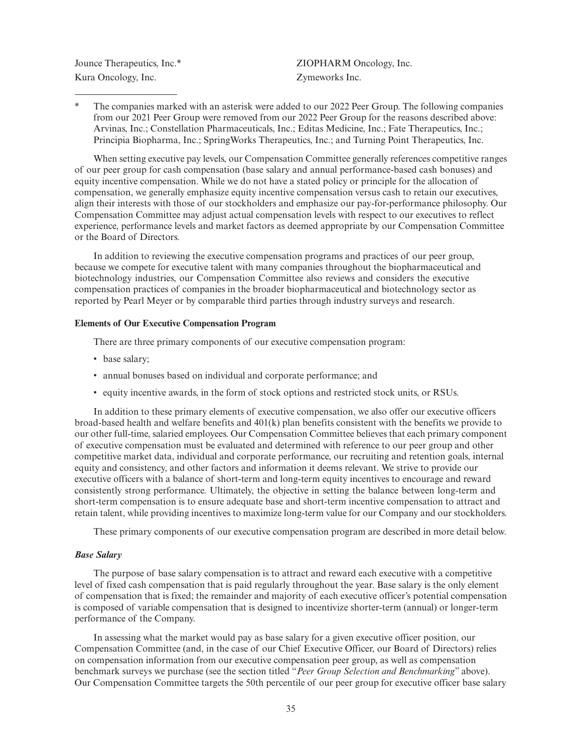Kura Oncology, Inc. Zymeworks Inc.

Jounce Therapeutics, Inc.\* <br>  $ZIOPHARM$  Oncology, Inc.

The companies marked with an asterisk were added to our 2022 Peer Group. The following companies from our 2021 Peer Group were removed from our 2022 Peer Group for the reasons described above: Arvinas, Inc.; Constellation Pharmaceuticals, Inc.; Editas Medicine, Inc.; Fate Therapeutics, Inc.; Principia Biopharma, Inc.; SpringWorks Therapeutics, Inc.; and Turning Point Therapeutics, Inc.

When setting executive pay levels, our Compensation Committee generally references competitive ranges of our peer group for cash compensation (base salary and annual performance-based cash bonuses) and equity incentive compensation. While we do not have a stated policy or principle for the allocation of compensation, we generally emphasize equity incentive compensation versus cash to retain our executives, align their interests with those of our stockholders and emphasize our pay-for-performance philosophy. Our Compensation Committee may adjust actual compensation levels with respect to our executives to reflect experience, performance levels and market factors as deemed appropriate by our Compensation Committee or the Board of Directors.

In addition to reviewing the executive compensation programs and practices of our peer group, because we compete for executive talent with many companies throughout the biopharmaceutical and biotechnology industries, our Compensation Committee also reviews and considers the executive compensation practices of companies in the broader biopharmaceutical and biotechnology sector as reported by Pearl Meyer or by comparable third parties through industry surveys and research.

## **Elements of Our Executive Compensation Program**

There are three primary components of our executive compensation program:

- base salary;
- annual bonuses based on individual and corporate performance; and
- equity incentive awards, in the form of stock options and restricted stock units, or RSUs.

In addition to these primary elements of executive compensation, we also offer our executive officers broad-based health and welfare benefits and 401(k) plan benefits consistent with the benefits we provide to our other full-time, salaried employees. Our Compensation Committee believes that each primary component of executive compensation must be evaluated and determined with reference to our peer group and other competitive market data, individual and corporate performance, our recruiting and retention goals, internal equity and consistency, and other factors and information it deems relevant. We strive to provide our executive officers with a balance of short-term and long-term equity incentives to encourage and reward consistently strong performance. Ultimately, the objective in setting the balance between long-term and short-term compensation is to ensure adequate base and short-term incentive compensation to attract and retain talent, while providing incentives to maximize long-term value for our Company and our stockholders.

These primary components of our executive compensation program are described in more detail below.

#### *Base Salary*

The purpose of base salary compensation is to attract and reward each executive with a competitive level of fixed cash compensation that is paid regularly throughout the year. Base salary is the only element of compensation that is fixed; the remainder and majority of each executive officer's potential compensation is composed of variable compensation that is designed to incentivize shorter-term (annual) or longer-term performance of the Company.

In assessing what the market would pay as base salary for a given executive officer position, our Compensation Committee (and, in the case of our Chief Executive Officer, our Board of Directors) relies on compensation information from our executive compensation peer group, as well as compensation benchmark surveys we purchase (see the section titled "*Peer Group Selection and Benchmarking*" above). Our Compensation Committee targets the 50th percentile of our peer group for executive officer base salary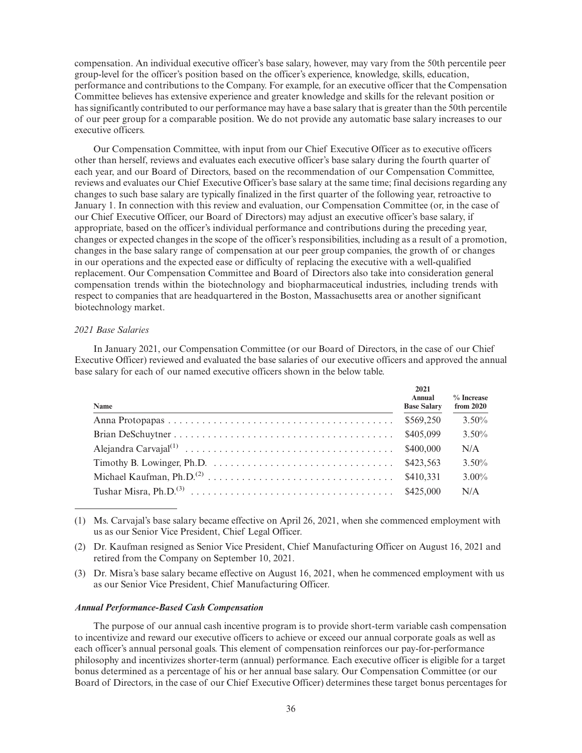compensation. An individual executive officer's base salary, however, may vary from the 50th percentile peer group-level for the officer's position based on the officer's experience, knowledge, skills, education, performance and contributions to the Company. For example, for an executive officer that the Compensation Committee believes has extensive experience and greater knowledge and skills for the relevant position or has significantly contributed to our performance may have a base salary that is greater than the 50th percentile of our peer group for a comparable position. We do not provide any automatic base salary increases to our executive officers.

Our Compensation Committee, with input from our Chief Executive Officer as to executive officers other than herself, reviews and evaluates each executive officer's base salary during the fourth quarter of each year, and our Board of Directors, based on the recommendation of our Compensation Committee, reviews and evaluates our Chief Executive Officer's base salary at the same time; final decisions regarding any changes to such base salary are typically finalized in the first quarter of the following year, retroactive to January 1. In connection with this review and evaluation, our Compensation Committee (or, in the case of our Chief Executive Officer, our Board of Directors) may adjust an executive officer's base salary, if appropriate, based on the officer's individual performance and contributions during the preceding year, changes or expected changes in the scope of the officer's responsibilities, including as a result of a promotion, changes in the base salary range of compensation at our peer group companies, the growth of or changes in our operations and the expected ease or difficulty of replacing the executive with a well-qualified replacement. Our Compensation Committee and Board of Directors also take into consideration general compensation trends within the biotechnology and biopharmaceutical industries, including trends with respect to companies that are headquartered in the Boston, Massachusetts area or another significant biotechnology market.

# *2021 Base Salaries*

In January 2021, our Compensation Committee (or our Board of Directors, in the case of our Chief Executive Officer) reviewed and evaluated the base salaries of our executive officers and approved the annual base salary for each of our named executive officers shown in the below table.

| Name | 2021<br>Annual<br><b>Base Salary</b> | $%$ Increase<br>from $2020$ |
|------|--------------------------------------|-----------------------------|
|      | \$569,250                            | $3.50\%$                    |
|      | \$405,099                            | $3.50\%$                    |
|      | \$400,000                            | N/A                         |
|      | \$423,563                            | $3.50\%$                    |
|      | \$410.331                            | $3.00\%$                    |
|      | \$425,000                            | N/A                         |

(1) Ms. Carvajal's base salary became effective on April 26, 2021, when she commenced employment with us as our Senior Vice President, Chief Legal Officer.

- (2) Dr. Kaufman resigned as Senior Vice President, Chief Manufacturing Officer on August 16, 2021 and retired from the Company on September 10, 2021.
- (3) Dr. Misra's base salary became effective on August 16, 2021, when he commenced employment with us as our Senior Vice President, Chief Manufacturing Officer.

#### *Annual Performance-Based Cash Compensation*

The purpose of our annual cash incentive program is to provide short-term variable cash compensation to incentivize and reward our executive officers to achieve or exceed our annual corporate goals as well as each officer's annual personal goals. This element of compensation reinforces our pay-for-performance philosophy and incentivizes shorter-term (annual) performance. Each executive officer is eligible for a target bonus determined as a percentage of his or her annual base salary. Our Compensation Committee (or our Board of Directors, in the case of our Chief Executive Officer) determines these target bonus percentages for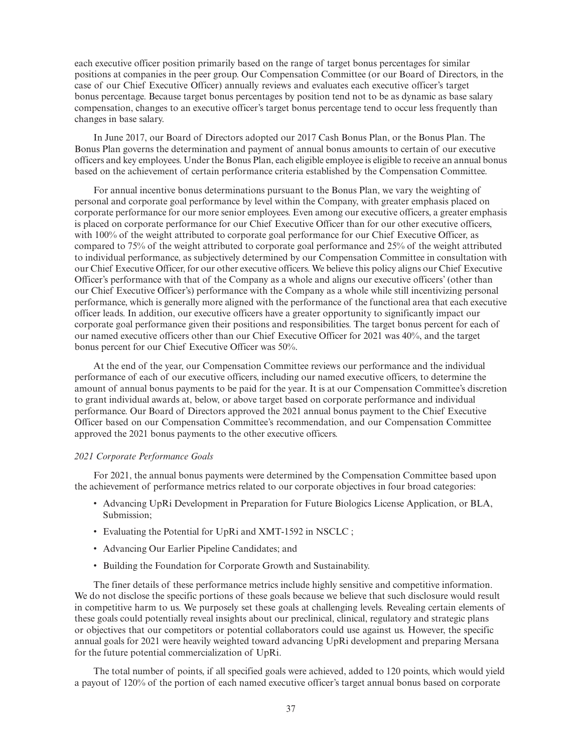each executive officer position primarily based on the range of target bonus percentages for similar positions at companies in the peer group. Our Compensation Committee (or our Board of Directors, in the case of our Chief Executive Officer) annually reviews and evaluates each executive officer's target bonus percentage. Because target bonus percentages by position tend not to be as dynamic as base salary compensation, changes to an executive officer's target bonus percentage tend to occur less frequently than changes in base salary.

In June 2017, our Board of Directors adopted our 2017 Cash Bonus Plan, or the Bonus Plan. The Bonus Plan governs the determination and payment of annual bonus amounts to certain of our executive officers and key employees. Under the Bonus Plan, each eligible employee is eligible to receive an annual bonus based on the achievement of certain performance criteria established by the Compensation Committee.

For annual incentive bonus determinations pursuant to the Bonus Plan, we vary the weighting of personal and corporate goal performance by level within the Company, with greater emphasis placed on corporate performance for our more senior employees. Even among our executive officers, a greater emphasis is placed on corporate performance for our Chief Executive Officer than for our other executive officers, with 100% of the weight attributed to corporate goal performance for our Chief Executive Officer, as compared to 75% of the weight attributed to corporate goal performance and 25% of the weight attributed to individual performance, as subjectively determined by our Compensation Committee in consultation with our Chief Executive Officer, for our other executive officers. We believe this policy aligns our Chief Executive Officer's performance with that of the Company as a whole and aligns our executive officers' (other than our Chief Executive Officer's) performance with the Company as a whole while still incentivizing personal performance, which is generally more aligned with the performance of the functional area that each executive officer leads. In addition, our executive officers have a greater opportunity to significantly impact our corporate goal performance given their positions and responsibilities. The target bonus percent for each of our named executive officers other than our Chief Executive Officer for 2021 was 40%, and the target bonus percent for our Chief Executive Officer was 50%.

At the end of the year, our Compensation Committee reviews our performance and the individual performance of each of our executive officers, including our named executive officers, to determine the amount of annual bonus payments to be paid for the year. It is at our Compensation Committee's discretion to grant individual awards at, below, or above target based on corporate performance and individual performance. Our Board of Directors approved the 2021 annual bonus payment to the Chief Executive Officer based on our Compensation Committee's recommendation, and our Compensation Committee approved the 2021 bonus payments to the other executive officers.

## *2021 Corporate Performance Goals*

For 2021, the annual bonus payments were determined by the Compensation Committee based upon the achievement of performance metrics related to our corporate objectives in four broad categories:

- Advancing UpRi Development in Preparation for Future Biologics License Application, or BLA, Submission;
- Evaluating the Potential for UpRi and XMT-1592 in NSCLC ;
- Advancing Our Earlier Pipeline Candidates; and
- Building the Foundation for Corporate Growth and Sustainability.

The finer details of these performance metrics include highly sensitive and competitive information. We do not disclose the specific portions of these goals because we believe that such disclosure would result in competitive harm to us. We purposely set these goals at challenging levels. Revealing certain elements of these goals could potentially reveal insights about our preclinical, clinical, regulatory and strategic plans or objectives that our competitors or potential collaborators could use against us. However, the specific annual goals for 2021 were heavily weighted toward advancing UpRi development and preparing Mersana for the future potential commercialization of UpRi.

The total number of points, if all specified goals were achieved, added to 120 points, which would yield a payout of 120% of the portion of each named executive officer's target annual bonus based on corporate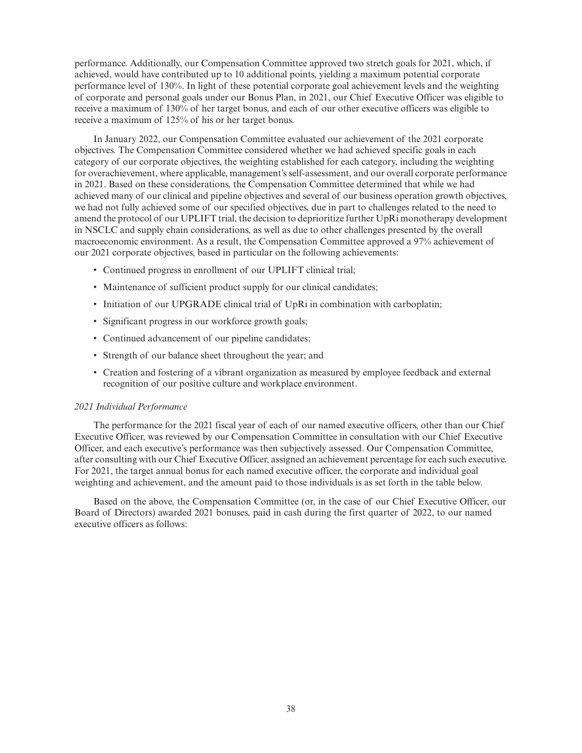performance. Additionally, our Compensation Committee approved two stretch goals for 2021, which, if achieved, would have contributed up to 10 additional points, yielding a maximum potential corporate performance level of 130%. In light of these potential corporate goal achievement levels and the weighting of corporate and personal goals under our Bonus Plan, in 2021, our Chief Executive Officer was eligible to receive a maximum of 130% of her target bonus, and each of our other executive officers was eligible to receive a maximum of 125% of his or her target bonus.

In January 2022, our Compensation Committee evaluated our achievement of the 2021 corporate objectives. The Compensation Committee considered whether we had achieved specific goals in each category of our corporate objectives, the weighting established for each category, including the weighting for overachievement, where applicable, management's self-assessment, and our overall corporate performance in 2021. Based on these considerations, the Compensation Committee determined that while we had achieved many of our clinical and pipeline objectives and several of our business operation growth objectives, we had not fully achieved some of our specified objectives, due in part to challenges related to the need to amend the protocol of our UPLIFT trial, the decision to deprioritize further UpRi monotherapy development in NSCLC and supply chain considerations, as well as due to other challenges presented by the overall macroeconomic environment. As a result, the Compensation Committee approved a 97% achievement of our 2021 corporate objectives, based in particular on the following achievements:

- Continued progress in enrollment of our UPLIFT clinical trial;
- Maintenance of sufficient product supply for our clinical candidates;
- Initiation of our UPGRADE clinical trial of UpRi in combination with carboplatin;
- Significant progress in our workforce growth goals;
- Continued advancement of our pipeline candidates;
- Strength of our balance sheet throughout the year; and
- Creation and fostering of a vibrant organization as measured by employee feedback and external recognition of our positive culture and workplace environment.

## *2021 Individual Performance*

The performance for the 2021 fiscal year of each of our named executive officers, other than our Chief Executive Officer, was reviewed by our Compensation Committee in consultation with our Chief Executive Officer, and each executive's performance was then subjectively assessed. Our Compensation Committee, after consulting with our Chief Executive Officer, assigned an achievement percentage for each such executive. For 2021, the target annual bonus for each named executive officer, the corporate and individual goal weighting and achievement, and the amount paid to those individuals is as set forth in the table below.

Based on the above, the Compensation Committee (or, in the case of our Chief Executive Officer, our Board of Directors) awarded 2021 bonuses, paid in cash during the first quarter of 2022, to our named executive officers as follows: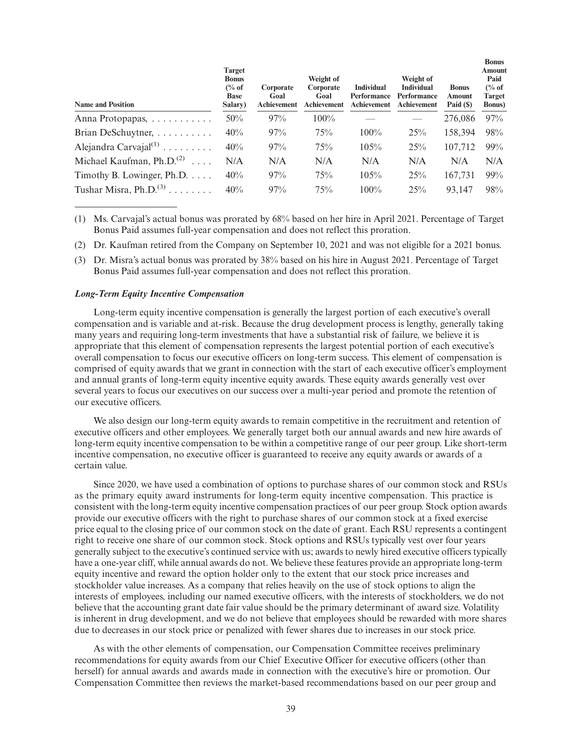| <b>Name and Position</b>             | <b>Target</b><br><b>Bonus</b><br>$\frac{6}{6}$ of<br><b>Base</b><br>Salary) | Corporate<br>Goal<br>Achievement | Weight of<br>Corporate<br>Goal<br>Achievement | <b>Individual</b><br>Performance<br><b>Achievement</b> | Weight of<br><b>Individual</b><br>Performance<br>Achievement | <b>Bonus</b><br>Amount<br>Paid $(S)$ | <b>Bonus</b><br><b>Amount</b><br>Paid<br>$\frac{6}{6}$ of<br><b>Target</b><br><b>Bonus</b> ) |
|--------------------------------------|-----------------------------------------------------------------------------|----------------------------------|-----------------------------------------------|--------------------------------------------------------|--------------------------------------------------------------|--------------------------------------|----------------------------------------------------------------------------------------------|
| Anna Protopapas,                     | 50%                                                                         | 97%                              | $100\%$                                       |                                                        |                                                              | 276,086                              | 97%                                                                                          |
| Brian DeSchuytner,                   | 40%                                                                         | 97%                              | 75%                                           | 100%                                                   | 25%                                                          | 158.394                              | 98%                                                                                          |
| Alejandra Carvajal $^{(1)}$          | 40%                                                                         | 97%                              | 75%                                           | 105%                                                   | 25%                                                          | 107,712                              | $99\%$                                                                                       |
| Michael Kaufman, $Ph.D.(2)$          | N/A                                                                         | N/A                              | N/A                                           | N/A                                                    | N/A                                                          | N/A                                  | N/A                                                                                          |
| Timothy B. Lowinger, Ph.D. $\dots$ . | 40%                                                                         | 97%                              | 75%                                           | 105%                                                   | 25%                                                          | 167,731                              | 99%                                                                                          |
| Tushar Misra, $Ph.D.(3)$             | 40%                                                                         | 97%                              | 75%                                           | $100\%$                                                | 25%                                                          | 93,147                               | 98%                                                                                          |

- (1) Ms. Carvajal's actual bonus was prorated by 68% based on her hire in April 2021. Percentage of Target Bonus Paid assumes full-year compensation and does not reflect this proration.
- (2) Dr. Kaufman retired from the Company on September 10, 2021 and was not eligible for a 2021 bonus.
- (3) Dr. Misra's actual bonus was prorated by 38% based on his hire in August 2021. Percentage of Target Bonus Paid assumes full-year compensation and does not reflect this proration.

# *Long-Term Equity Incentive Compensation*

Long-term equity incentive compensation is generally the largest portion of each executive's overall compensation and is variable and at-risk. Because the drug development process is lengthy, generally taking many years and requiring long-term investments that have a substantial risk of failure, we believe it is appropriate that this element of compensation represents the largest potential portion of each executive's overall compensation to focus our executive officers on long-term success. This element of compensation is comprised of equity awards that we grant in connection with the start of each executive officer's employment and annual grants of long-term equity incentive equity awards. These equity awards generally vest over several years to focus our executives on our success over a multi-year period and promote the retention of our executive officers.

We also design our long-term equity awards to remain competitive in the recruitment and retention of executive officers and other employees. We generally target both our annual awards and new hire awards of long-term equity incentive compensation to be within a competitive range of our peer group. Like short-term incentive compensation, no executive officer is guaranteed to receive any equity awards or awards of a certain value.

Since 2020, we have used a combination of options to purchase shares of our common stock and RSUs as the primary equity award instruments for long-term equity incentive compensation. This practice is consistent with the long-term equity incentive compensation practices of our peer group. Stock option awards provide our executive officers with the right to purchase shares of our common stock at a fixed exercise price equal to the closing price of our common stock on the date of grant. Each RSU represents a contingent right to receive one share of our common stock. Stock options and RSUs typically vest over four years generally subject to the executive's continued service with us; awards to newly hired executive officers typically have a one-year cliff, while annual awards do not. We believe these features provide an appropriate long-term equity incentive and reward the option holder only to the extent that our stock price increases and stockholder value increases. As a company that relies heavily on the use of stock options to align the interests of employees, including our named executive officers, with the interests of stockholders, we do not believe that the accounting grant date fair value should be the primary determinant of award size. Volatility is inherent in drug development, and we do not believe that employees should be rewarded with more shares due to decreases in our stock price or penalized with fewer shares due to increases in our stock price.

As with the other elements of compensation, our Compensation Committee receives preliminary recommendations for equity awards from our Chief Executive Officer for executive officers (other than herself) for annual awards and awards made in connection with the executive's hire or promotion. Our Compensation Committee then reviews the market-based recommendations based on our peer group and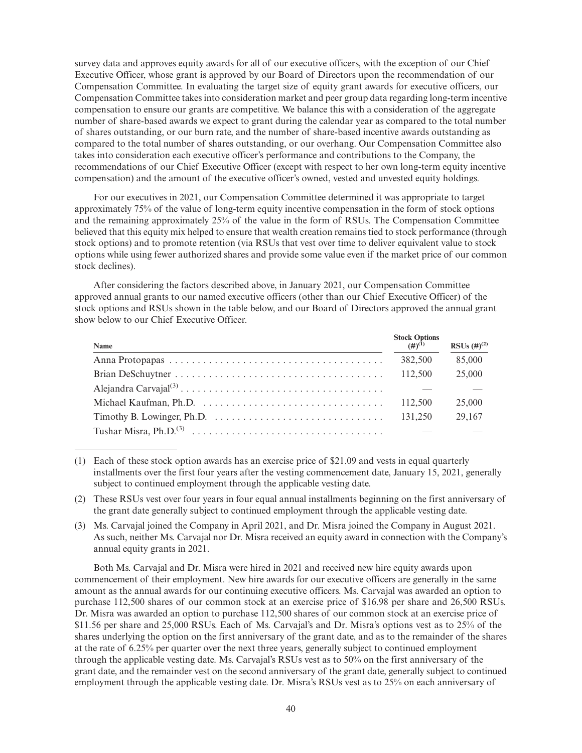survey data and approves equity awards for all of our executive officers, with the exception of our Chief Executive Officer, whose grant is approved by our Board of Directors upon the recommendation of our Compensation Committee. In evaluating the target size of equity grant awards for executive officers, our Compensation Committee takes into consideration market and peer group data regarding long-term incentive compensation to ensure our grants are competitive. We balance this with a consideration of the aggregate number of share-based awards we expect to grant during the calendar year as compared to the total number of shares outstanding, or our burn rate, and the number of share-based incentive awards outstanding as compared to the total number of shares outstanding, or our overhang. Our Compensation Committee also takes into consideration each executive officer's performance and contributions to the Company, the recommendations of our Chief Executive Officer (except with respect to her own long-term equity incentive compensation) and the amount of the executive officer's owned, vested and unvested equity holdings.

For our executives in 2021, our Compensation Committee determined it was appropriate to target approximately 75% of the value of long-term equity incentive compensation in the form of stock options and the remaining approximately 25% of the value in the form of RSUs. The Compensation Committee believed that this equity mix helped to ensure that wealth creation remains tied to stock performance (through stock options) and to promote retention (via RSUs that vest over time to deliver equivalent value to stock options while using fewer authorized shares and provide some value even if the market price of our common stock declines).

After considering the factors described above, in January 2021, our Compensation Committee approved annual grants to our named executive officers (other than our Chief Executive Officer) of the stock options and RSUs shown in the table below, and our Board of Directors approved the annual grant show below to our Chief Executive Officer.

| Name | Stock Options<br>$(\#)^{(1)}$ | RSUs $(#)^{(2)}$ |
|------|-------------------------------|------------------|
|      | 382,500                       | 85,000           |
|      | 112,500                       | 25,000           |
|      |                               |                  |
|      | 112,500                       | 25,000           |
|      | 131,250                       | 29,167           |
|      |                               |                  |

<sup>(1)</sup> Each of these stock option awards has an exercise price of \$21.09 and vests in equal quarterly installments over the first four years after the vesting commencement date, January 15, 2021, generally subject to continued employment through the applicable vesting date.

- (2) These RSUs vest over four years in four equal annual installments beginning on the first anniversary of the grant date generally subject to continued employment through the applicable vesting date.
- (3) Ms. Carvajal joined the Company in April 2021, and Dr. Misra joined the Company in August 2021. As such, neither Ms. Carvajal nor Dr. Misra received an equity award in connection with the Company's annual equity grants in 2021.

Both Ms. Carvajal and Dr. Misra were hired in 2021 and received new hire equity awards upon commencement of their employment. New hire awards for our executive officers are generally in the same amount as the annual awards for our continuing executive officers. Ms. Carvajal was awarded an option to purchase 112,500 shares of our common stock at an exercise price of \$16.98 per share and 26,500 RSUs. Dr. Misra was awarded an option to purchase 112,500 shares of our common stock at an exercise price of \$11.56 per share and 25,000 RSUs. Each of Ms. Carvajal's and Dr. Misra's options vest as to 25% of the shares underlying the option on the first anniversary of the grant date, and as to the remainder of the shares at the rate of 6.25% per quarter over the next three years, generally subject to continued employment through the applicable vesting date. Ms. Carvajal's RSUs vest as to 50% on the first anniversary of the grant date, and the remainder vest on the second anniversary of the grant date, generally subject to continued employment through the applicable vesting date. Dr. Misra's RSUs vest as to 25% on each anniversary of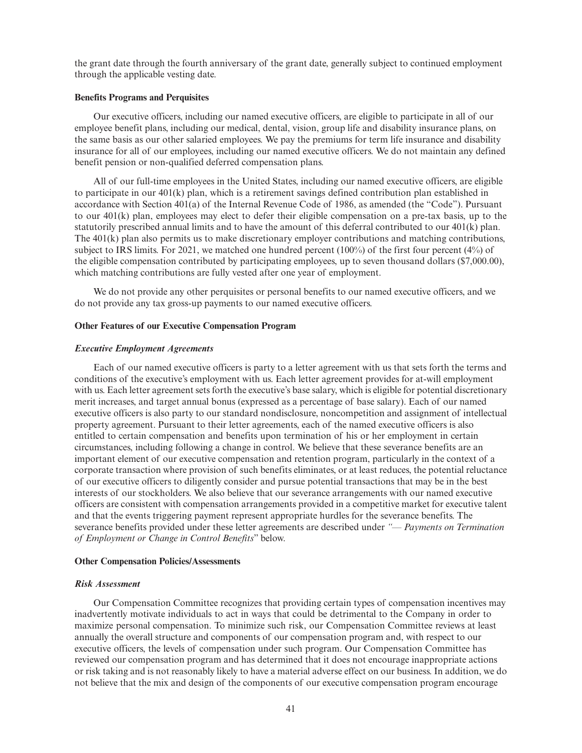the grant date through the fourth anniversary of the grant date, generally subject to continued employment through the applicable vesting date.

# **Benefits Programs and Perquisites**

Our executive officers, including our named executive officers, are eligible to participate in all of our employee benefit plans, including our medical, dental, vision, group life and disability insurance plans, on the same basis as our other salaried employees. We pay the premiums for term life insurance and disability insurance for all of our employees, including our named executive officers. We do not maintain any defined benefit pension or non-qualified deferred compensation plans.

All of our full-time employees in the United States, including our named executive officers, are eligible to participate in our  $401(k)$  plan, which is a retirement savings defined contribution plan established in accordance with Section 401(a) of the Internal Revenue Code of 1986, as amended (the "Code"). Pursuant to our 401(k) plan, employees may elect to defer their eligible compensation on a pre-tax basis, up to the statutorily prescribed annual limits and to have the amount of this deferral contributed to our 401(k) plan. The 401(k) plan also permits us to make discretionary employer contributions and matching contributions, subject to IRS limits. For 2021, we matched one hundred percent (100%) of the first four percent (4%) of the eligible compensation contributed by participating employees, up to seven thousand dollars (\$7,000.00), which matching contributions are fully vested after one year of employment.

We do not provide any other perquisites or personal benefits to our named executive officers, and we do not provide any tax gross-up payments to our named executive officers.

#### **Other Features of our Executive Compensation Program**

#### *Executive Employment Agreements*

Each of our named executive officers is party to a letter agreement with us that sets forth the terms and conditions of the executive's employment with us. Each letter agreement provides for at-will employment with us. Each letter agreement sets forth the executive's base salary, which is eligible for potential discretionary merit increases, and target annual bonus (expressed as a percentage of base salary). Each of our named executive officers is also party to our standard nondisclosure, noncompetition and assignment of intellectual property agreement. Pursuant to their letter agreements, each of the named executive officers is also entitled to certain compensation and benefits upon termination of his or her employment in certain circumstances, including following a change in control. We believe that these severance benefits are an important element of our executive compensation and retention program, particularly in the context of a corporate transaction where provision of such benefits eliminates, or at least reduces, the potential reluctance of our executive officers to diligently consider and pursue potential transactions that may be in the best interests of our stockholders. We also believe that our severance arrangements with our named executive officers are consistent with compensation arrangements provided in a competitive market for executive talent and that the events triggering payment represent appropriate hurdles for the severance benefits. The severance benefits provided under these letter agreements are described under *"— Payments on Termination of Employment or Change in Control Benefits*" below.

# **Other Compensation Policies/Assessments**

#### *Risk Assessment*

Our Compensation Committee recognizes that providing certain types of compensation incentives may inadvertently motivate individuals to act in ways that could be detrimental to the Company in order to maximize personal compensation. To minimize such risk, our Compensation Committee reviews at least annually the overall structure and components of our compensation program and, with respect to our executive officers, the levels of compensation under such program. Our Compensation Committee has reviewed our compensation program and has determined that it does not encourage inappropriate actions or risk taking and is not reasonably likely to have a material adverse effect on our business. In addition, we do not believe that the mix and design of the components of our executive compensation program encourage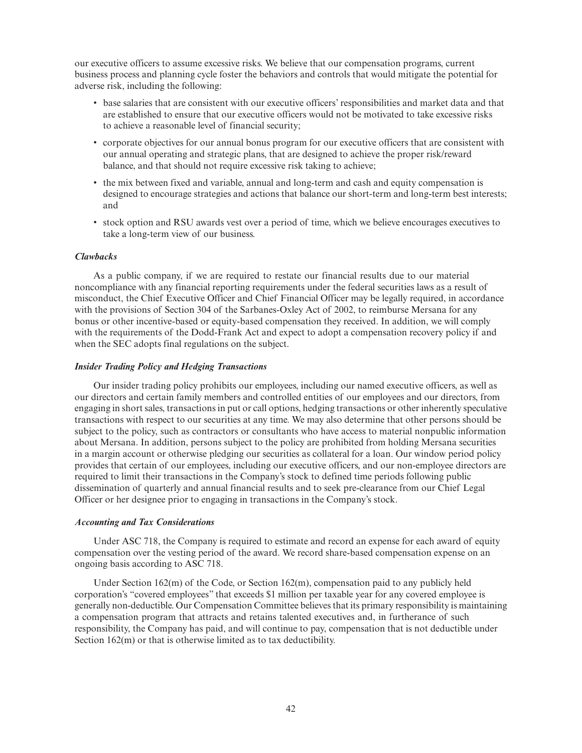our executive officers to assume excessive risks. We believe that our compensation programs, current business process and planning cycle foster the behaviors and controls that would mitigate the potential for adverse risk, including the following:

- base salaries that are consistent with our executive officers' responsibilities and market data and that are established to ensure that our executive officers would not be motivated to take excessive risks to achieve a reasonable level of financial security;
- corporate objectives for our annual bonus program for our executive officers that are consistent with our annual operating and strategic plans, that are designed to achieve the proper risk/reward balance, and that should not require excessive risk taking to achieve;
- the mix between fixed and variable, annual and long-term and cash and equity compensation is designed to encourage strategies and actions that balance our short-term and long-term best interests; and
- stock option and RSU awards vest over a period of time, which we believe encourages executives to take a long-term view of our business.

# *Clawbacks*

As a public company, if we are required to restate our financial results due to our material noncompliance with any financial reporting requirements under the federal securities laws as a result of misconduct, the Chief Executive Officer and Chief Financial Officer may be legally required, in accordance with the provisions of Section 304 of the Sarbanes-Oxley Act of 2002, to reimburse Mersana for any bonus or other incentive-based or equity-based compensation they received. In addition, we will comply with the requirements of the Dodd-Frank Act and expect to adopt a compensation recovery policy if and when the SEC adopts final regulations on the subject.

#### *Insider Trading Policy and Hedging Transactions*

Our insider trading policy prohibits our employees, including our named executive officers, as well as our directors and certain family members and controlled entities of our employees and our directors, from engaging in short sales, transactions in put or call options, hedging transactions or other inherently speculative transactions with respect to our securities at any time. We may also determine that other persons should be subject to the policy, such as contractors or consultants who have access to material nonpublic information about Mersana. In addition, persons subject to the policy are prohibited from holding Mersana securities in a margin account or otherwise pledging our securities as collateral for a loan. Our window period policy provides that certain of our employees, including our executive officers, and our non-employee directors are required to limit their transactions in the Company's stock to defined time periods following public dissemination of quarterly and annual financial results and to seek pre-clearance from our Chief Legal Officer or her designee prior to engaging in transactions in the Company's stock.

# *Accounting and Tax Considerations*

Under ASC 718, the Company is required to estimate and record an expense for each award of equity compensation over the vesting period of the award. We record share-based compensation expense on an ongoing basis according to ASC 718.

Under Section 162(m) of the Code, or Section 162(m), compensation paid to any publicly held corporation's "covered employees" that exceeds \$1 million per taxable year for any covered employee is generally non-deductible. Our Compensation Committee believes that its primary responsibility is maintaining a compensation program that attracts and retains talented executives and, in furtherance of such responsibility, the Company has paid, and will continue to pay, compensation that is not deductible under Section  $162(m)$  or that is otherwise limited as to tax deductibility.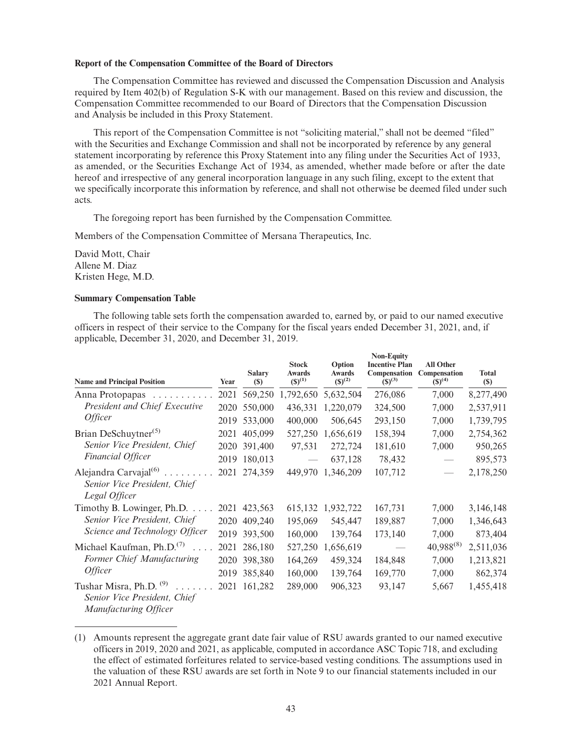# **Report of the Compensation Committee of the Board of Directors**

The Compensation Committee has reviewed and discussed the Compensation Discussion and Analysis required by Item 402(b) of Regulation S-K with our management. Based on this review and discussion, the Compensation Committee recommended to our Board of Directors that the Compensation Discussion and Analysis be included in this Proxy Statement.

This report of the Compensation Committee is not "soliciting material," shall not be deemed "filed" with the Securities and Exchange Commission and shall not be incorporated by reference by any general statement incorporating by reference this Proxy Statement into any filing under the Securities Act of 1933, as amended, or the Securities Exchange Act of 1934, as amended, whether made before or after the date hereof and irrespective of any general incorporation language in any such filing, except to the extent that we specifically incorporate this information by reference, and shall not otherwise be deemed filed under such acts.

The foregoing report has been furnished by the Compensation Committee.

Members of the Compensation Committee of Mersana Therapeutics, Inc.

David Mott, Chair Allene M. Diaz Kristen Hege, M.D.

# **Summary Compensation Table**

The following table sets forth the compensation awarded to, earned by, or paid to our named executive officers in respect of their service to the Company for the fiscal years ended December 31, 2021, and, if applicable, December 31, 2020, and December 31, 2019.

**Non-Equity**

| <b>Name and Principal Position</b>                                                                         | Year | <b>Salary</b><br>(S) | <b>Stock</b><br><b>Awards</b><br>$(S)^{(1)}$ | Option<br><b>Awards</b><br>$(S)^{(2)}$ | Non-Equity<br><b>Incentive Plan</b><br>Compensation<br>$(5)^{(3)}$ | <b>All Other</b><br>Compensation<br>$(S)^{(4)}$ | <b>Total</b><br>$(\$)$ |
|------------------------------------------------------------------------------------------------------------|------|----------------------|----------------------------------------------|----------------------------------------|--------------------------------------------------------------------|-------------------------------------------------|------------------------|
| Anna Protopapas                                                                                            | 2021 | 569,250              | 1,792,650                                    | 5,632,504                              | 276,086                                                            | 7,000                                           | 8,277,490              |
| President and Chief Executive<br><i>Officer</i>                                                            | 2020 | 550,000              | 436,331                                      | 1,220,079                              | 324,500                                                            | 7,000                                           | 2,537,911              |
|                                                                                                            | 2019 | 533,000              | 400,000                                      | 506,645                                | 293,150                                                            | 7,000                                           | 1,739,795              |
| Brian DeSchuytner <sup>(5)</sup>                                                                           | 2021 | 405,099              | 527,250                                      | 1,656,619                              | 158,394                                                            | 7,000                                           | 2,754,362              |
| Senior Vice President, Chief<br>Financial Officer                                                          |      | 2020 391,400         | 97,531                                       | 272,724                                | 181,610                                                            | 7,000                                           | 950,265                |
|                                                                                                            | 2019 | 180,013              |                                              | 637,128                                | 78,432                                                             |                                                 | 895,573                |
| Alejandra Carvajal <sup>(6)</sup><br>.<br>Senior Vice President, Chief<br>Legal Officer                    | 2021 | 274,359              |                                              | 449,970 1,346,209                      | 107,712                                                            | $\overbrace{\qquad \qquad }^{}$                 | 2,178,250              |
| Timothy B. Lowinger, Ph.D. $\dots$ .                                                                       |      | 2021 423,563         |                                              | 615,132 1,932,722                      | 167,731                                                            | 7,000                                           | 3,146,148              |
| Senior Vice President, Chief                                                                               | 2020 | 409,240              | 195,069                                      | 545,447                                | 189,887                                                            | 7,000                                           | 1,346,643              |
| Science and Technology Officer                                                                             |      | 2019 393,500         | 160,000                                      | 139,764                                | 173,140                                                            | 7,000                                           | 873,404                |
| Michael Kaufman, Ph.D. <sup>(7)</sup>                                                                      | 2021 | 286,180              | 527,250                                      | 1,656,619                              | $\overline{\phantom{0}}$                                           | $40,988^{(8)}$                                  | 2,511,036              |
| Former Chief Manufacturing                                                                                 | 2020 | 398,380              | 164,269                                      | 459,324                                | 184,848                                                            | 7,000                                           | 1,213,821              |
| <i>Officer</i>                                                                                             | 2019 | 385,840              | 160,000                                      | 139,764                                | 169,770                                                            | 7,000                                           | 862,374                |
| Tushar Misra, Ph.D. <sup>(9)</sup><br>1.1.1.1.1.1<br>Senior Vice President, Chief<br>Manufacturing Officer | 2021 | 161,282              | 289,000                                      | 906,323                                | 93,147                                                             | 5,667                                           | 1,455,418              |

<sup>(1)</sup> Amounts represent the aggregate grant date fair value of RSU awards granted to our named executive officers in 2019, 2020 and 2021, as applicable, computed in accordance ASC Topic 718, and excluding the effect of estimated forfeitures related to service-based vesting conditions. The assumptions used in the valuation of these RSU awards are set forth in Note 9 to our financial statements included in our 2021 Annual Report.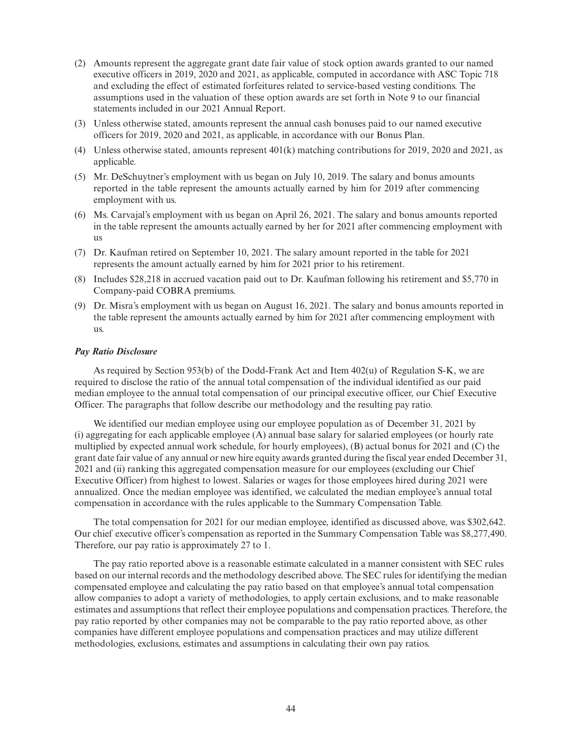- (2) Amounts represent the aggregate grant date fair value of stock option awards granted to our named executive officers in 2019, 2020 and 2021, as applicable, computed in accordance with ASC Topic 718 and excluding the effect of estimated forfeitures related to service-based vesting conditions. The assumptions used in the valuation of these option awards are set forth in Note 9 to our financial statements included in our 2021 Annual Report.
- (3) Unless otherwise stated, amounts represent the annual cash bonuses paid to our named executive officers for 2019, 2020 and 2021, as applicable, in accordance with our Bonus Plan.
- (4) Unless otherwise stated, amounts represent 401(k) matching contributions for 2019, 2020 and 2021, as applicable.
- (5) Mr. DeSchuytner's employment with us began on July 10, 2019. The salary and bonus amounts reported in the table represent the amounts actually earned by him for 2019 after commencing employment with us.
- (6) Ms. Carvajal's employment with us began on April 26, 2021. The salary and bonus amounts reported in the table represent the amounts actually earned by her for 2021 after commencing employment with us
- (7) Dr. Kaufman retired on September 10, 2021. The salary amount reported in the table for 2021 represents the amount actually earned by him for 2021 prior to his retirement.
- (8) Includes \$28,218 in accrued vacation paid out to Dr. Kaufman following his retirement and \$5,770 in Company-paid COBRA premiums.
- (9) Dr. Misra's employment with us began on August 16, 2021. The salary and bonus amounts reported in the table represent the amounts actually earned by him for 2021 after commencing employment with us.

#### *Pay Ratio Disclosure*

As required by Section 953(b) of the Dodd-Frank Act and Item 402(u) of Regulation S-K, we are required to disclose the ratio of the annual total compensation of the individual identified as our paid median employee to the annual total compensation of our principal executive officer, our Chief Executive Officer. The paragraphs that follow describe our methodology and the resulting pay ratio.

We identified our median employee using our employee population as of December 31, 2021 by (i) aggregating for each applicable employee (A) annual base salary for salaried employees (or hourly rate multiplied by expected annual work schedule, for hourly employees), (B) actual bonus for 2021 and (C) the grant date fair value of any annual or new hire equity awards granted during the fiscal year ended December 31, 2021 and (ii) ranking this aggregated compensation measure for our employees (excluding our Chief Executive Officer) from highest to lowest. Salaries or wages for those employees hired during 2021 were annualized. Once the median employee was identified, we calculated the median employee's annual total compensation in accordance with the rules applicable to the Summary Compensation Table.

The total compensation for 2021 for our median employee, identified as discussed above, was \$302,642. Our chief executive officer's compensation as reported in the Summary Compensation Table was \$8,277,490. Therefore, our pay ratio is approximately 27 to 1.

The pay ratio reported above is a reasonable estimate calculated in a manner consistent with SEC rules based on our internal records and the methodology described above. The SEC rules for identifying the median compensated employee and calculating the pay ratio based on that employee's annual total compensation allow companies to adopt a variety of methodologies, to apply certain exclusions, and to make reasonable estimates and assumptions that reflect their employee populations and compensation practices. Therefore, the pay ratio reported by other companies may not be comparable to the pay ratio reported above, as other companies have different employee populations and compensation practices and may utilize different methodologies, exclusions, estimates and assumptions in calculating their own pay ratios.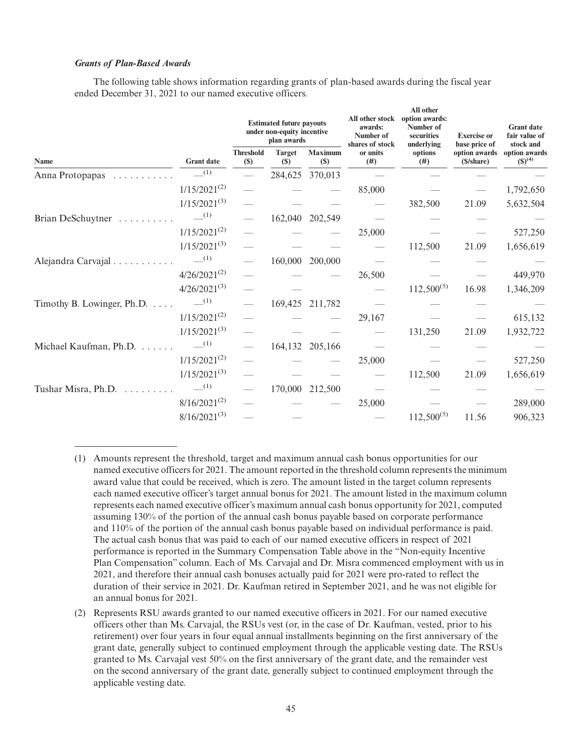# *Grants of Plan-Based Awards*

The following table shows information regarding grants of plan-based awards during the fiscal year ended December 31, 2021 to our named executive officers.

|                            |                    | <b>Estimated future payouts</b><br>under non-equity incentive<br>plan awards |                             |                          | All other stock<br>awards:<br>Number of<br>shares of stock | All other<br>option awards:<br>Number of<br>securities<br>underlying | <b>Exercise</b> or<br>base price of | <b>Grant date</b><br>fair value of<br>stock and |
|----------------------------|--------------------|------------------------------------------------------------------------------|-----------------------------|--------------------------|------------------------------------------------------------|----------------------------------------------------------------------|-------------------------------------|-------------------------------------------------|
| Name                       | <b>Grant date</b>  | <b>Threshold</b><br>(S)                                                      | <b>Target</b><br><b>(S)</b> | <b>Maximum</b><br>$(\$)$ | or units<br>(#)                                            | options<br>(# )                                                      | option awards<br>(\$/share)         | option awards<br>$({\mathbb S})^{(4)}$          |
| Anna Protopapas            | $-$ (1)            |                                                                              |                             | 284,625 370,013          |                                                            |                                                                      |                                     |                                                 |
|                            | $1/15/2021^{(2)}$  |                                                                              |                             |                          | 85,000                                                     |                                                                      |                                     | 1,792,650                                       |
|                            | $1/15/2021^{(3)}$  |                                                                              |                             |                          |                                                            | 382,500                                                              | 21.09                               | 5,632,504                                       |
| Brian DeSchuytner<br>.     | $-$ (1)            |                                                                              |                             | 162,040 202,549          |                                                            |                                                                      |                                     |                                                 |
|                            | $1/15/2021^{(2)}$  |                                                                              |                             |                          | 25,000                                                     |                                                                      |                                     | 527,250                                         |
|                            | $1/15/2021^{(3)}$  |                                                                              |                             |                          |                                                            | 112,500                                                              | 21.09                               | 1,656,619                                       |
| Alejandra Carvajal         | $-$ <sup>(1)</sup> |                                                                              |                             | 160,000 200,000          |                                                            |                                                                      |                                     |                                                 |
|                            | $4/26/2021^{(2)}$  |                                                                              |                             |                          | 26,500                                                     |                                                                      |                                     | 449,970                                         |
|                            | $4/26/2021^{(3)}$  |                                                                              |                             |                          |                                                            | $112,500^{(5)}$                                                      | 16.98                               | 1,346,209                                       |
| Timothy B. Lowinger, Ph.D. | $-$ (1)            |                                                                              |                             | 169,425 211,782          |                                                            |                                                                      |                                     |                                                 |
|                            | $1/15/2021^{(2)}$  |                                                                              |                             |                          | 29,167                                                     |                                                                      |                                     | 615,132                                         |
|                            | $1/15/2021^{(3)}$  |                                                                              |                             |                          |                                                            | 131,250                                                              | 21.09                               | 1,932,722                                       |
| Michael Kaufman, Ph.D.     | $-$ (1)            |                                                                              |                             | 164,132 205,166          |                                                            |                                                                      |                                     |                                                 |
|                            | $1/15/2021^{(2)}$  |                                                                              |                             |                          | 25,000                                                     |                                                                      |                                     | 527,250                                         |
|                            | $1/15/2021^{(3)}$  |                                                                              |                             |                          |                                                            | 112,500                                                              | 21.09                               | 1,656,619                                       |
| Tushar Misra, Ph.D.        | $-$ (1)            |                                                                              |                             | 170,000 212,500          |                                                            |                                                                      |                                     |                                                 |
|                            | $8/16/2021^{(2)}$  |                                                                              |                             |                          | 25,000                                                     |                                                                      |                                     | 289,000                                         |
|                            | $8/16/2021^{(3)}$  |                                                                              |                             |                          |                                                            | $112,500^{(5)}$                                                      | 11.56                               | 906,323                                         |

<sup>(1)</sup> Amounts represent the threshold, target and maximum annual cash bonus opportunities for our named executive officers for 2021. The amount reported in the threshold column represents the minimum award value that could be received, which is zero. The amount listed in the target column represents each named executive officer's target annual bonus for 2021. The amount listed in the maximum column represents each named executive officer's maximum annual cash bonus opportunity for 2021, computed assuming 130% of the portion of the annual cash bonus payable based on corporate performance and 110% of the portion of the annual cash bonus payable based on individual performance is paid. The actual cash bonus that was paid to each of our named executive officers in respect of 2021 performance is reported in the Summary Compensation Table above in the "Non-equity Incentive Plan Compensation" column. Each of Ms. Carvajal and Dr. Misra commenced employment with us in 2021, and therefore their annual cash bonuses actually paid for 2021 were pro-rated to reflect the duration of their service in 2021. Dr. Kaufman retired in September 2021, and he was not eligible for an annual bonus for 2021.

<sup>(2)</sup> Represents RSU awards granted to our named executive officers in 2021. For our named executive officers other than Ms. Carvajal, the RSUs vest (or, in the case of Dr. Kaufman, vested, prior to his retirement) over four years in four equal annual installments beginning on the first anniversary of the grant date, generally subject to continued employment through the applicable vesting date. The RSUs granted to Ms. Carvajal vest 50% on the first anniversary of the grant date, and the remainder vest on the second anniversary of the grant date, generally subject to continued employment through the applicable vesting date.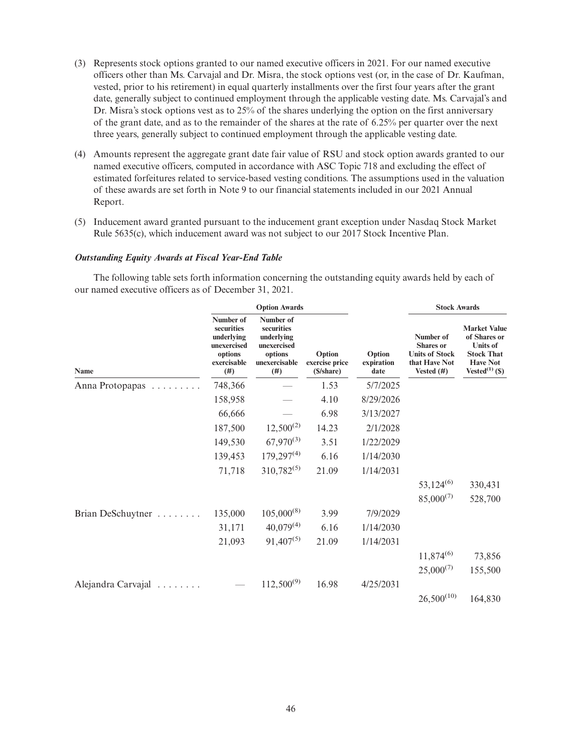- (3) Represents stock options granted to our named executive officers in 2021. For our named executive officers other than Ms. Carvajal and Dr. Misra, the stock options vest (or, in the case of Dr. Kaufman, vested, prior to his retirement) in equal quarterly installments over the first four years after the grant date, generally subject to continued employment through the applicable vesting date. Ms. Carvajal's and Dr. Misra's stock options vest as to 25% of the shares underlying the option on the first anniversary of the grant date, and as to the remainder of the shares at the rate of 6.25% per quarter over the next three years, generally subject to continued employment through the applicable vesting date.
- (4) Amounts represent the aggregate grant date fair value of RSU and stock option awards granted to our named executive officers, computed in accordance with ASC Topic 718 and excluding the effect of estimated forfeitures related to service-based vesting conditions. The assumptions used in the valuation of these awards are set forth in Note 9 to our financial statements included in our 2021 Annual Report.
- (5) Inducement award granted pursuant to the inducement grant exception under Nasdaq Stock Market Rule 5635(c), which inducement award was not subject to our 2017 Stock Incentive Plan.

#### *Outstanding Equity Awards at Fiscal Year-End Table*

The following table sets forth information concerning the outstanding equity awards held by each of our named executive officers as of December 31, 2021.

|                    |                                                                                       | <b>Option Awards</b>                                                                     |                                        |                              | <b>Stock Awards</b>                                                                     |                                                                                                                        |  |
|--------------------|---------------------------------------------------------------------------------------|------------------------------------------------------------------------------------------|----------------------------------------|------------------------------|-----------------------------------------------------------------------------------------|------------------------------------------------------------------------------------------------------------------------|--|
| Name               | Number of<br>securities<br>underlying<br>unexercised<br>options<br>exercisable<br>(#) | Number of<br>securities<br>underlying<br>unexercised<br>options<br>unexercisable<br>(# ) | Option<br>exercise price<br>(\$/share) | Option<br>expiration<br>date | Number of<br><b>Shares</b> or<br><b>Units of Stock</b><br>that Have Not<br>Vested $(#)$ | <b>Market Value</b><br>of Shares or<br><b>Units of</b><br><b>Stock That</b><br><b>Have Not</b><br>Vested $^{(1)}$ (\$) |  |
| Anna Protopapas    | 748,366                                                                               |                                                                                          | 1.53                                   | 5/7/2025                     |                                                                                         |                                                                                                                        |  |
|                    | 158,958                                                                               |                                                                                          | 4.10                                   | 8/29/2026                    |                                                                                         |                                                                                                                        |  |
|                    | 66,666                                                                                |                                                                                          | 6.98                                   | 3/13/2027                    |                                                                                         |                                                                                                                        |  |
|                    | 187,500                                                                               | $12,500^{(2)}$                                                                           | 14.23                                  | 2/1/2028                     |                                                                                         |                                                                                                                        |  |
|                    | 149,530                                                                               | $67,970^{(3)}$                                                                           | 3.51                                   | 1/22/2029                    |                                                                                         |                                                                                                                        |  |
|                    | 139,453                                                                               | $179,297^{(4)}$                                                                          | 6.16                                   | 1/14/2030                    |                                                                                         |                                                                                                                        |  |
|                    | 71,718                                                                                | $310,782^{(5)}$                                                                          | 21.09                                  | 1/14/2031                    |                                                                                         |                                                                                                                        |  |
|                    |                                                                                       |                                                                                          |                                        |                              | $53,124^{(6)}$                                                                          | 330,431                                                                                                                |  |
|                    |                                                                                       |                                                                                          |                                        |                              | $85,000^{(7)}$                                                                          | 528,700                                                                                                                |  |
| Brian DeSchuytner  | 135,000                                                                               | $105,000^{(8)}$                                                                          | 3.99                                   | 7/9/2029                     |                                                                                         |                                                                                                                        |  |
|                    | 31,171                                                                                | $40,079^{(4)}$                                                                           | 6.16                                   | 1/14/2030                    |                                                                                         |                                                                                                                        |  |
|                    | 21,093                                                                                | $91,407^{(5)}$                                                                           | 21.09                                  | 1/14/2031                    |                                                                                         |                                                                                                                        |  |
|                    |                                                                                       |                                                                                          |                                        |                              | $11,874^{(6)}$                                                                          | 73,856                                                                                                                 |  |
|                    |                                                                                       |                                                                                          |                                        |                              | $25,000^{(7)}$                                                                          | 155,500                                                                                                                |  |
| Alejandra Carvajal |                                                                                       | $112,500^{(9)}$                                                                          | 16.98                                  | 4/25/2031                    |                                                                                         |                                                                                                                        |  |
|                    |                                                                                       |                                                                                          |                                        |                              | $26,500^{(10)}$                                                                         | 164,830                                                                                                                |  |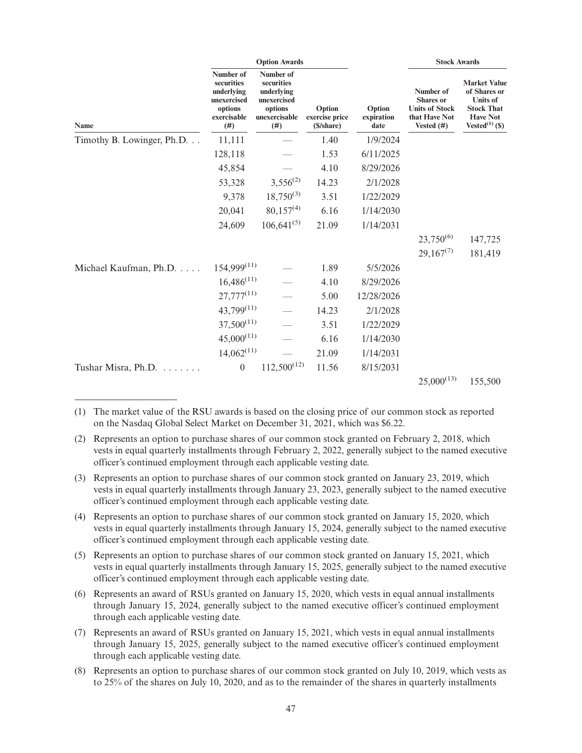|                            |                                                                                        | <b>Option Awards</b>                                                                     |                                        |                              | <b>Stock Awards</b>                                                                      |                                                                                                                        |  |
|----------------------------|----------------------------------------------------------------------------------------|------------------------------------------------------------------------------------------|----------------------------------------|------------------------------|------------------------------------------------------------------------------------------|------------------------------------------------------------------------------------------------------------------------|--|
| Name                       | Number of<br>securities<br>underlying<br>unexercised<br>options<br>exercisable<br>(# ) | Number of<br>securities<br>underlying<br>unexercised<br>options<br>unexercisable<br>(# ) | Option<br>exercise price<br>(\$/share) | Option<br>expiration<br>date | Number of<br><b>Shares</b> or<br><b>Units of Stock</b><br>that Have Not<br>Vested $(\#)$ | <b>Market Value</b><br>of Shares or<br><b>Units of</b><br><b>Stock That</b><br><b>Have Not</b><br>Vested $^{(1)}$ (\$) |  |
| Timothy B. Lowinger, Ph.D. | 11,111                                                                                 |                                                                                          | 1.40                                   | 1/9/2024                     |                                                                                          |                                                                                                                        |  |
|                            | 128,118                                                                                |                                                                                          | 1.53                                   | 6/11/2025                    |                                                                                          |                                                                                                                        |  |
|                            | 45,854                                                                                 |                                                                                          | 4.10                                   | 8/29/2026                    |                                                                                          |                                                                                                                        |  |
|                            | 53,328                                                                                 | $3,556^{(2)}$                                                                            | 14.23                                  | 2/1/2028                     |                                                                                          |                                                                                                                        |  |
|                            | 9,378                                                                                  | $18,750^{(3)}$                                                                           | 3.51                                   | 1/22/2029                    |                                                                                          |                                                                                                                        |  |
|                            | 20,041                                                                                 | $80,157^{(4)}$                                                                           | 6.16                                   | 1/14/2030                    |                                                                                          |                                                                                                                        |  |
|                            | 24,609                                                                                 | $106,641^{(5)}$                                                                          | 21.09                                  | 1/14/2031                    |                                                                                          |                                                                                                                        |  |
|                            |                                                                                        |                                                                                          |                                        |                              | $23,750^{(6)}$                                                                           | 147,725                                                                                                                |  |
|                            |                                                                                        |                                                                                          |                                        |                              | $29,167^{(7)}$                                                                           | 181,419                                                                                                                |  |
| Michael Kaufman, Ph.D.     | $154,999^{(11)}$                                                                       |                                                                                          | 1.89                                   | 5/5/2026                     |                                                                                          |                                                                                                                        |  |
|                            | $16,486^{(11)}$                                                                        |                                                                                          | 4.10                                   | 8/29/2026                    |                                                                                          |                                                                                                                        |  |
|                            | $27,777^{(11)}$                                                                        |                                                                                          | 5.00                                   | 12/28/2026                   |                                                                                          |                                                                                                                        |  |
|                            | 43,799(11)                                                                             |                                                                                          | 14.23                                  | 2/1/2028                     |                                                                                          |                                                                                                                        |  |
|                            | $37,500^{(11)}$                                                                        |                                                                                          | 3.51                                   | 1/22/2029                    |                                                                                          |                                                                                                                        |  |
|                            | $45,000^{(11)}$                                                                        |                                                                                          | 6.16                                   | 1/14/2030                    |                                                                                          |                                                                                                                        |  |
|                            | $14,062^{(11)}$                                                                        |                                                                                          | 21.09                                  | 1/14/2031                    |                                                                                          |                                                                                                                        |  |
| Tushar Misra, Ph.D.        | $\theta$                                                                               | $112,500^{(12)}$                                                                         | 11.56                                  | 8/15/2031                    |                                                                                          |                                                                                                                        |  |
|                            |                                                                                        |                                                                                          |                                        |                              | $25,000^{(13)}$                                                                          | 155,500                                                                                                                |  |

(1) The market value of the RSU awards is based on the closing price of our common stock as reported on the Nasdaq Global Select Market on December 31, 2021, which was \$6.22.

(2) Represents an option to purchase shares of our common stock granted on February 2, 2018, which vests in equal quarterly installments through February 2, 2022, generally subject to the named executive officer's continued employment through each applicable vesting date.

(3) Represents an option to purchase shares of our common stock granted on January 23, 2019, which vests in equal quarterly installments through January 23, 2023, generally subject to the named executive officer's continued employment through each applicable vesting date.

(4) Represents an option to purchase shares of our common stock granted on January 15, 2020, which vests in equal quarterly installments through January 15, 2024, generally subject to the named executive officer's continued employment through each applicable vesting date.

(5) Represents an option to purchase shares of our common stock granted on January 15, 2021, which vests in equal quarterly installments through January 15, 2025, generally subject to the named executive officer's continued employment through each applicable vesting date.

(6) Represents an award of RSUs granted on January 15, 2020, which vests in equal annual installments through January 15, 2024, generally subject to the named executive officer's continued employment through each applicable vesting date.

(7) Represents an award of RSUs granted on January 15, 2021, which vests in equal annual installments through January 15, 2025, generally subject to the named executive officer's continued employment through each applicable vesting date.

(8) Represents an option to purchase shares of our common stock granted on July 10, 2019, which vests as to 25% of the shares on July 10, 2020, and as to the remainder of the shares in quarterly installments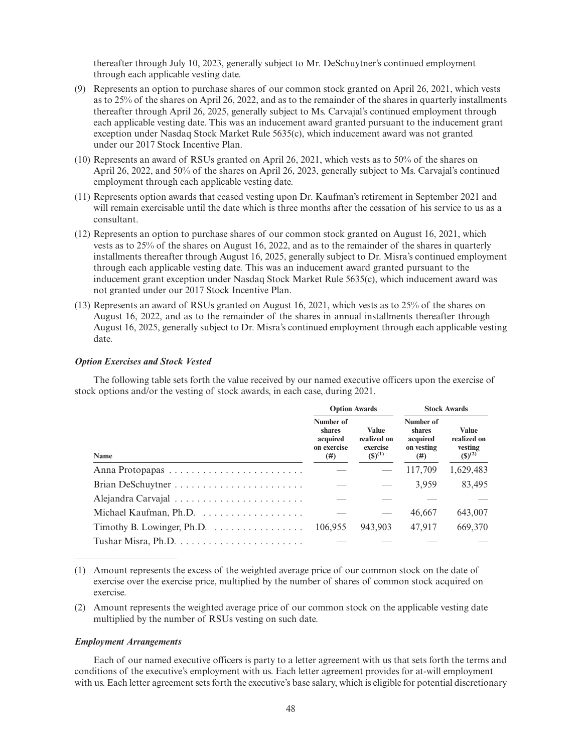thereafter through July 10, 2023, generally subject to Mr. DeSchuytner's continued employment through each applicable vesting date.

- (9) Represents an option to purchase shares of our common stock granted on April 26, 2021, which vests as to 25% of the shares on April 26, 2022, and as to the remainder of the shares in quarterly installments thereafter through April 26, 2025, generally subject to Ms. Carvajal's continued employment through each applicable vesting date. This was an inducement award granted pursuant to the inducement grant exception under Nasdaq Stock Market Rule 5635(c), which inducement award was not granted under our 2017 Stock Incentive Plan.
- (10) Represents an award of RSUs granted on April 26, 2021, which vests as to 50% of the shares on April 26, 2022, and 50% of the shares on April 26, 2023, generally subject to Ms. Carvajal's continued employment through each applicable vesting date.
- (11) Represents option awards that ceased vesting upon Dr. Kaufman's retirement in September 2021 and will remain exercisable until the date which is three months after the cessation of his service to us as a consultant.
- (12) Represents an option to purchase shares of our common stock granted on August 16, 2021, which vests as to 25% of the shares on August 16, 2022, and as to the remainder of the shares in quarterly installments thereafter through August 16, 2025, generally subject to Dr. Misra's continued employment through each applicable vesting date. This was an inducement award granted pursuant to the inducement grant exception under Nasdaq Stock Market Rule 5635(c), which inducement award was not granted under our 2017 Stock Incentive Plan.
- (13) Represents an award of RSUs granted on August 16, 2021, which vests as to 25% of the shares on August 16, 2022, and as to the remainder of the shares in annual installments thereafter through August 16, 2025, generally subject to Dr. Misra's continued employment through each applicable vesting date.

# *Option Exercises and Stock Vested*

The following table sets forth the value received by our named executive officers upon the exercise of stock options and/or the vesting of stock awards, in each case, during 2021.

|                                                            | <b>Option Awards</b>                                  |                                                        | <b>Stock Awards</b>                                  |                                                       |
|------------------------------------------------------------|-------------------------------------------------------|--------------------------------------------------------|------------------------------------------------------|-------------------------------------------------------|
| Name                                                       | Number of<br>shares<br>acquired<br>on exercise<br>(#) | <b>Value</b><br>realized on<br>exercise<br>$(S)^{(1)}$ | Number of<br>shares<br>acquired<br>on vesting<br>(#) | <b>Value</b><br>realized on<br>vesting<br>$(S)^{(2)}$ |
|                                                            |                                                       |                                                        | 117,709                                              | 1,629,483                                             |
|                                                            |                                                       |                                                        | 3,959                                                | 83,495                                                |
|                                                            |                                                       |                                                        |                                                      |                                                       |
|                                                            |                                                       |                                                        | 46,667                                               | 643,007                                               |
| Timothy B. Lowinger, Ph.D. $\dots \dots \dots \dots \dots$ | 106.955                                               | 943.903                                                | 47,917                                               | 669,370                                               |
|                                                            |                                                       |                                                        |                                                      |                                                       |

- (1) Amount represents the excess of the weighted average price of our common stock on the date of exercise over the exercise price, multiplied by the number of shares of common stock acquired on exercise.
- (2) Amount represents the weighted average price of our common stock on the applicable vesting date multiplied by the number of RSUs vesting on such date.

#### *Employment Arrangements*

Each of our named executive officers is party to a letter agreement with us that sets forth the terms and conditions of the executive's employment with us. Each letter agreement provides for at-will employment with us. Each letter agreement sets forth the executive's base salary, which is eligible for potential discretionary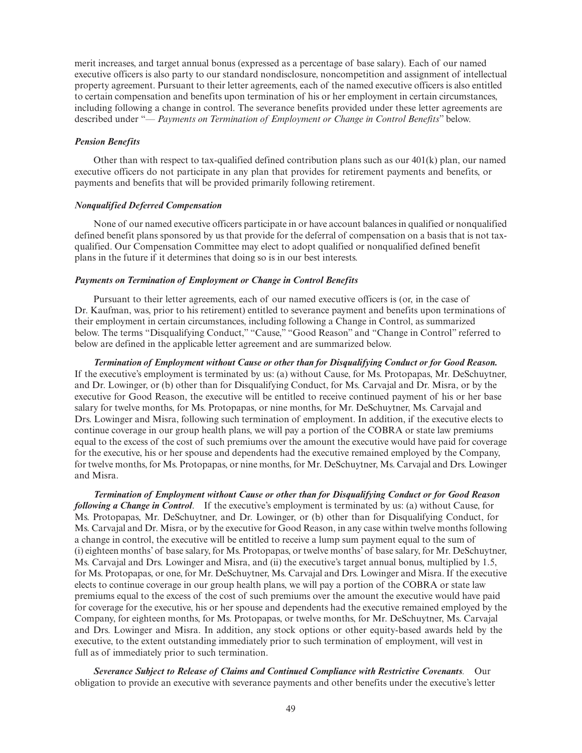merit increases, and target annual bonus (expressed as a percentage of base salary). Each of our named executive officers is also party to our standard nondisclosure, noncompetition and assignment of intellectual property agreement. Pursuant to their letter agreements, each of the named executive officers is also entitled to certain compensation and benefits upon termination of his or her employment in certain circumstances, including following a change in control. The severance benefits provided under these letter agreements are described under "— *Payments on Termination of Employment or Change in Control Benefits*" below.

## *Pension Benefits*

Other than with respect to tax-qualified defined contribution plans such as our  $401(k)$  plan, our named executive officers do not participate in any plan that provides for retirement payments and benefits, or payments and benefits that will be provided primarily following retirement.

## *Nonqualified Deferred Compensation*

None of our named executive officers participate in or have account balances in qualified or nonqualified defined benefit plans sponsored by us that provide for the deferral of compensation on a basis that is not taxqualified. Our Compensation Committee may elect to adopt qualified or nonqualified defined benefit plans in the future if it determines that doing so is in our best interests.

# *Payments on Termination of Employment or Change in Control Benefits*

Pursuant to their letter agreements, each of our named executive officers is (or, in the case of Dr. Kaufman, was, prior to his retirement) entitled to severance payment and benefits upon terminations of their employment in certain circumstances, including following a Change in Control, as summarized below. The terms "Disqualifying Conduct," "Cause," "Good Reason" and "Change in Control" referred to below are defined in the applicable letter agreement and are summarized below.

*Termination of Employment without Cause or other than for Disqualifying Conduct or for Good Reason.* If the executive's employment is terminated by us: (a) without Cause, for Ms. Protopapas, Mr. DeSchuytner, and Dr. Lowinger, or (b) other than for Disqualifying Conduct, for Ms. Carvajal and Dr. Misra, or by the executive for Good Reason, the executive will be entitled to receive continued payment of his or her base salary for twelve months, for Ms. Protopapas, or nine months, for Mr. DeSchuytner, Ms. Carvajal and Drs. Lowinger and Misra, following such termination of employment. In addition, if the executive elects to continue coverage in our group health plans, we will pay a portion of the COBRA or state law premiums equal to the excess of the cost of such premiums over the amount the executive would have paid for coverage for the executive, his or her spouse and dependents had the executive remained employed by the Company, for twelve months, for Ms. Protopapas, or nine months, for Mr. DeSchuytner, Ms. Carvajal and Drs. Lowinger and Misra.

*Termination of Employment without Cause or other than for Disqualifying Conduct or for Good Reason following a Change in Control*. If the executive's employment is terminated by us: (a) without Cause, for Ms. Protopapas, Mr. DeSchuytner, and Dr. Lowinger, or (b) other than for Disqualifying Conduct, for Ms. Carvajal and Dr. Misra, or by the executive for Good Reason, in any case within twelve months following a change in control, the executive will be entitled to receive a lump sum payment equal to the sum of (i) eighteen months' of base salary, for Ms. Protopapas, or twelve months' of base salary, for Mr. DeSchuytner, Ms. Carvajal and Drs. Lowinger and Misra, and (ii) the executive's target annual bonus, multiplied by 1.5, for Ms. Protopapas, or one, for Mr. DeSchuytner, Ms. Carvajal and Drs. Lowinger and Misra. If the executive elects to continue coverage in our group health plans, we will pay a portion of the COBRA or state law premiums equal to the excess of the cost of such premiums over the amount the executive would have paid for coverage for the executive, his or her spouse and dependents had the executive remained employed by the Company, for eighteen months, for Ms. Protopapas, or twelve months, for Mr. DeSchuytner, Ms. Carvajal and Drs. Lowinger and Misra. In addition, any stock options or other equity-based awards held by the executive, to the extent outstanding immediately prior to such termination of employment, will vest in full as of immediately prior to such termination.

*Severance Subject to Release of Claims and Continued Compliance with Restrictive Covenants.* Our obligation to provide an executive with severance payments and other benefits under the executive's letter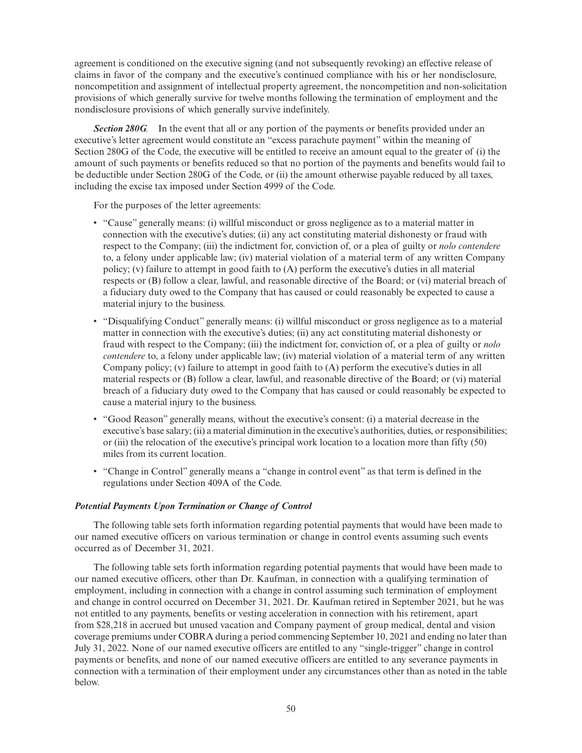agreement is conditioned on the executive signing (and not subsequently revoking) an effective release of claims in favor of the company and the executive's continued compliance with his or her nondisclosure, noncompetition and assignment of intellectual property agreement, the noncompetition and non-solicitation provisions of which generally survive for twelve months following the termination of employment and the nondisclosure provisions of which generally survive indefinitely.

*Section 280G.* In the event that all or any portion of the payments or benefits provided under an executive's letter agreement would constitute an "excess parachute payment" within the meaning of Section 280G of the Code, the executive will be entitled to receive an amount equal to the greater of (i) the amount of such payments or benefits reduced so that no portion of the payments and benefits would fail to be deductible under Section 280G of the Code, or (ii) the amount otherwise payable reduced by all taxes, including the excise tax imposed under Section 4999 of the Code.

For the purposes of the letter agreements:

- "Cause" generally means: (i) willful misconduct or gross negligence as to a material matter in connection with the executive's duties; (ii) any act constituting material dishonesty or fraud with respect to the Company; (iii) the indictment for, conviction of, or a plea of guilty or *nolo contendere* to, a felony under applicable law; (iv) material violation of a material term of any written Company policy; (v) failure to attempt in good faith to (A) perform the executive's duties in all material respects or (B) follow a clear, lawful, and reasonable directive of the Board; or (vi) material breach of a fiduciary duty owed to the Company that has caused or could reasonably be expected to cause a material injury to the business.
- "Disqualifying Conduct" generally means: (i) willful misconduct or gross negligence as to a material matter in connection with the executive's duties; (ii) any act constituting material dishonesty or fraud with respect to the Company; (iii) the indictment for, conviction of, or a plea of guilty or *nolo contendere* to, a felony under applicable law; (iv) material violation of a material term of any written Company policy; (v) failure to attempt in good faith to (A) perform the executive's duties in all material respects or (B) follow a clear, lawful, and reasonable directive of the Board; or (vi) material breach of a fiduciary duty owed to the Company that has caused or could reasonably be expected to cause a material injury to the business.
- "Good Reason" generally means, without the executive's consent: (i) a material decrease in the executive's base salary; (ii) a material diminution in the executive's authorities, duties, or responsibilities; or (iii) the relocation of the executive's principal work location to a location more than fifty (50) miles from its current location.
- "Change in Control" generally means a "change in control event" as that term is defined in the regulations under Section 409A of the Code.

# *Potential Payments Upon Termination or Change of Control*

The following table sets forth information regarding potential payments that would have been made to our named executive officers on various termination or change in control events assuming such events occurred as of December 31, 2021.

The following table sets forth information regarding potential payments that would have been made to our named executive officers, other than Dr. Kaufman, in connection with a qualifying termination of employment, including in connection with a change in control assuming such termination of employment and change in control occurred on December 31, 2021. Dr. Kaufman retired in September 2021, but he was not entitled to any payments, benefits or vesting acceleration in connection with his retirement, apart from \$28,218 in accrued but unused vacation and Company payment of group medical, dental and vision coverage premiums under COBRA during a period commencing September 10, 2021 and ending no later than July 31, 2022. None of our named executive officers are entitled to any "single-trigger" change in control payments or benefits, and none of our named executive officers are entitled to any severance payments in connection with a termination of their employment under any circumstances other than as noted in the table below.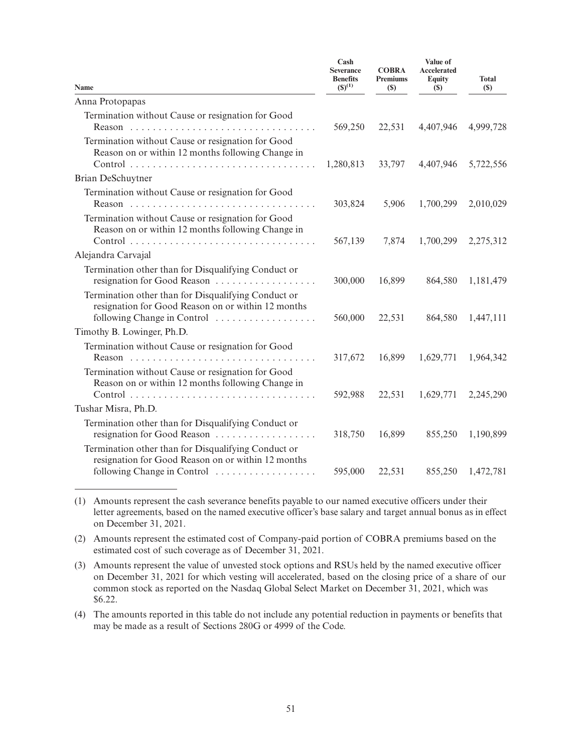| Name                                                                                                                                     | Cash<br><b>Severance</b><br><b>Benefits</b><br>$(S)^{(1)}$ | <b>COBRA</b><br><b>Premiums</b><br>(S) | Value of<br><b>Accelerated</b><br><b>Equity</b><br><b>(\$)</b> | <b>Total</b><br>(S) |
|------------------------------------------------------------------------------------------------------------------------------------------|------------------------------------------------------------|----------------------------------------|----------------------------------------------------------------|---------------------|
| Anna Protopapas                                                                                                                          |                                                            |                                        |                                                                |                     |
| Termination without Cause or resignation for Good                                                                                        | 569,250                                                    | 22,531                                 | 4,407,946                                                      | 4,999,728           |
| Termination without Cause or resignation for Good<br>Reason on or within 12 months following Change in                                   | 1,280,813                                                  | 33,797                                 | 4,407,946                                                      | 5,722,556           |
| Brian DeSchuytner                                                                                                                        |                                                            |                                        |                                                                |                     |
| Termination without Cause or resignation for Good                                                                                        | 303,824                                                    | 5,906                                  | 1,700,299                                                      | 2,010,029           |
| Termination without Cause or resignation for Good<br>Reason on or within 12 months following Change in                                   | 567,139                                                    | 7,874                                  | 1,700,299                                                      | 2,275,312           |
| Alejandra Carvajal                                                                                                                       |                                                            |                                        |                                                                |                     |
| Termination other than for Disqualifying Conduct or<br>resignation for Good Reason                                                       | 300,000                                                    | 16,899                                 | 864,580                                                        | 1,181,479           |
| Termination other than for Disqualifying Conduct or<br>resignation for Good Reason on or within 12 months<br>following Change in Control | 560,000                                                    | 22,531                                 | 864,580                                                        | 1,447,111           |
| Timothy B. Lowinger, Ph.D.                                                                                                               |                                                            |                                        |                                                                |                     |
| Termination without Cause or resignation for Good                                                                                        | 317,672                                                    | 16,899                                 | 1,629,771                                                      | 1,964,342           |
| Termination without Cause or resignation for Good<br>Reason on or within 12 months following Change in                                   | 592,988                                                    | 22,531                                 | 1,629,771                                                      | 2,245,290           |
| Tushar Misra, Ph.D.                                                                                                                      |                                                            |                                        |                                                                |                     |
| Termination other than for Disqualifying Conduct or<br>resignation for Good Reason                                                       | 318,750                                                    | 16,899                                 | 855,250                                                        | 1,190,899           |
| Termination other than for Disqualifying Conduct or<br>resignation for Good Reason on or within 12 months                                |                                                            |                                        |                                                                |                     |
| following Change in Control                                                                                                              | 595,000                                                    | 22,531                                 | 855,250                                                        | 1,472,781           |

(1) Amounts represent the cash severance benefits payable to our named executive officers under their letter agreements, based on the named executive officer's base salary and target annual bonus as in effect on December 31, 2021.

(2) Amounts represent the estimated cost of Company-paid portion of COBRA premiums based on the estimated cost of such coverage as of December 31, 2021.

(3) Amounts represent the value of unvested stock options and RSUs held by the named executive officer on December 31, 2021 for which vesting will accelerated, based on the closing price of a share of our common stock as reported on the Nasdaq Global Select Market on December 31, 2021, which was \$6.22.

(4) The amounts reported in this table do not include any potential reduction in payments or benefits that may be made as a result of Sections 280G or 4999 of the Code.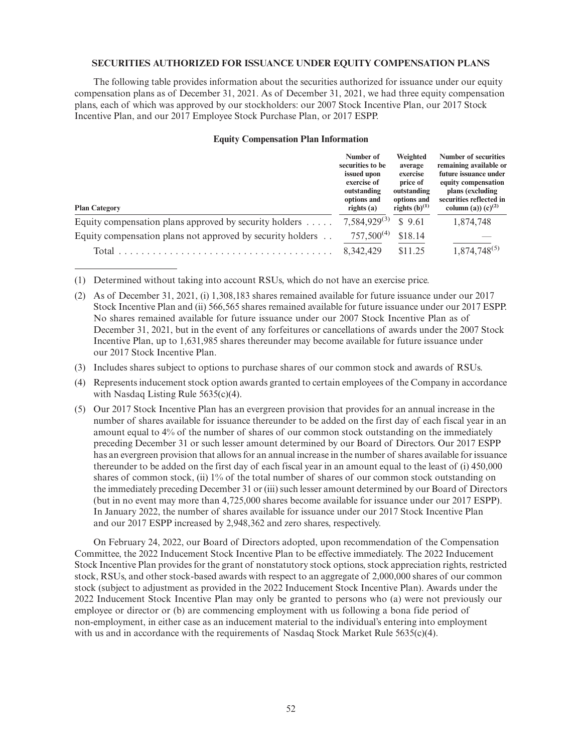# **SECURITIES AUTHORIZED FOR ISSUANCE UNDER EQUITY COMPENSATION PLANS**

The following table provides information about the securities authorized for issuance under our equity compensation plans as of December 31, 2021. As of December 31, 2021, we had three equity compensation plans, each of which was approved by our stockholders: our 2007 Stock Incentive Plan, our 2017 Stock Incentive Plan, and our 2017 Employee Stock Purchase Plan, or 2017 ESPP.

#### **Equity Compensation Plan Information**

| <b>Plan Category</b>                                             | Number of<br>securities to be<br>issued upon<br>exercise of<br>outstanding<br>options and<br>rights $(a)$ | Weighted<br>average<br>exercise<br>price of<br>outstanding<br>options and<br>rights $(b)^{(1)}$ | Number of securities<br>remaining available or<br>future issuance under<br>equity compensation<br>plans (excluding<br>securities reflected in<br>column (a)) $(c)^{(2)}$ |
|------------------------------------------------------------------|-----------------------------------------------------------------------------------------------------------|-------------------------------------------------------------------------------------------------|--------------------------------------------------------------------------------------------------------------------------------------------------------------------------|
| Equity compensation plans approved by security holders $\dots$ . | $7,584,929^{(3)}$                                                                                         | \$9.61                                                                                          | 1,874,748                                                                                                                                                                |
| Equity compensation plans not approved by security holders       | $757,500^{(4)}$                                                                                           | \$18.14                                                                                         |                                                                                                                                                                          |
| Total                                                            | 8, 342, 429                                                                                               | \$11.25                                                                                         | $1,874,748^{(5)}$                                                                                                                                                        |

(1) Determined without taking into account RSUs, which do not have an exercise price.

- (2) As of December 31, 2021, (i) 1,308,183 shares remained available for future issuance under our 2017 Stock Incentive Plan and (ii) 566,565 shares remained available for future issuance under our 2017 ESPP. No shares remained available for future issuance under our 2007 Stock Incentive Plan as of December 31, 2021, but in the event of any forfeitures or cancellations of awards under the 2007 Stock Incentive Plan, up to 1,631,985 shares thereunder may become available for future issuance under our 2017 Stock Incentive Plan.
- (3) Includes shares subject to options to purchase shares of our common stock and awards of RSUs.
- (4) Represents inducement stock option awards granted to certain employees of the Company in accordance with Nasdaq Listing Rule 5635(c)(4).
- (5) Our 2017 Stock Incentive Plan has an evergreen provision that provides for an annual increase in the number of shares available for issuance thereunder to be added on the first day of each fiscal year in an amount equal to 4% of the number of shares of our common stock outstanding on the immediately preceding December 31 or such lesser amount determined by our Board of Directors. Our 2017 ESPP has an evergreen provision that allows for an annual increase in the number of shares available for issuance thereunder to be added on the first day of each fiscal year in an amount equal to the least of (i) 450,000 shares of common stock, (ii) 1% of the total number of shares of our common stock outstanding on the immediately preceding December 31 or (iii) such lesser amount determined by our Board of Directors (but in no event may more than 4,725,000 shares become available for issuance under our 2017 ESPP). In January 2022, the number of shares available for issuance under our 2017 Stock Incentive Plan and our 2017 ESPP increased by 2,948,362 and zero shares, respectively.

On February 24, 2022, our Board of Directors adopted, upon recommendation of the Compensation Committee, the 2022 Inducement Stock Incentive Plan to be effective immediately. The 2022 Inducement Stock Incentive Plan provides for the grant of nonstatutory stock options, stock appreciation rights, restricted stock, RSUs, and other stock-based awards with respect to an aggregate of 2,000,000 shares of our common stock (subject to adjustment as provided in the 2022 Inducement Stock Incentive Plan). Awards under the 2022 Inducement Stock Incentive Plan may only be granted to persons who (a) were not previously our employee or director or (b) are commencing employment with us following a bona fide period of non-employment, in either case as an inducement material to the individual's entering into employment with us and in accordance with the requirements of Nasdaq Stock Market Rule  $5635(c)(4)$ .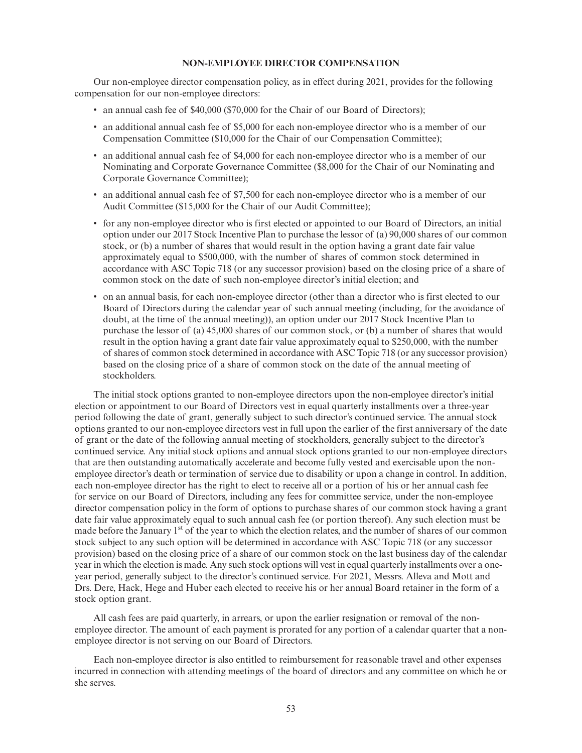# **NON-EMPLOYEE DIRECTOR COMPENSATION**

Our non-employee director compensation policy, as in effect during 2021, provides for the following compensation for our non-employee directors:

- an annual cash fee of \$40,000 (\$70,000 for the Chair of our Board of Directors);
- an additional annual cash fee of \$5,000 for each non-employee director who is a member of our Compensation Committee (\$10,000 for the Chair of our Compensation Committee);
- an additional annual cash fee of \$4,000 for each non-employee director who is a member of our Nominating and Corporate Governance Committee (\$8,000 for the Chair of our Nominating and Corporate Governance Committee);
- an additional annual cash fee of \$7,500 for each non-employee director who is a member of our Audit Committee (\$15,000 for the Chair of our Audit Committee);
- for any non-employee director who is first elected or appointed to our Board of Directors, an initial option under our 2017 Stock Incentive Plan to purchase the lessor of (a) 90,000 shares of our common stock, or (b) a number of shares that would result in the option having a grant date fair value approximately equal to \$500,000, with the number of shares of common stock determined in accordance with ASC Topic 718 (or any successor provision) based on the closing price of a share of common stock on the date of such non-employee director's initial election; and
- on an annual basis, for each non-employee director (other than a director who is first elected to our Board of Directors during the calendar year of such annual meeting (including, for the avoidance of doubt, at the time of the annual meeting)), an option under our 2017 Stock Incentive Plan to purchase the lessor of (a) 45,000 shares of our common stock, or (b) a number of shares that would result in the option having a grant date fair value approximately equal to \$250,000, with the number of shares of common stock determined in accordance with ASC Topic 718 (or any successor provision) based on the closing price of a share of common stock on the date of the annual meeting of stockholders.

The initial stock options granted to non-employee directors upon the non-employee director's initial election or appointment to our Board of Directors vest in equal quarterly installments over a three-year period following the date of grant, generally subject to such director's continued service. The annual stock options granted to our non-employee directors vest in full upon the earlier of the first anniversary of the date of grant or the date of the following annual meeting of stockholders, generally subject to the director's continued service. Any initial stock options and annual stock options granted to our non-employee directors that are then outstanding automatically accelerate and become fully vested and exercisable upon the nonemployee director's death or termination of service due to disability or upon a change in control. In addition, each non-employee director has the right to elect to receive all or a portion of his or her annual cash fee for service on our Board of Directors, including any fees for committee service, under the non-employee director compensation policy in the form of options to purchase shares of our common stock having a grant date fair value approximately equal to such annual cash fee (or portion thereof). Any such election must be made before the January  $1<sup>st</sup>$  of the year to which the election relates, and the number of shares of our common stock subject to any such option will be determined in accordance with ASC Topic 718 (or any successor provision) based on the closing price of a share of our common stock on the last business day of the calendar year in which the election is made. Any such stock options will vest in equal quarterly installments over a oneyear period, generally subject to the director's continued service. For 2021, Messrs. Alleva and Mott and Drs. Dere, Hack, Hege and Huber each elected to receive his or her annual Board retainer in the form of a stock option grant.

All cash fees are paid quarterly, in arrears, or upon the earlier resignation or removal of the nonemployee director. The amount of each payment is prorated for any portion of a calendar quarter that a nonemployee director is not serving on our Board of Directors.

Each non-employee director is also entitled to reimbursement for reasonable travel and other expenses incurred in connection with attending meetings of the board of directors and any committee on which he or she serves.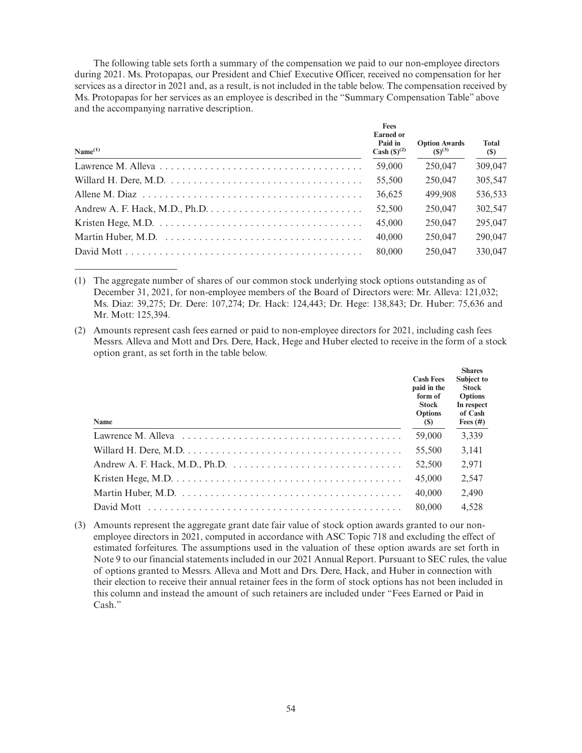The following table sets forth a summary of the compensation we paid to our non-employee directors during 2021. Ms. Protopapas, our President and Chief Executive Officer, received no compensation for her services as a director in 2021 and, as a result, is not included in the table below. The compensation received by Ms. Protopapas for her services as an employee is described in the "Summary Compensation Table" above and the accompanying narrative description.

| Name <sup>(1)</sup>                                                                          | <b>Fees</b><br><b>Earned</b> or<br>Paid in<br>Cash $({\rm S})^{(2)}$ | <b>Option Awards</b><br>$(S)^{(3)}$ | <b>Total</b><br>(\$) |
|----------------------------------------------------------------------------------------------|----------------------------------------------------------------------|-------------------------------------|----------------------|
|                                                                                              | 59,000                                                               | 250,047                             | 309,047              |
|                                                                                              | 55,500                                                               | 250,047                             | 305,547              |
|                                                                                              | 36.625                                                               | 499.908                             | 536,533              |
| Andrew A. F. Hack, M.D., Ph.D. $\dots \dots \dots \dots \dots \dots \dots \dots \dots \dots$ | 52,500                                                               | 250,047                             | 302.547              |
|                                                                                              | 45,000                                                               | 250,047                             | 295,047              |
|                                                                                              | 40,000                                                               | 250,047                             | 290,047              |
|                                                                                              | 80,000                                                               | 250,047                             | 330,047              |

(1) The aggregate number of shares of our common stock underlying stock options outstanding as of December 31, 2021, for non-employee members of the Board of Directors were: Mr. Alleva: 121,032; Ms. Diaz: 39,275; Dr. Dere: 107,274; Dr. Hack: 124,443; Dr. Hege: 138,843; Dr. Huber: 75,636 and Mr. Mott: 125,394.

(2) Amounts represent cash fees earned or paid to non-employee directors for 2021, including cash fees Messrs. Alleva and Mott and Drs. Dere, Hack, Hege and Huber elected to receive in the form of a stock option grant, as set forth in the table below.

| <b>Name</b>                                                                                                          | <b>Cash Fees</b><br>paid in the<br>form of<br>Stock<br><b>Options</b><br>(S) | <b>Shares</b><br><b>Subject to</b><br>Stock<br><b>Options</b><br>In respect<br>of Cash<br>Fees $(\#)$ |
|----------------------------------------------------------------------------------------------------------------------|------------------------------------------------------------------------------|-------------------------------------------------------------------------------------------------------|
| Lawrence M. Alleva $\ldots \ldots \ldots \ldots \ldots \ldots \ldots \ldots \ldots \ldots \ldots \ldots \ldots$      | 59,000                                                                       | 3,339                                                                                                 |
| Willard H. Dere, M.D. $\dots \dots \dots \dots \dots \dots \dots \dots \dots \dots \dots \dots \dots \dots \dots$    | 55,500                                                                       | 3,141                                                                                                 |
| Andrew A. F. Hack, M.D., Ph.D. $\dots \dots \dots \dots \dots \dots \dots \dots \dots \dots \dots$                   | 52,500                                                                       | 2,971                                                                                                 |
| Kristen Hege, M.D. $\dots \dots \dots \dots \dots \dots \dots \dots \dots \dots \dots \dots \dots \dots \dots \dots$ | 45,000                                                                       | 2,547                                                                                                 |
|                                                                                                                      | 40,000                                                                       | 2,490                                                                                                 |
|                                                                                                                      | 80,000                                                                       | 4,528                                                                                                 |

(3) Amounts represent the aggregate grant date fair value of stock option awards granted to our nonemployee directors in 2021, computed in accordance with ASC Topic 718 and excluding the effect of estimated forfeitures. The assumptions used in the valuation of these option awards are set forth in Note 9 to our financial statements included in our 2021 Annual Report. Pursuant to SEC rules, the value of options granted to Messrs. Alleva and Mott and Drs. Dere, Hack, and Huber in connection with their election to receive their annual retainer fees in the form of stock options has not been included in this column and instead the amount of such retainers are included under "Fees Earned or Paid in Cash."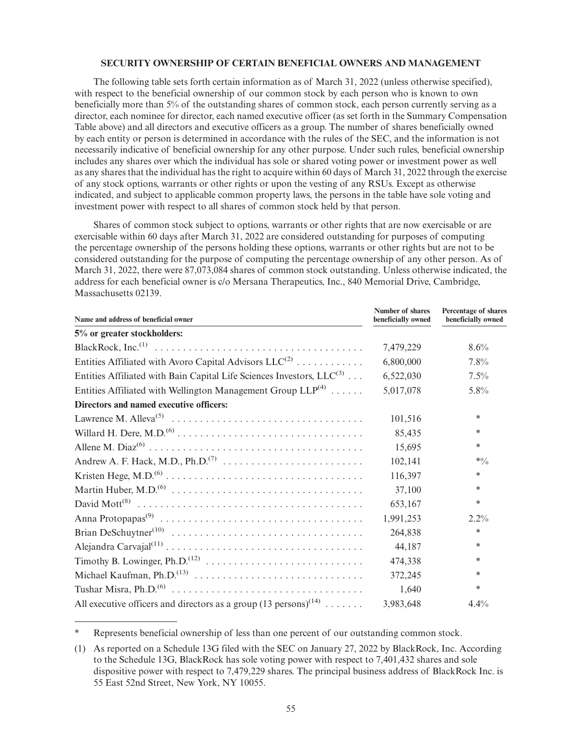# **SECURITY OWNERSHIP OF CERTAIN BENEFICIAL OWNERS AND MANAGEMENT**

The following table sets forth certain information as of March 31, 2022 (unless otherwise specified), with respect to the beneficial ownership of our common stock by each person who is known to own beneficially more than 5% of the outstanding shares of common stock, each person currently serving as a director, each nominee for director, each named executive officer (as set forth in the Summary Compensation Table above) and all directors and executive officers as a group. The number of shares beneficially owned by each entity or person is determined in accordance with the rules of the SEC, and the information is not necessarily indicative of beneficial ownership for any other purpose. Under such rules, beneficial ownership includes any shares over which the individual has sole or shared voting power or investment power as well as any shares that the individual has the right to acquire within 60 days of March 31, 2022 through the exercise of any stock options, warrants or other rights or upon the vesting of any RSUs. Except as otherwise indicated, and subject to applicable common property laws, the persons in the table have sole voting and investment power with respect to all shares of common stock held by that person.

Shares of common stock subject to options, warrants or other rights that are now exercisable or are exercisable within 60 days after March 31, 2022 are considered outstanding for purposes of computing the percentage ownership of the persons holding these options, warrants or other rights but are not to be considered outstanding for the purpose of computing the percentage ownership of any other person. As of March 31, 2022, there were 87,073,084 shares of common stock outstanding. Unless otherwise indicated, the address for each beneficial owner is c/o Mersana Therapeutics, Inc., 840 Memorial Drive, Cambridge, Massachusetts 02139.

| Name and address of beneficial owner                                                | Number of shares<br>beneficially owned | Percentage of shares<br>beneficially owned |
|-------------------------------------------------------------------------------------|----------------------------------------|--------------------------------------------|
| 5% or greater stockholders:                                                         |                                        |                                            |
|                                                                                     | 7,479,229                              | 8.6%                                       |
| Entities Affiliated with Avoro Capital Advisors $LLC^{(2)}$                         | 6,800,000                              | 7.8%                                       |
| Entities Affiliated with Bain Capital Life Sciences Investors, $LLC^{(3)}$          | 6,522,030                              | 7.5%                                       |
| Entities Affiliated with Wellington Management Group $LLP^{(4)}$                    | 5,017,078                              | $5.8\%$                                    |
| Directors and named executive officers:                                             |                                        |                                            |
|                                                                                     | 101,516                                | *                                          |
|                                                                                     | 85,435                                 | *                                          |
|                                                                                     | 15,695                                 | $\ast$                                     |
|                                                                                     | 102,141                                | $*0/0$                                     |
|                                                                                     | 116,397                                | *                                          |
|                                                                                     | 37,100                                 | $\ast$                                     |
|                                                                                     | 653,167                                | *                                          |
|                                                                                     | 1,991,253                              | $2.2\%$                                    |
|                                                                                     | 264,838                                | $\ast$                                     |
|                                                                                     | 44,187                                 | $\ast$                                     |
|                                                                                     | 474,338                                | *                                          |
|                                                                                     | 372,245                                | *                                          |
|                                                                                     | 1,640                                  | $\ast$                                     |
| All executive officers and directors as a group $(13 \text{ persons})^{(14)} \dots$ | 3,983,648                              | 4.4%                                       |

Represents beneficial ownership of less than one percent of our outstanding common stock.

<sup>(1)</sup> As reported on a Schedule 13G filed with the SEC on January 27, 2022 by BlackRock, Inc. According to the Schedule 13G, BlackRock has sole voting power with respect to 7,401,432 shares and sole dispositive power with respect to 7,479,229 shares. The principal business address of BlackRock Inc. is 55 East 52nd Street, New York, NY 10055.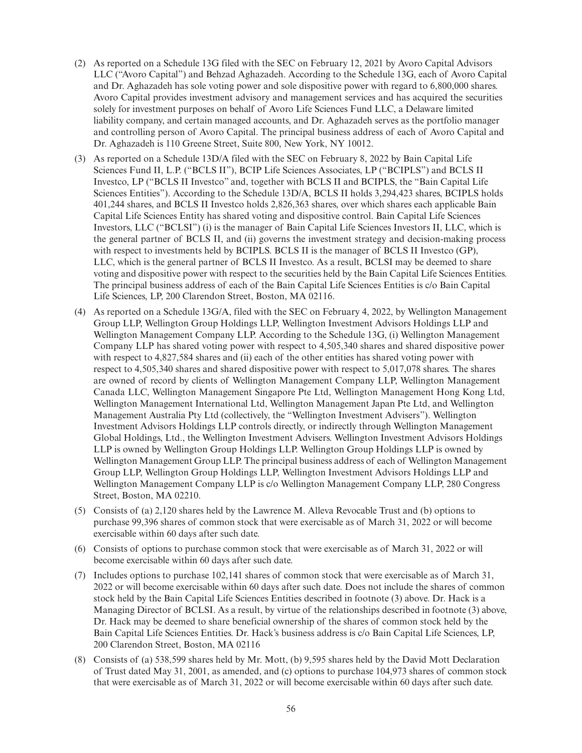- (2) As reported on a Schedule 13G filed with the SEC on February 12, 2021 by Avoro Capital Advisors LLC ("Avoro Capital") and Behzad Aghazadeh. According to the Schedule 13G, each of Avoro Capital and Dr. Aghazadeh has sole voting power and sole dispositive power with regard to 6,800,000 shares. Avoro Capital provides investment advisory and management services and has acquired the securities solely for investment purposes on behalf of Avoro Life Sciences Fund LLC, a Delaware limited liability company, and certain managed accounts, and Dr. Aghazadeh serves as the portfolio manager and controlling person of Avoro Capital. The principal business address of each of Avoro Capital and Dr. Aghazadeh is 110 Greene Street, Suite 800, New York, NY 10012.
- (3) As reported on a Schedule 13D/A filed with the SEC on February 8, 2022 by Bain Capital Life Sciences Fund II, L.P. ("BCLS II"), BCIP Life Sciences Associates, LP ("BCIPLS") and BCLS II Investco, LP ("BCLS II Investco" and, together with BCLS II and BCIPLS, the "Bain Capital Life Sciences Entities"). According to the Schedule 13D/A, BCLS II holds 3,294,423 shares, BCIPLS holds 401,244 shares, and BCLS II Investco holds 2,826,363 shares, over which shares each applicable Bain Capital Life Sciences Entity has shared voting and dispositive control. Bain Capital Life Sciences Investors, LLC ("BCLSI") (i) is the manager of Bain Capital Life Sciences Investors II, LLC, which is the general partner of BCLS II, and (ii) governs the investment strategy and decision-making process with respect to investments held by BCIPLS. BCLS II is the manager of BCLS II Investco (GP), LLC, which is the general partner of BCLS II Investco. As a result, BCLSI may be deemed to share voting and dispositive power with respect to the securities held by the Bain Capital Life Sciences Entities. The principal business address of each of the Bain Capital Life Sciences Entities is c/o Bain Capital Life Sciences, LP, 200 Clarendon Street, Boston, MA 02116.
- (4) As reported on a Schedule 13G/A, filed with the SEC on February 4, 2022, by Wellington Management Group LLP, Wellington Group Holdings LLP, Wellington Investment Advisors Holdings LLP and Wellington Management Company LLP. According to the Schedule 13G, (i) Wellington Management Company LLP has shared voting power with respect to 4,505,340 shares and shared dispositive power with respect to 4,827,584 shares and (ii) each of the other entities has shared voting power with respect to 4,505,340 shares and shared dispositive power with respect to 5,017,078 shares. The shares are owned of record by clients of Wellington Management Company LLP, Wellington Management Canada LLC, Wellington Management Singapore Pte Ltd, Wellington Management Hong Kong Ltd, Wellington Management International Ltd, Wellington Management Japan Pte Ltd, and Wellington Management Australia Pty Ltd (collectively, the "Wellington Investment Advisers"). Wellington Investment Advisors Holdings LLP controls directly, or indirectly through Wellington Management Global Holdings, Ltd., the Wellington Investment Advisers. Wellington Investment Advisors Holdings LLP is owned by Wellington Group Holdings LLP. Wellington Group Holdings LLP is owned by Wellington Management Group LLP. The principal business address of each of Wellington Management Group LLP, Wellington Group Holdings LLP, Wellington Investment Advisors Holdings LLP and Wellington Management Company LLP is c/o Wellington Management Company LLP, 280 Congress Street, Boston, MA 02210.
- (5) Consists of (a) 2,120 shares held by the Lawrence M. Alleva Revocable Trust and (b) options to purchase 99,396 shares of common stock that were exercisable as of March 31, 2022 or will become exercisable within 60 days after such date.
- (6) Consists of options to purchase common stock that were exercisable as of March 31, 2022 or will become exercisable within 60 days after such date.
- (7) Includes options to purchase 102,141 shares of common stock that were exercisable as of March 31, 2022 or will become exercisable within 60 days after such date. Does not include the shares of common stock held by the Bain Capital Life Sciences Entities described in footnote (3) above. Dr. Hack is a Managing Director of BCLSI. As a result, by virtue of the relationships described in footnote (3) above, Dr. Hack may be deemed to share beneficial ownership of the shares of common stock held by the Bain Capital Life Sciences Entities. Dr. Hack's business address is c/o Bain Capital Life Sciences, LP, 200 Clarendon Street, Boston, MA 02116
- (8) Consists of (a) 538,599 shares held by Mr. Mott, (b) 9,595 shares held by the David Mott Declaration of Trust dated May 31, 2001, as amended, and (c) options to purchase 104,973 shares of common stock that were exercisable as of March 31, 2022 or will become exercisable within 60 days after such date.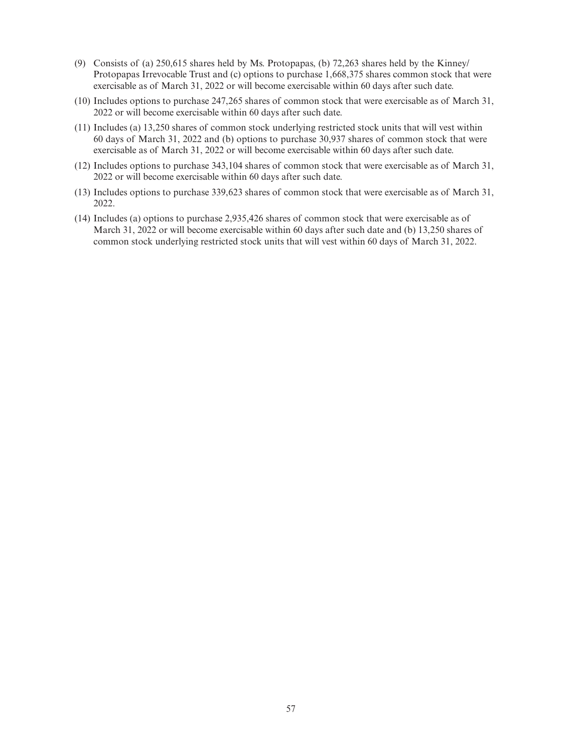- (9) Consists of (a) 250,615 shares held by Ms. Protopapas, (b) 72,263 shares held by the Kinney/ Protopapas Irrevocable Trust and (c) options to purchase 1,668,375 shares common stock that were exercisable as of March 31, 2022 or will become exercisable within 60 days after such date.
- (10) Includes options to purchase 247,265 shares of common stock that were exercisable as of March 31, 2022 or will become exercisable within 60 days after such date.
- (11) Includes (a) 13,250 shares of common stock underlying restricted stock units that will vest within 60 days of March 31, 2022 and (b) options to purchase 30,937 shares of common stock that were exercisable as of March 31, 2022 or will become exercisable within 60 days after such date.
- (12) Includes options to purchase 343,104 shares of common stock that were exercisable as of March 31, 2022 or will become exercisable within 60 days after such date.
- (13) Includes options to purchase 339,623 shares of common stock that were exercisable as of March 31, 2022.
- (14) Includes (a) options to purchase 2,935,426 shares of common stock that were exercisable as of March 31, 2022 or will become exercisable within 60 days after such date and (b) 13,250 shares of common stock underlying restricted stock units that will vest within 60 days of March 31, 2022.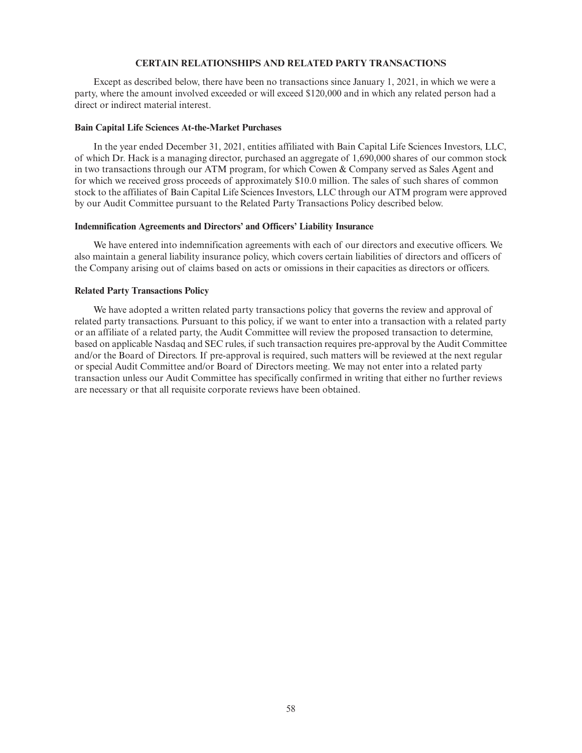# **CERTAIN RELATIONSHIPS AND RELATED PARTY TRANSACTIONS**

Except as described below, there have been no transactions since January 1, 2021, in which we were a party, where the amount involved exceeded or will exceed \$120,000 and in which any related person had a direct or indirect material interest.

### **Bain Capital Life Sciences At-the-Market Purchases**

In the year ended December 31, 2021, entities affiliated with Bain Capital Life Sciences Investors, LLC, of which Dr. Hack is a managing director, purchased an aggregate of 1,690,000 shares of our common stock in two transactions through our ATM program, for which Cowen & Company served as Sales Agent and for which we received gross proceeds of approximately \$10.0 million. The sales of such shares of common stock to the affiliates of Bain Capital Life Sciences Investors, LLC through our ATM program were approved by our Audit Committee pursuant to the Related Party Transactions Policy described below.

#### **Indemnification Agreements and Directors' and Officers' Liability Insurance**

We have entered into indemnification agreements with each of our directors and executive officers. We also maintain a general liability insurance policy, which covers certain liabilities of directors and officers of the Company arising out of claims based on acts or omissions in their capacities as directors or officers.

#### **Related Party Transactions Policy**

We have adopted a written related party transactions policy that governs the review and approval of related party transactions. Pursuant to this policy, if we want to enter into a transaction with a related party or an affiliate of a related party, the Audit Committee will review the proposed transaction to determine, based on applicable Nasdaq and SEC rules, if such transaction requires pre-approval by the Audit Committee and/or the Board of Directors. If pre-approval is required, such matters will be reviewed at the next regular or special Audit Committee and/or Board of Directors meeting. We may not enter into a related party transaction unless our Audit Committee has specifically confirmed in writing that either no further reviews are necessary or that all requisite corporate reviews have been obtained.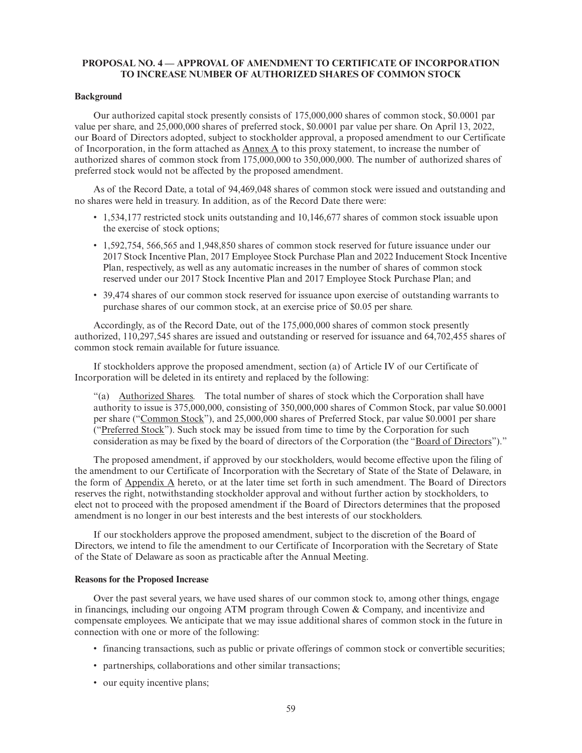# **PROPOSAL NO. 4 — APPROVAL OF AMENDMENT TO CERTIFICATE OF INCORPORATION TO INCREASE NUMBER OF AUTHORIZED SHARES OF COMMON STOCK**

#### **Background**

Our authorized capital stock presently consists of 175,000,000 shares of common stock, \$0.0001 par value per share, and 25,000,000 shares of preferred stock, \$0.0001 par value per share. On April 13, 2022, our Board of Directors adopted, subject to stockholder approval, a proposed amendment to our Certificate of Incorporation, in the form attached as Annex A to this proxy statement, to increase the number of authorized shares of common stock from 175,000,000 to 350,000,000. The number of authorized shares of preferred stock would not be affected by the proposed amendment.

As of the Record Date, a total of 94,469,048 shares of common stock were issued and outstanding and no shares were held in treasury. In addition, as of the Record Date there were:

- 1,534,177 restricted stock units outstanding and 10,146,677 shares of common stock issuable upon the exercise of stock options;
- 1,592,754, 566,565 and 1,948,850 shares of common stock reserved for future issuance under our 2017 Stock Incentive Plan, 2017 Employee Stock Purchase Plan and 2022 Inducement Stock Incentive Plan, respectively, as well as any automatic increases in the number of shares of common stock reserved under our 2017 Stock Incentive Plan and 2017 Employee Stock Purchase Plan; and
- 39,474 shares of our common stock reserved for issuance upon exercise of outstanding warrants to purchase shares of our common stock, at an exercise price of \$0.05 per share.

Accordingly, as of the Record Date, out of the 175,000,000 shares of common stock presently authorized, 110,297,545 shares are issued and outstanding or reserved for issuance and 64,702,455 shares of common stock remain available for future issuance.

If stockholders approve the proposed amendment, section (a) of Article IV of our Certificate of Incorporation will be deleted in its entirety and replaced by the following:

"(a) Authorized Shares. The total number of shares of stock which the Corporation shall have authority to issue is 375,000,000, consisting of 350,000,000 shares of Common Stock, par value \$0.0001 per share ("Common Stock"), and 25,000,000 shares of Preferred Stock, par value \$0.0001 per share ("Preferred Stock"). Such stock may be issued from time to time by the Corporation for such consideration as may be fixed by the board of directors of the Corporation (the "Board of Directors")."

The proposed amendment, if approved by our stockholders, would become effective upon the filing of the amendment to our Certificate of Incorporation with the Secretary of State of the State of Delaware, in the form of Appendix A hereto, or at the later time set forth in such amendment. The Board of Directors reserves the right, notwithstanding stockholder approval and without further action by stockholders, to elect not to proceed with the proposed amendment if the Board of Directors determines that the proposed amendment is no longer in our best interests and the best interests of our stockholders.

If our stockholders approve the proposed amendment, subject to the discretion of the Board of Directors, we intend to file the amendment to our Certificate of Incorporation with the Secretary of State of the State of Delaware as soon as practicable after the Annual Meeting.

#### **Reasons for the Proposed Increase**

Over the past several years, we have used shares of our common stock to, among other things, engage in financings, including our ongoing ATM program through Cowen & Company, and incentivize and compensate employees. We anticipate that we may issue additional shares of common stock in the future in connection with one or more of the following:

- financing transactions, such as public or private offerings of common stock or convertible securities;
- partnerships, collaborations and other similar transactions;
- our equity incentive plans;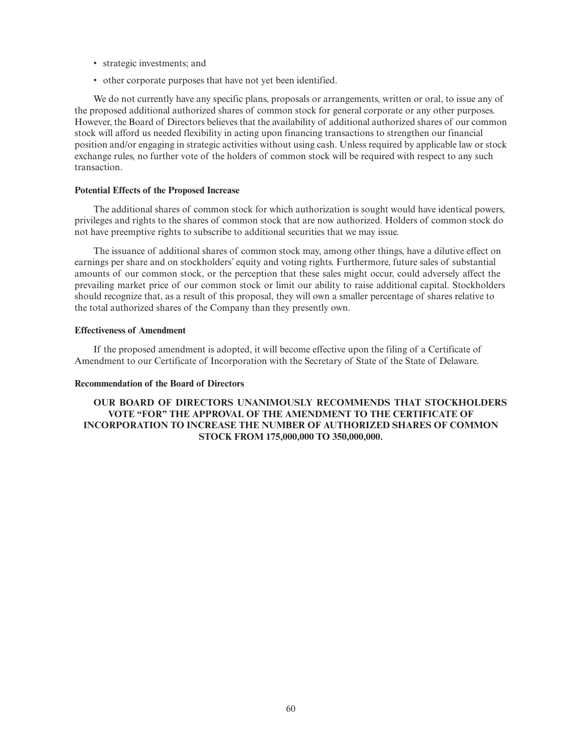- strategic investments; and
- other corporate purposes that have not yet been identified.

We do not currently have any specific plans, proposals or arrangements, written or oral, to issue any of the proposed additional authorized shares of common stock for general corporate or any other purposes. However, the Board of Directors believes that the availability of additional authorized shares of our common stock will afford us needed flexibility in acting upon financing transactions to strengthen our financial position and/or engaging in strategic activities without using cash. Unless required by applicable law or stock exchange rules, no further vote of the holders of common stock will be required with respect to any such transaction.

# **Potential Effects of the Proposed Increase**

The additional shares of common stock for which authorization is sought would have identical powers, privileges and rights to the shares of common stock that are now authorized. Holders of common stock do not have preemptive rights to subscribe to additional securities that we may issue.

The issuance of additional shares of common stock may, among other things, have a dilutive effect on earnings per share and on stockholders' equity and voting rights. Furthermore, future sales of substantial amounts of our common stock, or the perception that these sales might occur, could adversely affect the prevailing market price of our common stock or limit our ability to raise additional capital. Stockholders should recognize that, as a result of this proposal, they will own a smaller percentage of shares relative to the total authorized shares of the Company than they presently own.

# **Effectiveness of Amendment**

If the proposed amendment is adopted, it will become effective upon the filing of a Certificate of Amendment to our Certificate of Incorporation with the Secretary of State of the State of Delaware.

#### **Recommendation of the Board of Directors**

**OUR BOARD OF DIRECTORS UNANIMOUSLY RECOMMENDS THAT STOCKHOLDERS VOTE "FOR" THE APPROVAL OF THE AMENDMENT TO THE CERTIFICATE OF INCORPORATION TO INCREASE THE NUMBER OF AUTHORIZED SHARES OF COMMON STOCK FROM 175,000,000 TO 350,000,000.**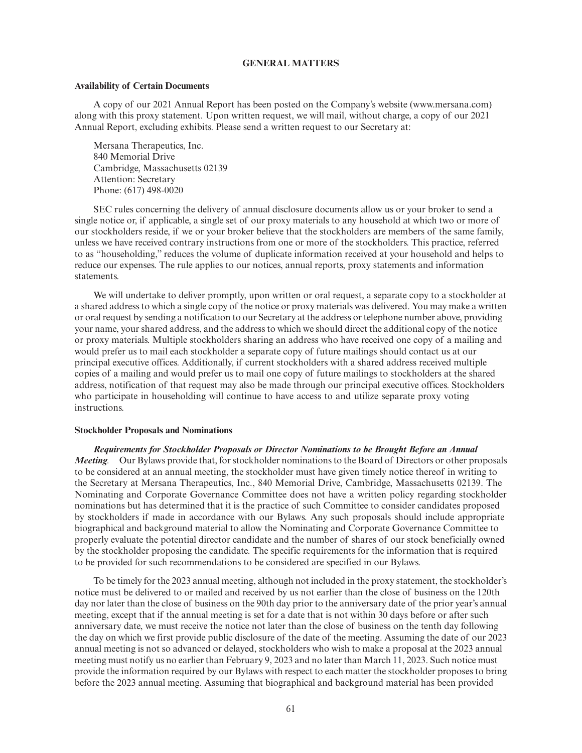# **GENERAL MATTERS**

#### **Availability of Certain Documents**

A copy of our 2021 Annual Report has been posted on the Company's website (www.mersana.com) along with this proxy statement. Upon written request, we will mail, without charge, a copy of our 2021 Annual Report, excluding exhibits. Please send a written request to our Secretary at:

Mersana Therapeutics, Inc. 840 Memorial Drive Cambridge, Massachusetts 02139 Attention: Secretary Phone: (617) 498-0020

SEC rules concerning the delivery of annual disclosure documents allow us or your broker to send a single notice or, if applicable, a single set of our proxy materials to any household at which two or more of our stockholders reside, if we or your broker believe that the stockholders are members of the same family, unless we have received contrary instructions from one or more of the stockholders. This practice, referred to as "householding," reduces the volume of duplicate information received at your household and helps to reduce our expenses. The rule applies to our notices, annual reports, proxy statements and information statements.

We will undertake to deliver promptly, upon written or oral request, a separate copy to a stockholder at a shared address to which a single copy of the notice or proxy materials was delivered. You may make a written or oral request by sending a notification to our Secretary at the address or telephone number above, providing your name, your shared address, and the address to which we should direct the additional copy of the notice or proxy materials. Multiple stockholders sharing an address who have received one copy of a mailing and would prefer us to mail each stockholder a separate copy of future mailings should contact us at our principal executive offices. Additionally, if current stockholders with a shared address received multiple copies of a mailing and would prefer us to mail one copy of future mailings to stockholders at the shared address, notification of that request may also be made through our principal executive offices. Stockholders who participate in householding will continue to have access to and utilize separate proxy voting instructions.

#### **Stockholder Proposals and Nominations**

*Requirements for Stockholder Proposals or Director Nominations to be Brought Before an Annual Meeting.* Our Bylaws provide that, for stockholder nominations to the Board of Directors or other proposals to be considered at an annual meeting, the stockholder must have given timely notice thereof in writing to the Secretary at Mersana Therapeutics, Inc., 840 Memorial Drive, Cambridge, Massachusetts 02139. The Nominating and Corporate Governance Committee does not have a written policy regarding stockholder nominations but has determined that it is the practice of such Committee to consider candidates proposed by stockholders if made in accordance with our Bylaws. Any such proposals should include appropriate biographical and background material to allow the Nominating and Corporate Governance Committee to properly evaluate the potential director candidate and the number of shares of our stock beneficially owned by the stockholder proposing the candidate. The specific requirements for the information that is required to be provided for such recommendations to be considered are specified in our Bylaws.

To be timely for the 2023 annual meeting, although not included in the proxy statement, the stockholder's notice must be delivered to or mailed and received by us not earlier than the close of business on the 120th day nor later than the close of business on the 90th day prior to the anniversary date of the prior year's annual meeting, except that if the annual meeting is set for a date that is not within 30 days before or after such anniversary date, we must receive the notice not later than the close of business on the tenth day following the day on which we first provide public disclosure of the date of the meeting. Assuming the date of our 2023 annual meeting is not so advanced or delayed, stockholders who wish to make a proposal at the 2023 annual meeting must notify us no earlier than February 9, 2023 and no later than March 11, 2023. Such notice must provide the information required by our Bylaws with respect to each matter the stockholder proposes to bring before the 2023 annual meeting. Assuming that biographical and background material has been provided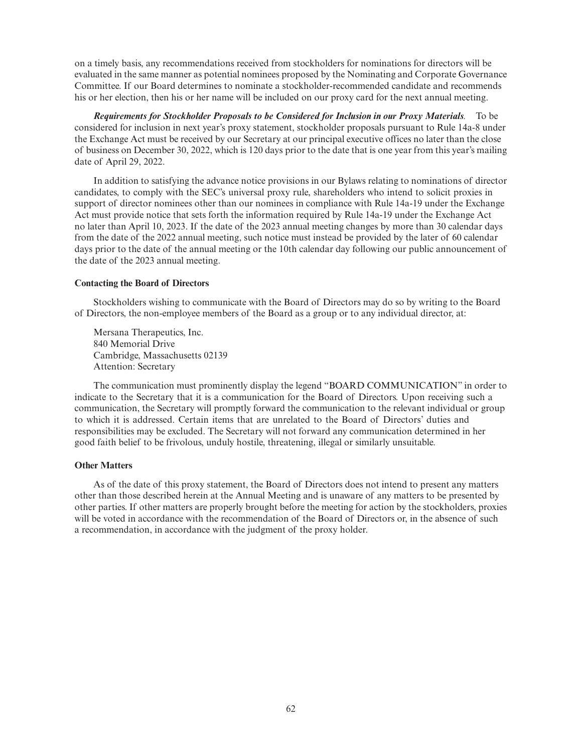on a timely basis, any recommendations received from stockholders for nominations for directors will be evaluated in the same manner as potential nominees proposed by the Nominating and Corporate Governance Committee. If our Board determines to nominate a stockholder-recommended candidate and recommends his or her election, then his or her name will be included on our proxy card for the next annual meeting.

*Requirements for Stockholder Proposals to be Considered for Inclusion in our Proxy Materials.* To be considered for inclusion in next year's proxy statement, stockholder proposals pursuant to Rule 14a-8 under the Exchange Act must be received by our Secretary at our principal executive offices no later than the close of business on December 30, 2022, which is 120 days prior to the date that is one year from this year's mailing date of April 29, 2022.

In addition to satisfying the advance notice provisions in our Bylaws relating to nominations of director candidates, to comply with the SEC's universal proxy rule, shareholders who intend to solicit proxies in support of director nominees other than our nominees in compliance with Rule 14a-19 under the Exchange Act must provide notice that sets forth the information required by Rule 14a-19 under the Exchange Act no later than April 10, 2023. If the date of the 2023 annual meeting changes by more than 30 calendar days from the date of the 2022 annual meeting, such notice must instead be provided by the later of 60 calendar days prior to the date of the annual meeting or the 10th calendar day following our public announcement of the date of the 2023 annual meeting.

# **Contacting the Board of Directors**

Stockholders wishing to communicate with the Board of Directors may do so by writing to the Board of Directors, the non-employee members of the Board as a group or to any individual director, at:

Mersana Therapeutics, Inc. 840 Memorial Drive Cambridge, Massachusetts 02139 Attention: Secretary

The communication must prominently display the legend "BOARD COMMUNICATION" in order to indicate to the Secretary that it is a communication for the Board of Directors. Upon receiving such a communication, the Secretary will promptly forward the communication to the relevant individual or group to which it is addressed. Certain items that are unrelated to the Board of Directors' duties and responsibilities may be excluded. The Secretary will not forward any communication determined in her good faith belief to be frivolous, unduly hostile, threatening, illegal or similarly unsuitable.

# **Other Matters**

As of the date of this proxy statement, the Board of Directors does not intend to present any matters other than those described herein at the Annual Meeting and is unaware of any matters to be presented by other parties. If other matters are properly brought before the meeting for action by the stockholders, proxies will be voted in accordance with the recommendation of the Board of Directors or, in the absence of such a recommendation, in accordance with the judgment of the proxy holder.